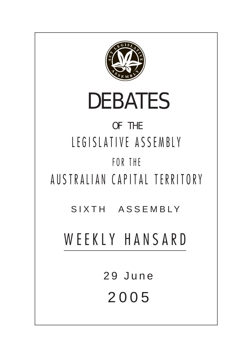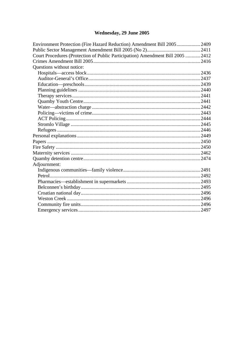# Wednesday, 29 June 2005

| Court Procedures (Protection of Public Participation) Amendment Bill 2005  2412 | Environment Protection (Fire Hazard Reduction) Amendment Bill 2005 2409 |  |
|---------------------------------------------------------------------------------|-------------------------------------------------------------------------|--|
|                                                                                 |                                                                         |  |
|                                                                                 |                                                                         |  |
|                                                                                 |                                                                         |  |
|                                                                                 | Questions without notice:                                               |  |
|                                                                                 |                                                                         |  |
|                                                                                 |                                                                         |  |
|                                                                                 |                                                                         |  |
|                                                                                 |                                                                         |  |
|                                                                                 |                                                                         |  |
|                                                                                 |                                                                         |  |
|                                                                                 |                                                                         |  |
|                                                                                 |                                                                         |  |
|                                                                                 |                                                                         |  |
|                                                                                 |                                                                         |  |
|                                                                                 |                                                                         |  |
|                                                                                 |                                                                         |  |
|                                                                                 |                                                                         |  |
|                                                                                 |                                                                         |  |
|                                                                                 |                                                                         |  |
|                                                                                 |                                                                         |  |
|                                                                                 | Adjournment:                                                            |  |
|                                                                                 |                                                                         |  |
|                                                                                 |                                                                         |  |
|                                                                                 |                                                                         |  |
|                                                                                 |                                                                         |  |
|                                                                                 |                                                                         |  |
|                                                                                 |                                                                         |  |
|                                                                                 |                                                                         |  |
|                                                                                 |                                                                         |  |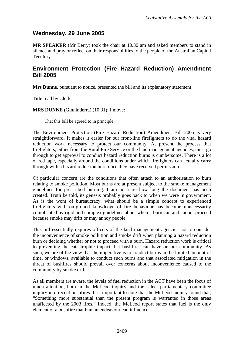## <span id="page-2-0"></span>**Wednesday, 29 June 2005**

**MR SPEAKER** (Mr Berry) took the chair at 10.30 am and asked members to stand in silence and pray or reflect on their responsibilities to the people of the Australian Capital Territory.

## **Environment Protection (Fire Hazard Reduction) Amendment Bill 2005**

**Mrs Dunne**, pursuant to notice, presented the bill and its explanatory statement.

Title read by Clerk.

**MRS DUNNE** (Ginninderra) (10.31): I move:

That this bill be agreed to in principle.

The Environment Protection (Fire Hazard Reduction) Amendment Bill 2005 is very straightforward. It makes it easier for our front-line firefighters to do the vital hazard reduction work necessary to protect our community. At present the process that firefighters, either from the Rural Fire Service or the land management agencies, must go through to get approval to conduct hazard reduction burns is cumbersome. There is a lot of red tape, especially around the conditions under which firefighters can actually carry through with a hazard reduction burn once they have received permission.

Of particular concern are the conditions that often attach to an authorisation to burn relating to smoke pollution. Most burns are at present subject to the smoke management guidelines for prescribed burning. I am not sure how long the document has been created. Truth be told, its genesis probably goes back to when we were in government. As is the wont of bureaucracy, what should be a simple concept to experienced firefighters with on-ground knowledge of fire behaviour has become unnecessarily complicated by rigid and complex guidelines about when a burn can and cannot proceed because smoke may drift or may annoy people.

This bill essentially requires officers of the land management agencies not to consider the inconvenience of smoke pollution and smoke drift when planning a hazard reduction burn or deciding whether or not to proceed with a burn. Hazard reduction work is critical to preventing the catastrophic impact that bushfires can have on our community. As such, we are of the view that the imperative is to conduct burns in the limited amount of time, or windows, available to conduct such burns and that associated mitigation in the threat of bushfires should prevail over concerns about inconvenience caused to the community by smoke drift.

As all members are aware, the levels of fuel reduction in the ACT have been the focus of much attention, both in the McLeod inquiry and the select parliamentary committee inquiry into recent bushfires. It is important to note that the McLeod inquiry found that, "Something more substantial than the present program is warranted in those areas unaffected by the 2003 fires." Indeed, the McLeod report states that fuel is the only element of a bushfire that human endeavour can influence.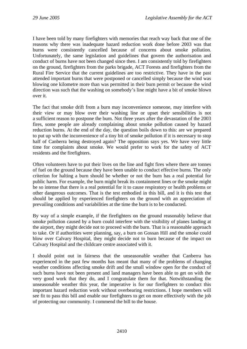I have been told by many firefighters with memories that reach way back that one of the reasons why there was inadequate hazard reduction work done before 2003 was that burns were consistently cancelled because of concerns about smoke pollution. Unfortunately, the same legislation and guidelines that govern the authorisation and conduct of burns have not been changed since then. I am consistently told by firefighters on the ground, firefighters from the parks brigade, ACT Forests and firefighters from the Rural Fire Service that the current guidelines are too restrictive. They have in the past attended important burns that were postponed or cancelled simply because the wind was blowing one kilometre more than was permitted in their burn permit or because the wind direction was such that the washing on somebody's line might have a bit of smoke blown over it.

The fact that smoke drift from a burn may inconvenience someone, may interfere with their view or may blow over their washing line or upset their sensibilities is not a sufficient reason to postpone the burn. Not three years after the devastation of the 2003 fires, some people are already complaining about smoke pollution caused by hazard reduction burns. At the end of the day, the question boils down to this: are we prepared to put up with the inconvenience of a tiny bit of smoke pollution if it is necessary to stop half of Canberra being destroyed again? The opposition says yes. We have very little time for complaints about smoke. We would prefer to work for the safety of ACT residents and the firefighters.

Often volunteers have to put their lives on the line and fight fires where there are tonnes of fuel on the ground because they have been unable to conduct effective burns. The only criterion for halting a burn should be whether or not the burn has a real potential for public harm. For example, the burn might break its containment lines or the smoke might be so intense that there is a real potential for it to cause respiratory or health problems or other dangerous outcomes. That is the test embodied in this bill, and it is this test that should be applied by experienced firefighters on the ground with an appreciation of prevailing conditions and variabilities at the time the burn is to be conducted.

By way of a simple example, if the firefighters on the ground reasonably believe that smoke pollution caused by a burn could interfere with the visibility of planes landing at the airport, they might decide not to proceed with the burn. That is a reasonable approach to take. Or if authorities were planning, say, a burn on Gossan Hill and the smoke could blow over Calvary Hospital, they might decide not to burn because of the impact on Calvary Hospital and the childcare centre associated with it.

I should point out in fairness that the unseasonable weather that Canberra has experienced in the past few months has meant that many of the problems of changing weather conditions affecting smoke drift and the small window open for the conduct of such burns have not been present and land managers have been able to get on with the very good work that they do, and I congratulate them for that. Notwithstanding the unseasonable weather this year, the imperative is for our firefighters to conduct this important hazard reduction work without overbearing restrictions. I hope members will see fit to pass this bill and enable our firefighters to get on more effectively with the job of protecting our community. I commend the bill to the house.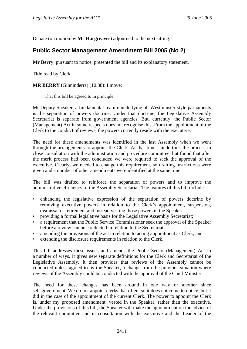<span id="page-4-0"></span>Debate (on motion by **Mr Hargreaves**) adjourned to the next sitting.

## **Public Sector Management Amendment Bill 2005 (No 2)**

**Mr Berry**, pursuant to notice, presented the bill and its explanatory statement.

Title read by Clerk.

**MR BERRY** (Ginninderra) (10.38): I move:

That this bill be agreed to in principle.

Mr Deputy Speaker, a fundamental feature underlying all Westminster style parliaments is the separation of powers doctrine. Under that doctrine, the Legislative Assembly Secretariat is separate from government agencies. But, currently, the Public Sector (Management) Act in some respects does not recognise this. From the appointment of the Clerk to the conduct of reviews, the powers currently reside with the executive.

The need for these amendments was identified in the last Assembly when we went through the arrangements to appoint the Clerk. At that time I undertook the process in close consultation with the administration and procedure committee, but found that after the merit process had been concluded we were required to seek the approval of the executive. Clearly, we needed to change this requirement, so drafting instructions were given and a number of other amendments were identified at the same time.

The bill was drafted to reinforce the separation of powers and to improve the administrative efficiency of the Assembly Secretariat. The features of this bill include:

- enhancing the legislative expression of the separation of powers doctrine by removing executive powers in relation to the Clerk's appointment, suspension, dismissal or retirement and instead vesting those powers in the Speaker;
- providing a formal legislative basis for the Legislative Assembly Secretariat;
- a requirement that the Public Service Commissioner seek the approval of the Speaker before a review can be conducted in relation to the Secretariat;
- amending the provisions of the act in relation to acting appointment as Clerk; and
- extending the disclosure requirements in relation to the Clerk.

This bill addresses these issues and amends the Public Sector (Management) Act in a number of ways. It gives new separate definitions for the Clerk and Secretariat of the Legislative Assembly. It then provides that reviews of the Assembly cannot be conducted unless agreed to by the Speaker, a change from the previous situation where reviews of the Assembly could be conducted with the approval of the Chief Minister.

The need for these changes has been around in one way or another since self-government. We do not appoint clerks that often, so it does not come to notice, but it did in the case of the appointment of the current Clerk. The power to appoint the Clerk is, under my proposed amendment, vested in the Speaker, rather than the executive. Under the provisions of this bill, the Speaker will make the appointment on the advice of the relevant committee and in consultation with the executive and the Leader of the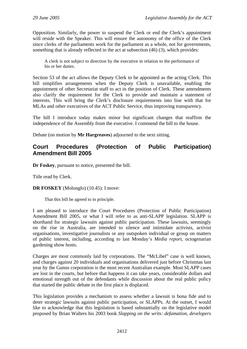<span id="page-5-0"></span>Opposition. Similarly, the power to suspend the Clerk or end the Clerk's appointment will reside with the Speaker. This will ensure the autonomy of the office of the Clerk since clerks of the parliaments work for the parliament as a whole, not for governments, something that is already reflected in the act at subsection (46) (3), which provides:

A clerk is not subject to direction by the executive in relation to the performance of his or her duties.

Section 53 of the act allows the Deputy Clerk to be appointed as the acting Clerk. This bill simplifies arrangements when the Deputy Clerk is unavailable, enabling the appointment of other Secretariat staff to act in the position of Clerk. These amendments also clarify the requirement for the Clerk to provide and maintain a statement of interests. This will bring the Clerk's disclosure requirements into line with that for MLAs and other executives of the ACT Public Service, thus improving transparency.

The bill I introduce today makes minor but significant changes that reaffirm the independence of the Assembly from the executive. I commend the bill to the house.

Debate (on motion by **Mr Hargreaves**) adjourned to the next sitting.

## **Court Procedures (Protection of Public Participation) Amendment Bill 2005**

**Dr Foskey**, pursuant to notice, presented the bill.

Title read by Clerk.

**DR FOSKEY** (Molonglo) (10.45): I move:

That this bill be agreed to in principle.

I am pleased to introduce the Court Procedures (Protection of Public Participation) Amendment Bill 2005, or what I will refer to as anti-SLAPP legislation. SLAPP is shorthand for strategic lawsuits against public participation. These lawsuits, seemingly on the rise in Australia, are intended to silence and intimidate activists, activist organisations, investigative journalists or any outspoken individual or group on matters of public interest, including, according to last Monday's *Media report*, octogenarian gardening show hosts.

Charges are most commonly laid by corporations. The "McLibel" case is well known, and charges against 20 individuals and organisations delivered just before Christmas last year by the Gunns corporation is the most recent Australian example. Most SLAPP cases are lost in the courts, but before that happens it can take years, considerable dollars and emotional strength out of the defendants while discussion about the real public policy that started the public debate in the first place is displaced.

This legislation provides a mechanism to assess whether a lawsuit is bona fide and to deter strategic lawsuits against public participation, or SLAPPs. At the outset, I would like to acknowledge that this legislation is based substantially on the legislative model proposed by Brian Walters his 2003 book *Slapping on the writs: defamation, developers*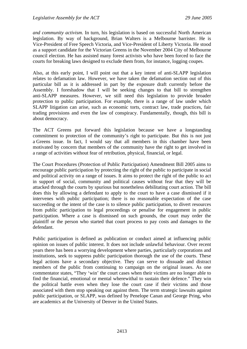*and community activism.* In turn, his legislation is based on successful North American legislation. By way of background, Brian Walters is a Melbourne barrister. He is Vice-President of Free Speech Victoria, and Vice-President of Liberty Victoria. He stood as a support candidate for the Victorian Greens in the November 2004 City of Melbourne council election. He has assisted many forest activists who have been forced to face the courts for breaking laws designed to exclude them from, for instance, logging coupes.

Also, at this early point, I will point out that a key intent of anti-SLAPP legislation relates to defamation law. However, we have taken the defamation section out of this particular bill as it is addressed in part by the exposure draft currently before the Assembly. I foreshadow that I will be seeking changes to that bill to strengthen anti-SLAPP measures. However, we still need this legislation to provide broader protection to public participation. For example, there is a range of law under which SLAPP litigation can arise, such as economic torts, contract law, trade practices, fair trading provisions and even the law of conspiracy. Fundamentally, though, this bill is about democracy.

The ACT Greens put forward this legislation because we have a longstanding commitment to protection of the community's right to participate. But this is not just a Greens issue. In fact, I would say that all members in this chamber have been motivated by concern that members of the community have the right to get involved in a range of activities without fear of retribution, physical, financial, or legal.

The Court Procedures (Protection of Public Participation) Amendment Bill 2005 aims to encourage public participation by protecting the right of the public to participate in social and political activity on a range of issues. It aims to protect the right of the public to act in support of social, community and political causes without fear that they will be attacked through the courts by spurious but nonetheless debilitating court action. The bill does this by allowing a defendant to apply to the court to have a case dismissed if it intervenes with public participation; there is no reasonable expectation of the case succeeding or the intent of the case is to silence public participation, to divert resources from public participation to legal proceedings or penalise for engagement in public participation. Where a case is dismissed on such grounds, the court may order the plaintiff or the person who started that court process to pay costs and damages to the defendant.

Public participation is defined as publication or conduct aimed at influencing public opinion on issues of public interest. It does not include unlawful behaviour. Over recent years there has been a worrying development where parties, particularly corporations and institutions, seek to suppress public participation thorough the use of the courts. These legal actions have a secondary objective. They can serve to dissuade and distract members of the public from continuing to campaign on the original issues. As one commentator states, "They 'win' the court cases when their victims are no longer able to find the financial, emotional or mental wherewithal to sustain their defence." They win the political battle even when they lose the court case if their victims and those associated with them stop speaking out against them. The term strategic lawsuits against public participation, or SLAPP, was defined by Penelope Canan and George Pring, who are academics at the University of Denver in the United States.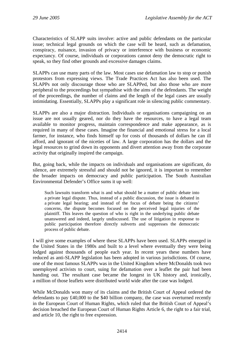Characteristics of SLAPP suits involve: active and public defendants on the particular issue; technical legal grounds on which the case will be heard, such as defamation, conspiracy, nuisance, invasion of privacy or interference with business or economic expectancy. Of course, individuals or corporations cannot deny the democratic right to speak, so they find other grounds and excessive damages claims.

SLAPPs can use many parts of the law. Most cases use defamation law to stop or punish protestors from expressing views. The Trade Practices Act has also been used. The SLAPPs not only discourage those who are SLAPPed, but also those who are more peripheral to the proceedings but sympathise with the aims of the defendants. The weight of the proceedings, the number of claims and the length of the legal cases are usually intimidating. Essentially, SLAPPs play a significant role in silencing public commentary.

SLAPPs are also a major distraction. Individuals or organisations campaigning on an issue are not usually geared, nor do they have the resources, to have a legal team available to monitor progress, maintain correspondence and make appearance, as is required in many of these cases. Imagine the financial and emotional stress for a local farmer, for instance, who finds himself up for costs of thousands of dollars he can ill afford, and ignorant of the niceties of law. A large corporation has the dollars and the legal resources to grind down its opponents and divert attention away from the corporate activity that originally inspired the campaign.

But, going back, while the impacts on individuals and organisations are significant, do silence, are extremely stressful and should not be ignored, it is important to remember the broader impacts on democracy and public participation. The South Australian Environmental Defender's Office sums it up well:

Such lawsuits transform what is and what should be a matter of public debate into a private legal dispute. Thus, instead of a public discussion, the issue is debated in a private legal hearing; and instead of the focus of debate being the citizens' concerns, the dispute becomes focused on the perceived legal injuries of the plaintiff. This leaves the question of who is right in the underlying public debate unanswered and indeed, largely undiscussed. The use of litigation in response to public participation therefore directly subverts and suppresses the democratic process of public debate.

I will give some examples of where these SLAPPs have been used. SLAPPs emerged in the United States in the 1980s and built to a level where eventually they were being lodged against thousands of people each year. In recent years these numbers have reduced as anti-SLAPP legislation has been adopted in various jurisdictions. Of course, one of the most famous SLAPPs was in the United Kingdom where McDonalds took two unemployed activists to court, suing for defamation over a leaflet the pair had been handing out. The resultant case became the longest in UK history and, ironically, a million of those leaflets were distributed world wide after the case was lodged.

While McDonalds won many of its claims and the British Court of Appeal ordered the defendants to pay £40,000 to the \$40 billion company, the case was overturned recently in the European Court of Human Rights, which ruled that the British Court of Appeal's decision breached the European Court of Human Rights Article 6, the right to a fair trial, and article 10, the right to free expression.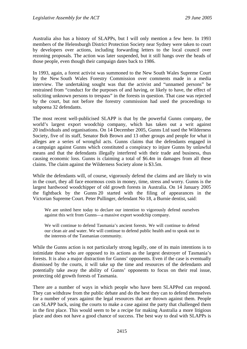Australia also has a history of SLAPPs, but I will only mention a few here. In 1993 members of the Helensburgh District Protection Society near Sydney were taken to court by developers over actions, including forwarding letters to the local council over rezoning proposals. The action was later suspended, but it still hangs over the heads of those people, even though their campaign dates back to 1986.

In 1993, again, a forest activist was summoned to the New South Wales Supreme Court by the New South Wales Forestry Commission over comments made in a media interview. The undertaking sought was that the activist and "unnamed persons" be restrained from "conduct for the purposes of and having, or likely to have, the effect of soliciting unknown persons to trespass" in the forests in question. That case was rejected by the court, but not before the forestry commission had used the proceedings to subpoena 32 defendants.

The most recent well-publicised SLAPP is that by the powerful Gunns company, the world's largest export woodchip company, which has taken out a writ against 20 individuals and organisations. On 14 December 2005, Gunns Ltd sued the Wilderness Society, five of its staff, Senator Bob Brown and 13 other groups and people for what it alleges are a series of wrongful acts. Gunns claims that the defendants engaged in a campaign against Gunns which constituted a conspiracy to injure Gunns by unlawful means and that the defendants illegally interfered with their trade and business, thus causing economic loss. Gunns is claiming a total of \$6.4m in damages from all these claims. The claim against the Wilderness Society alone is \$3.5m.

While the defendants will, of course, vigorously defend the claims and are likely to win in the court, they all face enormous costs in money, time, stress and worry. Gunns is the largest hardwood woodchipper of old growth forests in Australia. On 14 January 2005 the fightback by the Gunns 20 started with the filing of appearances in the Victorian Supreme Court. Peter Pullinger, defendant No 18, a Burnie dentist, said:

We are united here today to declare our intention to vigorously defend ourselves against this writ from Gunns—a massive export woodchip company.

We will continue to defend Tasmania's ancient forests. We will continue to defend our clean air and water. We will continue to defend public health and to speak out in the interests of the Tasmanian community.

While the Gunns action is not particularly strong legally, one of its main intentions is to intimidate those who are opposed to its actions as the largest destroyer of Tasmania's forests. It is also a major distraction for Gunns' opponents. Even if the case is eventually dismissed by the courts, it will take up the time and resources of the defendants and potentially take away the ability of Gunns' opponents to focus on their real issue, protecting old growth forests of Tasmania.

There are a number of ways in which people who have been SLAPPed can respond. They can withdraw from the public debate and do the best they can to defend themselves for a number of years against the legal resources that are thrown against them. People can SLAPP back, using the courts to make a case against the party that challenged them in the first place. This would seem to be a recipe for making Australia a more litigious place and does not have a good chance of success. The best way to deal with SLAPPs is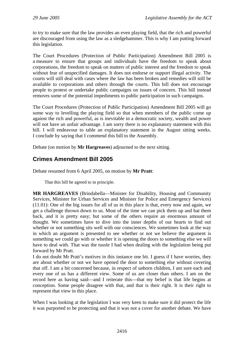<span id="page-9-0"></span>to try to make sure that the law provides an even playing field, that the rich and powerful are discouraged from using the law as a sledgehammer. This is why I am putting forward this legislation.

The Court Procedures (Protection of Public Participation) Amendment Bill 2005 is a measure to ensure that groups and individuals have the freedom to speak about corporations, the freedom to speak on matters of public interest and the freedom to speak without fear of unspecified damages. It does not endorse or support illegal activity. The courts will still deal with cases where the law has been broken and remedies will still be available to corporations and others through the courts. This bill does not encourage people to protest or undertake public campaigns on issues of concern. This bill instead removes some of the potential impediments to public participation in such campaigns.

The Court Procedures (Protection of Public Participation) Amendment Bill 2005 will go some way to levelling the playing field so that when members of the public come up against the rich and powerful, as is inevitable in a democratic society, wealth and power will not have an unfair advantage. I am sorry there is no explanatory statement with this bill. I will endeavour to table an explanatory statement in the August sitting weeks. I conclude by saying that I commend this bill to the Assembly.

Debate (on motion by **Mr Hargreaves**) adjourned to the next sitting.

# **Crimes Amendment Bill 2005**

Debate resumed from 6 April 2005, on motion by **Mr Pratt**:

That this bill be agreed to in principle.

**MR HARGREAVES** (Brindabella—Minister for Disability, Housing and Community Services, Minister for Urban Services and Minister for Police and Emergency Services) (11.01): One of the big issues for all of us in this place is that, every now and again, we get a challenge thrown down to us. Most of the time we can pick them up and bat them back, and it is pretty easy; but some of the others require an enormous amount of thought. We sometimes have to dive into the inner depths of our hearts to find out whether or not something sits well with our consciences. We sometimes look at the way in which an argument is presented to see whether or not we believe the argument is something we could go with or whether it is opening the doors to something else we will have to deal with. That was the tussle I had when dealing with the legislation being put forward by Mr Pratt.

I do not doubt Mr Pratt's motives in this instance one bit. I guess if I have worries, they are about whether or not we have opened the door to something else without covering that off. I am a bit concerned because, in respect of unborn children, I am sure each and every one of us has a different view. Some of us are closer than others. I am on the record here as having said—and I reiterate this—that my belief is that life begins at conception. Some people disagree with that, and that is their right. It is their right to represent that view in this place.

When I was looking at the legislation I was very keen to make sure it did protect the life it was purported to be protecting and that it was not a cover for another debate. We have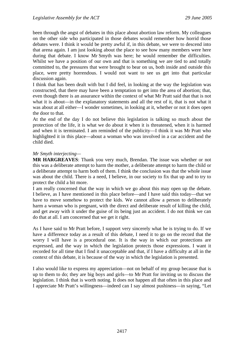been through the angst of debates in this place about abortion law reform. My colleagues on the other side who participated in those debates would remember how horrid those debates were. I think it would be pretty awful if, in this debate, we were to descend into that arena again. I am just looking about the place to see how many members were here during that debate. I know Mr Smyth was here; he would remember the difficulties. Whilst we have a position of our own and that is something we are tied to and totally committed to, the pressures that were brought to bear on us, both inside and outside this place, were pretty horrendous. I would not want to see us get into that particular discussion again.

I think that has been dealt with but I did feel, in looking at the way the legislation was constructed, that there may have been a temptation to get into the area of abortion; that, even though there is an assurance within the context of what Mr Pratt said that that is not what it is about—in the explanatory statements and all the rest of it, that is not what it was about at all either—I wonder sometimes, in looking at it, whether or not it does open the door to that.

At the end of the day I do not believe this legislation is talking so much about the protection of the life, it is what we do about it when it is threatened, when it is harmed and when it is terminated. I am reminded of the publicity—I think it was Mr Pratt who highlighted it in this place—about a woman who was involved in a car accident and the child died.

#### *Mr Smyth interjecting—*

**MR HARGREAVES**: Thank you very much, Brendan. The issue was whether or not this was a deliberate attempt to harm the mother, a deliberate attempt to harm the child or a deliberate attempt to harm both of them. I think the conclusion was that the whole issue was about the child. There is a need, I believe, in our society to fix that up and to try to protect the child a bit more.

I am really concerned that the way in which we go about this may open up the debate. I believe, as I have mentioned in this place before—and I have said this today—that we have to move somehow to protect the kids. We cannot allow a person to deliberately harm a woman who is pregnant, with the direct and deliberate result of killing the child, and get away with it under the guise of its being just an accident. I do not think we can do that at all. I am concerned that we get it right.

As I have said to Mr Pratt before, I support very sincerely what he is trying to do. If we have a difference today as a result of this debate, I need it to go on the record that the worry I will have is a procedural one. It is the way in which our protections are expressed, and the way in which the legislation protects those expressions. I want it recorded for all time that I find it unacceptable and that, if I have a difficulty at all in the context of this debate, it is because of the way in which the legislation is presented.

I also would like to express my appreciation—not on behalf of my group because that is up to them to do; they are big boys and girls—to Mr Pratt for inviting us to discuss the legislation. I think that is worth noting. It does not happen all that often in this place and I appreciate Mr Pratt's willingness—indeed can I say almost pushiness—in saying, "Let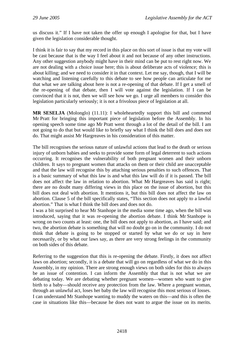us discuss it." If I have not taken the offer up enough I apologise for that, but I have given the legislation considerable thought.

I think it is fair to say that my record in this place on this sort of issue is that my vote will be cast because that is the way I feel about it and not because of any other instructions. Any other suggestion anybody might have in their mind can be put to rest right now. We are not dealing with a choice issue here; this is about deliberate acts of violence; this is about killing; and we need to consider it in that context. Let me say, though, that I will be watching and listening carefully to this debate to see how people can articulate for me that what we are talking about here is not a re-opening of that debate. If I get a smell of the re-opening of that debate, then I will vote against the legislation. If I can be convinced that it is not, then we will see how we go. I urge all members to consider this legislation particularly seriously; it is not a frivolous piece of legislation at all.

**MR SESELJA** (Molonglo) (11.11): I wholeheartedly support this bill and commend Mr Pratt for bringing this important piece of legislation before the Assembly. In his opening speech some time ago Mr Pratt went through a lot of the detail of the bill. I am not going to do that but would like to briefly say what I think the bill does and does not do. That might assist Mr Hargreaves in his consideration of this matter.

The bill recognises the serious nature of unlawful actions that lead to the death or serious injury of unborn babies and seeks to provide some form of legal deterrent to such actions occurring. It recognises the vulnerability of both pregnant women and their unborn children. It says to pregnant women that attacks on them or their child are unacceptable and that the law will recognise this by attaching serious penalties to such offences. That is a basic summary of what this law is and what this law will do if it is passed. The bill does not affect the law in relation to abortion. What Mr Hargreaves has said is right; there are no doubt many differing views in this place on the issue of abortion, but this bill does not deal with abortion. It mentions it, but this bill does not affect the law on abortion. Clause 5 of the bill specifically states, "This section does not apply to a lawful abortion." That is what I think the bill does and does not do.

I was a bit surprised to hear Mr Stanhope in the media some time ago, when the bill was introduced, saying that it was re-opening the abortion debate. I think Mr Stanhope is wrong on two counts at least: one, the bill does not apply to abortion, as I have said; and two, the abortion debate is something that will no doubt go on in the community. I do not think that debate is going to be stopped or started by what we do or say in here necessarily, or by what our laws say, as there are very strong feelings in the community on both sides of this debate.

Referring to the suggestion that this is re-opening the debate. Firstly, it does not affect laws on abortion; secondly, it is a debate that will go on regardless of what we do in this Assembly, in my opinion. There are strong enough views on both sides for this to always be an issue of contention. I can inform the Assembly that that is not what we are debating today. We are debating whether pregnant women—women who want to give birth to a baby—should receive any protection from the law. Where a pregnant woman, through an unlawful act, loses her baby the law will recognise this most serious of losses. I can understand Mr Stanhope wanting to muddy the waters on this—and this is often the case in situations like this—because he does not want to argue the issue on its merits.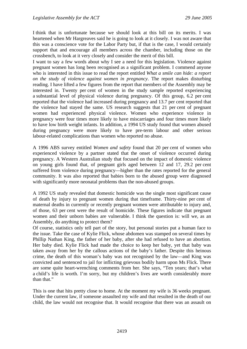I think that is unfortunate because we should look at this bill on its merits. I was heartened when Mr Hargreaves said he is going to look at it closely. I was not aware that this was a conscience vote for the Labor Party but, if that is the case, I would certainly support that and encourage all members across the chamber, including those on the crossbench, to look at it very closely and consider the merit of this bill.

I want to say a few words about why I see a need for this legislation. Violence against pregnant women has long been recognised as a significant problem. I commend anyone who is interested in this issue to read the report entitled *What a smile can hide: a report on the study of violence against women in pregnancy*. The report makes disturbing reading. I have lifted a few figures from the report that members of the Assembly may be interested in. Twenty per cent of women in the study sample reported experiencing a substantial level of physical violence during pregnancy. Of this group, 6.2 per cent reported that the violence had increased during pregnancy and 13.7 per cent reported that the violence had stayed the same. US research suggests that 21 per cent of pregnant women had experienced physical violence. Women who experience violence in pregnancy were four times more likely to have miscarriages and four times more likely to have low birth weight infants. In addition, a 1994 US study found that women abused during pregnancy were more likely to have pre-term labour and other serious labour-related complications than women who reported no abuse.

A 1996 ABS survey entitled *Women and safety* found that 20 per cent of women who experienced violence by a partner stated that the onset of violence occurred during pregnancy. A Western Australian study that focused on the impact of domestic violence on young girls found that, of pregnant girls aged between 12 and 17, 29.2 per cent suffered from violence during pregnancy—higher than the rates reported for the general community. It was also reported that babies born to the abused group were diagnosed with significantly more neonatal problems than the non-abused groups.

A 1992 US study revealed that domestic homicide was the single most significant cause of death by injury to pregnant women during that timeframe. Thirty-nine per cent of maternal deaths in currently or recently pregnant women were attributable to injury and, of those, 63 per cent were the result of homicide. These figures indicate that pregnant women and their unborn babies are vulnerable. I think the question is: will we, as an Assembly, do anything to protect them?

Of course, statistics only tell part of the story, but personal stories put a human face to the issue. Take the case of Kylie Flick, whose abdomen was stamped on several times by Phillip Nathan King, the father of her baby, after she had refused to have an abortion. Her baby died. Kylie Flick had made the choice to keep her baby, yet that baby was taken away from her by the callous actions of the baby's father. Despite this heinous crime, the death of this woman's baby was not recognised by the law—and King was convicted and sentenced to jail for inflicting grievous bodily harm upon Ms Flick. There are some quite heart-wrenching comments from her. She says, "Ten years; that's what a child's life is worth. I'm sorry, but my children's lives are worth considerably more than that."

This is one that hits pretty close to home. At the moment my wife is 36 weeks pregnant. Under the current law, if someone assaulted my wife and that resulted in the death of our child, the law would not recognise that. It would recognise that there was an assault on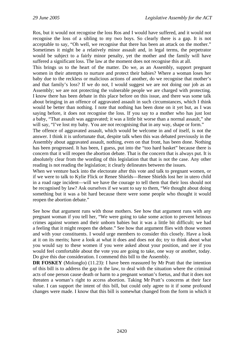Ros, but it would not recognise the loss Ros and I would have suffered, and it would not recognise the loss of a sibling to my two boys. So clearly there is a gap. It is not acceptable to say, "Oh well, we recognise that there has been an attack on the mother." Sometimes it might be a relatively minor assault and, in legal terms, the perpetrator would be subject to a fairly minor penalty, yet the mother and the family will have suffered a significant loss. The law at the moment does not recognise this at all.

This brings us to the heart of the matter. Do we, as an Assembly, support pregnant women in their attempts to nurture and protect their babies? Where a woman loses her baby due to the reckless or malicious actions of another, do we recognise that mother's and that family's loss? If we do not, I would suggest we are not doing our job as an Assembly; we are not protecting the vulnerable people we are charged with protecting. I know there has been debate in this place before on this issue, and there was some talk about bringing in an offence of aggravated assault in such circumstances, which I think would be better than nothing. I note that nothing has been done on it yet but, as I was saying before, it does not recognise the loss. If you say to a mother who has just lost a baby, "That assault was aggravated; it was a little bit worse than a normal assault," she will say, "I've lost my baby. You are not recognising that in any way, shape or form."

The offence of aggravated assault, which would be welcome in and of itself, is not the answer. I think it is unfortunate that, despite talk when this was debated previously in the Assembly about aggravated assault, nothing, even on that front, has been done. Nothing has been progressed. It has been, I guess, put into the "too hard basket" because there is concern that it will reopen the abortion debate. That is the concern that is always put. It is absolutely clear from the wording of this legislation that that is not the case. Any other reading is not reading the legislation; it clearly delineates between the issues.

When we venture back into the electorate after this vote and talk to pregnant women, or if we were to talk to Kylie Flick or Renee Shields—Renee Shields lost her in utero child in a road rage incident—will we have the courage to tell them that their loss should not be recognised by law? Ask ourselves if we want to say to them, "We thought about doing something but it was a bit hard because there were some people who thought it would reopen the abortion debate."

See how that argument runs with those mothers. See how that argument runs with any pregnant woman if you tell her, "We were going to take some action to prevent heinous crimes against women and their unborn babies but it was a little bit difficult; we had a feeling that it might reopen the debate." See how that argument flies with those women and with your constituents. I would urge members to consider this closely. Have a look at it on its merits; have a look at what it does and does not do; try to think about what you would say to these women if you were asked about your position, and see if you would feel comfortable about the vote you are going to take, one way or another, today. Do give this due consideration. I commend this bill to the Assembly.

**DR FOSKEY** (Molonglo) (11.23): I have been reassured by Mr Pratt that the intention of this bill is to address the gap in the law, to deal with the situation where the criminal acts of one person cause death or harm to a pregnant woman's foetus, and that it does not threaten a woman's right to access abortion. Taking Mr Pratt's concerns at their face value. I can support the intent of this bill, but could only agree to it if some profound changes were made. I know that this bill is somewhat changed from the form in which it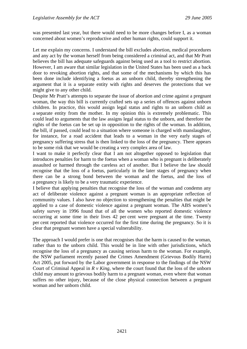was presented last year, but there would need to be more changes before I, as a woman concerned about women's reproductive and other human rights, could support it.

Let me explain my concerns. I understand the bill excludes abortion, medical procedures and any act by the woman herself from being considered a criminal act, and that Mr Pratt believes the bill has adequate safeguards against being used as a tool to restrict abortion. However, I am aware that similar legislation in the United States has been used as a back door to revoking abortion rights, and that some of the mechanisms by which this has been done include identifying a foetus as an unborn child, thereby strengthening the argument that it is a separate entity with rights and deserves the protections that we might give to any other child.

Despite Mr Pratt's attempts to separate the issue of abortion and crime against a pregnant woman, the way this bill is currently crafted sets up a series of offences against unborn children. In practice, this would assign legal status and rights to an unborn child as a separate entity from the mother. In my opinion this is extremely problematic. This could lead to arguments that the law assigns legal status to the unborn, and therefore the rights of the foetus can be set up in opposition to the rights of the woman. In addition, the bill, if passed, could lead to a situation where someone is charged with manslaughter, for instance, for a road accident that leads to a woman in the very early stages of pregnancy suffering stress that is then linked to the loss of the pregnancy. There appears to be some risk that we would be creating a very complex area of law.

I want to make it perfectly clear that I am not altogether opposed to legislation that introduces penalties for harm to the foetus when a woman who is pregnant is deliberately assaulted or harmed through the careless act of another. But I believe the law should recognise that the loss of a foetus, particularly in the later stages of pregnancy when there can be a strong bond between the woman and the foetus, and the loss of a pregnancy is likely to be a very traumatic experience.

I believe that applying penalties that recognise the loss of the woman and condemn any act of deliberate violence against a pregnant woman is an appropriate reflection of community values. I also have no objection to strengthening the penalties that might be applied to a case of domestic violence against a pregnant woman. The ABS women's safety survey in 1996 found that of all the women who reported domestic violence occurring at some time in their lives 42 per cent were pregnant at the time. Twenty per cent reported that violence occurred for the first time during the pregnancy. So it is clear that pregnant women have a special vulnerability.

The approach I would prefer is one that recognises that the harm is caused to the woman, rather than to the unborn child. This would be in line with other jurisdictions, which recognise the loss of a pregnancy as causing serious harm to the woman. For example, the NSW parliament recently passed the Crimes Amendment (Grievous Bodily Harm) Act 2005, put forward by the Labor government in response to the findings of the NSW Court of Criminal Appeal in  $R \vee King$ , where the court found that the loss of the unborn child may amount to grievous bodily harm to a pregnant woman, even where that woman suffers no other injury, because of the close physical connection between a pregnant woman and her unborn child.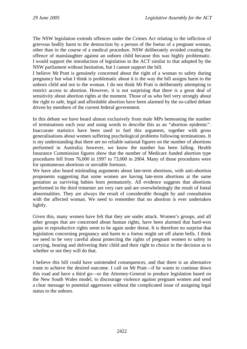The NSW legislation extends offences under the Crimes Act relating to the infliction of grievous bodily harm to the destruction by a person of the foetus of a pregnant woman, other than in the course of a medical procedure. NSW deliberately avoided creating the offence of manslaughter against an unborn child because this was highly problematic. I would support the introduction of legislation in the ACT similar to that adopted by the NSW parliament without hesitation, but I cannot support the bill.

I believe Mr Pratt is genuinely concerned about the right of a woman to safety during pregnancy but what I think is problematic about it is the way the bill assigns harm to the unborn child and not to the woman. I do not think Mr Pratt is deliberately attempting to restrict access to abortion. However, it is not surprising that there is a great deal of sensitivity about abortion rights at the moment. Those of us who feel very strongly about the right to safe, legal and affordable abortion have been alarmed by the so-called debate driven by members of the current federal government.

In this debate we have heard almost exclusively from male MPs bemoaning the number of terminations each year and using words to describe this as an "abortion epidemic". Inaccurate statistics have been used to fuel this argument, together with gross generalisations about women suffering psychological problems following terminations. It is my understanding that there are no reliable national figures on the number of abortions performed in Australia; however, we know the number has been falling. Health Insurance Commission figures show that the number of Medicare funded abortion type procedures fell from 76,000 in 1997 to 73,000 in 2004. Many of those procedures were for spontaneous abortions or unviable foetuses.

We have also heard misleading arguments about late-term abortions, with anti-abortion proponents suggesting that some women are having late-term abortions at the same gestation as surviving babies born prematurely. All evidence suggests that abortions performed in the third trimester are very rare and are overwhelmingly the result of foetal abnormalities. They are always the result of considerable thought by and consultation with the affected woman. We need to remember that no abortion is ever undertaken lightly.

Given this, many women have felt that they are under attack. Women's groups, and all other groups that are concerned about human rights, have been alarmed that hard-won gains in reproductive rights seem to be again under threat. It is therefore no surprise that legislation concerning pregnancy and harm to a foetus might set off alarm bells. I think we need to be very careful about protecting the rights of pregnant women to safety in carrying, bearing and delivering their child and their right to choice in the decision as to whether or not they will do that.

I believe this bill could have unintended consequences, and that there is an alternative route to achieve the desired outcome. I call on Mr Pratt—if he wants to continue down this road and have a third go—or the Attorney-General to produce legislation based on the New South Wales model, to discourage violence against pregnant women and send a clear message to potential aggressors without the complicated issue of assigning legal status to the unborn.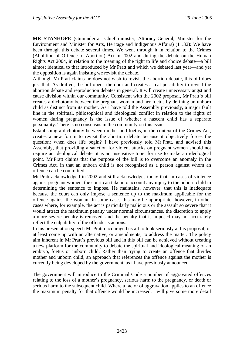**MR STANHOPE** (Ginninderra—Chief minister, Attorney-General, Minister for the Environment and Minister for Arts, Heritage and Indigenous Affairs) (11.32): We have been through this debate several times. We went through it in relation to the Crimes (Abolition of Offence of Abortion) Act in 2002 and during the debate on the Human Rights Act 2004, in relation to the meaning of the right to life and choice debate—a bill almost identical to that introduced by Mr Pratt and which we debated last year—and yet the opposition is again insisting we revisit the debate.

Although Mr Pratt claims he does not wish to revisit the abortion debate, this bill does just that. As drafted, the bill opens the door and creates a real possibility to revisit the abortion debate and reproduction debates in general. It will create unnecessary angst and cause division within our community. Consistent with the 2002 proposal, Mr Pratt's bill creates a dichotomy between the pregnant woman and her foetus by defining an unborn child as distinct from its mother. As I have told the Assembly previously, a major fault line in the spiritual, philosophical and ideological conflict in relation to the rights of women during pregnancy is the issue of whether a nascent child has a separate personality. There is no consensus in the community on this issue.

Establishing a dichotomy between mother and foetus, in the context of the Crimes Act, creates a new forum to revisit the abortion debate because it objectively forces the question: when does life begin? I have previously told Mr Pratt, and advised this Assembly, that providing a sanction for violent attacks on pregnant women should not require an ideological debate; it is an insensitive topic for use to make an ideological point. Mr Pratt claims that the purpose of the bill is to overcome an anomaly in the Crimes Act, in that an unborn child is not recognised as a person against whom an offence can be committed.

Mr Pratt acknowledged in 2002 and still acknowledges today that, in cases of violence against pregnant women, the court can take into account any injury to the unborn child in determining the sentence to impose. He maintains, however, that this is inadequate because the court can only impose a sentence up to the maximum applicable for the offence against the woman. In some cases this may be appropriate; however, in other cases where, for example, the act is particularly malicious or the assault so severe that it would attract the maximum penalty under normal circumstances, the discretion to apply a more severe penalty is removed, and the penalty that is imposed may not accurately reflect the culpability of the offender's actions.

In his presentation speech Mr Pratt encouraged us all to look seriously at his proposal, or at least come up with an alternative, or amendments, to address the matter. The policy aim inherent in Mr Pratt's previous bill and in this bill can be achieved without creating a new platform for the community to debate the spiritual and ideological meaning of an embryo, foetus or unborn child. Rather than trying to create an offence that divides mother and unborn child, an approach that references the offence against the mother is currently being developed by the government, as I have previously announced.

The government will introduce to the Criminal Code a number of aggravated offences relating to the loss of a mother's pregnancy, serious harm to the pregnancy, or death or serious harm to the subsequent child. Where a factor of aggravation applies to an offence the maximum penalty for that offence would be increased. I will give some more detail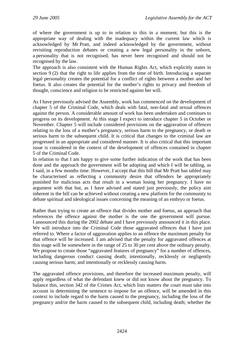of where the government is up to in relation to this in a moment, but this is the appropriate way of dealing with the inadequacy within the current law which is acknowledged by Mr Pratt, and indeed acknowledged by the government, without revisiting reproduction debates or creating a new legal personality in the unborn, a personality that is not recognised, has never been recognised and should not be recognised by the law.

The approach is also consistent with the Human Rights Act, which explicitly states in section 9 (2) that the right to life applies from the time of birth. Introducing a separate legal personality creates the potential for a conflict of rights between a mother and her foetus. It also creates the potential for the mother's rights to privacy and freedom of thought, conscience and religion to be restricted against her will.

As I have previously advised the Assembly, work has commenced on the development of chapter 5 of the Criminal Code, which deals with fatal, non-fatal and sexual offences against the person. A considerable amount of work has been undertaken and continues to progress on its development. At this stage I expect to introduce chapter 5 in October or November. Chapter 5 will include considered provisions on the aggravation of offences relating to the loss of a mother's pregnancy, serious harm to the pregnancy, or death or serious harm to the subsequent child. It is critical that changes to the criminal law are progressed in an appropriate and considered manner. It is also critical that this important issue is considered in the context of the development of offences contained in chapter 5 of the Criminal Code.

In relation to that I am happy to give some further indication of the work that has been done and the approach the government will be adopting and which I will be tabling, as I said, in a few months time. However, I accept that this bill that Mr Pratt has tabled may be characterised as reflecting a community desire that offenders be appropriately punished for malicious acts that result in a woman losing her pregnancy. I have no argument with that but, as I have advised and stated just previously, the policy aim inherent in the bill can be achieved without creating a new platform for the community to debate spiritual and ideological issues concerning the meaning of an embryo or foetus.

Rather than trying to create an offence that divides mother and foetus, an approach that references the offence against the mother is the one the government will pursue. I announced this during the 2002 debate and I have previously announced it in this place. We will introduce into the Criminal Code those aggravated offences that I have just referred to. Where a factor of aggravation applies to an offence the maximum penalty for that offence will be increased. I am advised that the penalty for aggravated offences at this stage will be somewhere in the range of 25 to 30 per cent above the ordinary penalty. We propose to create those "aggravated features of pregnancy" for a number of offences, including dangerous conduct causing death; intentionally, recklessly or negligently causing serious harm; and intentionally or recklessly causing harm.

The aggravated offence provisions, and therefore the increased maximum penalty, will apply regardless of what the defendant knew or did not know about the pregnancy. To balance this, section 342 of the Crimes Act, which lists matters the court must take into account in determining the sentence to impose for an offence, will be amended in this context to include regard to the harm caused to the pregnancy, including the loss of the pregnancy and/or the harm caused to the subsequent child, including death; whether the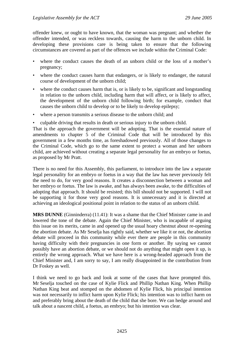offender knew, or ought to have known, that the woman was pregnant; and whether the offender intended, or was reckless towards, causing the harm to the unborn child. In developing these provisions care is being taken to ensure that the following circumstances are covered as part of the offences we include within the Criminal Code:

- where the conduct causes the death of an unborn child or the loss of a mother's pregnancy;
- where the conduct causes harm that endangers, or is likely to endanger, the natural course of development of the unborn child;
- where the conduct causes harm that is, or is likely to be, significant and longstanding in relation to the unborn child, including harm that will affect, or is likely to affect, the development of the unborn child following birth; for example, conduct that causes the unborn child to develop or to be likely to develop epilepsy;
- where a person transmits a serious disease to the unborn child; and
- culpable driving that results in death or serious injury to the unborn child.

That is the approach the government will be adopting. That is the essential nature of amendments to chapter 5 of the Criminal Code that will be introduced by this government in a few months time, as foreshadowed previously. All of those changes to the Criminal Code, which go to the same extent to protect a woman and her unborn child, are achieved without creating a separate legal personality for an embryo or foetus, as proposed by Mr Pratt.

There is no need for this Assembly, this parliament, to introduce into the law a separate legal personality for an embryo or foetus in a way that the law has never previously felt the need to do, for very good reasons. It creates a disconnection between a woman and her embryo or foetus. The law is awake, and has always been awake, to the difficulties of adopting that approach. It should be resisted; this bill should not be supported. I will not be supporting it for those very good reasons. It is unnecessary and it is directed at achieving an ideological positional point in relation to the status of an unborn child.

**MRS DUNNE** (Ginninderra) (11.41): It was a shame that the Chief Minister came in and lowered the tone of the debate. Again the Chief Minister, who is incapable of arguing this issue on its merits, came in and opened up the usual hoary chestnut about re-opening the abortion debate. As Mr Seselja has rightly said, whether we like it or not, the abortion debate will proceed in this community while ever there are people in this community having difficulty with their pregnancies in one form or another. By saying we cannot possibly have an abortion debate, or we should not do anything that might open it up, is entirely the wrong approach. What we have here is a wrong-headed approach from the Chief Minister and, I am sorry to say, I am really disappointed in the contribution from Dr Foskey as well.

I think we need to go back and look at some of the cases that have prompted this. Mr Seselja touched on the case of Kylie Flick and Phillip Nathan King. When Phillip Nathan King beat and stomped on the abdomen of Kylie Flick, his principal intention was not necessarily to inflict harm upon Kylie Flick; his intention was to inflict harm on and preferably bring about the death of the child that she bore. We can hedge around and talk about a nascent child, a foetus, an embryo; but his intention was clear.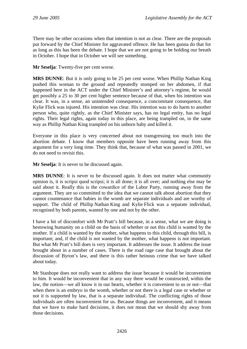There may be other occasions when that intention is not as clear. There are the proposals put forward by the Chief Minister for aggravated offence. He has been gunna do that for as long as this has been the debate. I hope that we are not going to be holding our breath in October. I hope that in October we will see something.

**Mr Seselja**: Twenty-five per cent worse.

**MRS DUNNE**: But it is only going to be 25 per cent worse. When Phillip Nathan King pushed this woman to the ground and repeatedly stomped on her abdomen, if that happened here in the ACT under the Chief Minister's and attorney's regime, he would get possibly a 25 to 30 per cent higher sentence because of that, when his intention was clear. It was, in a sense, an unintended consequence, a concomitant consequence, that Kylie Flick was injured. His intention was clear. His intention was to do harm to another person who, quite rightly, as the Chief Minister says, has no legal entity, has no legal rights. Their legal rights, again today in this place, are being trampled on, in the same way as Phillip Nathan King trampled on his unborn baby and killed it.

Everyone in this place is very concerned about not transgressing too much into the abortion debate. I know that members opposite have been running away from this argument for a very long time. They think that, because of what was passed in 2001, we do not need to revisit this.

**Mr Seselja**: It is never to be discussed again.

**MRS DUNNE**: It is never to be discussed again. It does not matter what community opinion is, it is scripsi quod scripsi; it is all done; it is all over; and nothing else may be said about it. Really this is the cowardice of the Labor Party, running away from the argument. They are so committed to the idea that we cannot talk about abortion that they cannot countenance that babies in the womb are separate individuals and are worthy of support. The child of Phillip Nathan King and Kylie Flick was a separate individual, recognised by both parents, wanted by one and not by the other.

I have a bit of discomfort with Mr Pratt's bill because, in a sense, what we are doing is bestowing humanity on a child on the basis of whether or not this child is wanted by the mother. If a child is wanted by the mother, what happens to this child, through this bill, is important; and, if the child is not wanted by the mother, what happens is not important. But what Mr Pratt's bill does is very important. It addresses the issue. It address the issue brought about in a number of cases. There is the road rage case that brought about the discussion of Byron's law, and there is this rather heinous crime that we have talked about today.

Mr Stanhope does not really want to address the issue because it would be inconvenient to him. It would be inconvenient that in any way there would be constructed, within the law, the notion—we all know it in our hearts, whether it is convenient to us or not—that when there is an embryo in the womb, whether or not there is a legal case or whether or not it is supported by law, that is a separate individual. The conflicting rights of those individuals are often inconvenient for us. Because things are inconvenient, and it means that we have to make hard decisions, it does not mean that we should shy away from those decisions.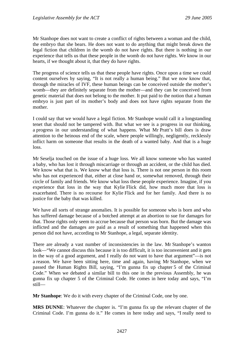Mr Stanhope does not want to create a conflict of rights between a woman and the child, the embryo that she bears. He does not want to do anything that might break down the legal fiction that children in the womb do not have rights. But there is nothing in our experience that tells us that these people in the womb do not have rights. We know in our hearts, if we thought about it, that they do have rights.

The progress of science tells us that these people have rights. Once upon a time we could content ourselves by saying, "It is not really a human being." But we now know that, through the miracles of IVF, these human beings can be conceived outside the mother's womb—they are definitely separate from the mother—and they can be conceived from genetic material that does not belong to the mother. It put paid to the notion that a human embryo is just part of its mother's body and does not have rights separate from the mother.

I could say that we would have a legal fiction. Mr Stanhope would call it a longstanding tenet that should not be tampered with. But what we see is a progress in our thinking, a progress in our understanding of what happens. What Mr Pratt's bill does is draw attention to the heinous end of the scale, where people willingly, negligently, recklessly inflict harm on someone that results in the death of a wanted baby. And that is a huge loss.

Mr Seselja touched on the issue of a huge loss. We all know someone who has wanted a baby, who has lost it through miscarriage or through an accident, or the child has died. We know what that is. We know what that loss is. There is not one person in this room who has not experienced that, either at close hand or, somewhat removed, through their circle of family and friends. We know what loss these people experience. Imagine, if you experience that loss in the way that Kylie Flick did, how much more that loss is exacerbated. There is no recourse for Kylie Flick and for her family. And there is no justice for the baby that was killed.

We have all sorts of strange anomalies. It is possible for someone who is born and who has suffered damage because of a botched attempt at an abortion to sue for damages for that. Those rights only seem to accrue because that person was born. But the damage was inflicted and the damages are paid as a result of something that happened when this person did not have, according to Mr Stanhope, a legal, separate identity.

There are already a vast number of inconsistencies in the law. Mr Stanhope's wanton look—"We cannot discuss this because it is too difficult, it is too inconvenient and it gets in the way of a good argument, and I really do not want to have that argument"—is not a reason. We have been sitting here, time and again, having Mr Stanhope, when we passed the Human Rights Bill, saying, "I'm gunna fix up chapter 5 of the Criminal Code." When we debated a similar bill to this one in the previous Assembly, he was gunna fix up chapter 5 of the Criminal Code. He comes in here today and says, "I'm still—

**Mr Stanhope**: We do it with every chapter of the Criminal Code, one by one.

**MRS DUNNE**: Whatever the chapter is. "I'm gunna fix up the relevant chapter of the Criminal Code. I'm gunna do it." He comes in here today and says, "I really need to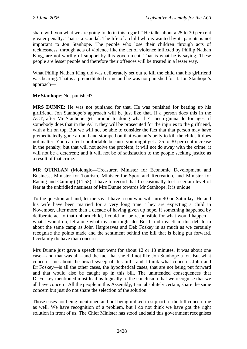share with you what we are going to do in this regard." He talks about a 25 to 30 per cent greater penalty. That is a scandal. The life of a child who is wanted by its parents is not important to Jon Stanhope. The people who lose their children through acts of recklessness, through acts of violence like the act of violence inflicted by Phillip Nathan King, are not worthy of support by this government. That is what he is saying. These people are lesser people and therefore their offences will be treated in a lesser way.

What Phillip Nathan King did was deliberately set out to kill the child that his girlfriend was bearing. That is a premeditated crime and he was not punished for it. Jon Stanhope's approach—

#### **Mr Stanhope**: Not punished?

**MRS DUNNE**: He was not punished for that. He was punished for beating up his girlfriend. Jon Stanhope's approach will be just like that. If a person does this in the ACT, after Mr Stanhope gets around to doing what he's been gunna do for ages, if somebody does that in the ACT, they will be prosecuted for the injuries to the girlfriend, with a bit on top. But we will not be able to consider the fact that that person may have premeditatedly gone around and stomped on that woman's belly to kill the child. It does not matter. You can feel comfortable because you might get a 25 to 30 per cent increase in the penalty, but that will not solve the problem; it will not do away with the crime; it will not be a deterrent; and it will not be of satisfaction to the people seeking justice as a result of that crime.

**MR QUINLAN** (Molonglo—Treasurer, Minister for Economic Development and Business, Minister for Tourism, Minister for Sport and Recreation, and Minister for Racing and Gaming) (11.53): I have to record that I occasionally feel a certain level of fear at the unbridled nastiness of Mrs Dunne towards Mr Stanhope. It is unique.

To the question at hand, let me say: I have a son who will turn 40 on Saturday. He and his wife have been married for a very long time. They are expecting a child in November, after more than a decade of having given up hope. If something happened by deliberate act to that unborn child, I could not be responsible for what would happen what I would do, let alone what my son might do. But I find myself in this debate in about the same camp as John Hargreaves and Deb Foskey in as much as we certainly recognise the points made and the sentiment behind the bill that is being put forward. I certainly do have that concern.

Mrs Dunne just gave a speech that went for about 12 or 13 minutes. It was about one case—and that was all—and the fact that she did not like Jon Stanhope a lot. But what concerns me about the broad sweep of this bill—and I think what concerns John and Dr Foskey—is all the other cases, the hypothetical cases, that are not being put forward and that would also be caught up in this bill. The unintended consequences that Dr Foskey mentioned must lead us logically to the conclusion that we recognise that we all have concern. All the people in this Assembly, I am absolutely certain, share the same concern but just do not share the selection of the solution.

Those cases not being mentioned and not being milked in support of the bill concern me as well. We have recognition of a problem, but I do not think we have got the right solution in front of us. The Chief Minister has stood and said this government recognises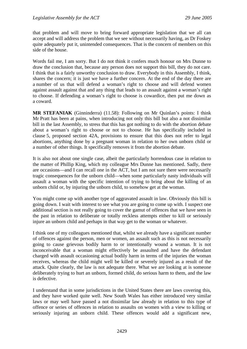that problem and will move to bring forward appropriate legislation that we all can accept and will address the problem that we see without necessarily having, as Dr Foskey quite adequately put it, unintended consequences. That is the concern of members on this side of the house.

Words fail me, I am sorry. But I do not think it confers much honour on Mrs Dunne to draw the conclusion that, because any person does not support this bill, they do not care. I think that is a fairly unworthy conclusion to draw. Everybody in this Assembly, I think, shares the concern; it is just we have a further concern. At the end of the day there are a number of us that will defend a woman's right to choose and will defend women against assault against that and any thing that leads to an assault against a woman's right to choose. If defending a woman's right to choose is cowardice, then put me down as a coward.

**MR STEFANIAK** (Ginninderra) (11.58): Following on Mr Quinlan's points: I think Mr Pratt has been at pains, when introducing not only this bill but also a not dissimilar bill in the last Assembly, to stress that this has got nothing to do with the abortion debate about a woman's right to choose or not to choose. He has specifically included in clause 5, proposed section 42A, provisions to ensure that this does not refer to legal abortions, anything done by a pregnant woman in relation to her own unborn child or a number of other things. It specifically removes it from the abortion debate.

It is also not about one single case, albeit the particularly horrendous case in relation to the matter of Phillip King, which my colleague Mrs Dunne has mentioned. Sadly, there are occasions—and I can recall one in the ACT, but I am not sure there were necessarily tragic consequences for the unborn child—when some particularly nasty individuals will assault a woman with the specific intention of trying to bring about the killing of an unborn child or, by injuring the unborn child, to somehow get at the woman.

You might come up with another type of aggravated assault in law. Obviously this bill is going down. I wait with interest to see what you are going to come up with. I suspect one additional section is not really going to cover the gamut of offences that we have seen in the past in relation to deliberate or totally reckless attempts either to kill or seriously injure an unborn child and perhaps in that way get to the woman or whatever.

I think one of my colleagues mentioned that, whilst we already have a significant number of offences against the person, men or women, an assault such as this is not necessarily going to cause grievous bodily harm to or intentionally wound a woman. It is not inconceivable that a woman might effectively be assaulted and have the defendant charged with assault occasioning actual bodily harm in terms of the injuries the woman receives, whereas the child might well be killed or severely injured as a result of the attack. Quite clearly, the law is not adequate there. What we are looking at is someone deliberately trying to hurt an unborn, formed child, do serious harm to them, and the law is defective.

I understand that in some jurisdictions in the United States there are laws covering this, and they have worked quite well. New South Wales has either introduced very similar laws or may well have passed a not dissimilar law already in relation to this type of offence or series of offences in relation to assaults on women with a view to killing or seriously injuring an unborn child. These offences would add a significant new,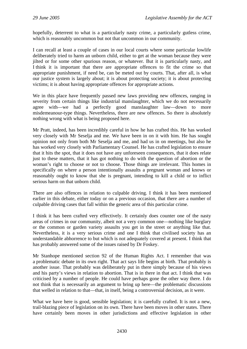hopefully, deterrent to what is a particularly nasty crime, a particularly gutless crime, which is reasonably uncommon but not that uncommon in our community.

I can recall at least a couple of cases in our local courts where some particular lowlife deliberately tried to harm an unborn child, either to get at the woman because they were jilted or for some other spurious reason, or whatever. But it is particularly nasty, and I think it is important that there are appropriate offences to fit the crime so that appropriate punishment, if need be, can be meted out by courts. That, after all, is what our justice system is largely about; it is about protecting society; it is about protecting victims; it is about having appropriate offences for appropriate actions.

We in this place have frequently passed new laws providing new offences, ranging in severity from certain things like industrial manslaughter, which we do not necessarily agree with—we had a perfectly good manslaughter law—down to more misdemeanour-type things. Nevertheless, there are new offences. So there is absolutely nothing wrong with what is being proposed here.

Mr Pratt, indeed, has been incredibly careful in how he has crafted this. He has worked very closely with Mr Seselja and me. We have been in on it with him. He has sought opinion not only from both Mr Seselja and me, and had us in on meetings, but also he has worked very closely with Parliamentary Counsel. He has crafted legislation to ensure that it hits the spot, that it does not have any unforeseen consequences, that it does relate just to these matters, that it has got nothing to do with the question of abortion or the woman's right to choose or not to choose. Those things are irrelevant. This homes in specifically on where a person intentionally assaults a pregnant woman and knows or reasonably ought to know that she is pregnant, intending to kill a child or to inflict serious harm on that unborn child.

There are also offences in relation to culpable driving. I think it has been mentioned earlier in this debate, either today or on a previous occasion, that there are a number of culpable driving cases that fall within the generic area of this particular crime.

I think it has been crafted very effectively. It certainly does counter one of the nasty areas of crimes in our community, albeit not a very common one—nothing like burglary or the common or garden variety assaults you get in the street or anything like that. Nevertheless, it is a very serious crime and one I think that civilised society has an understandable abhorrence to but which is not adequately covered at present. I think that has probably answered some of the issues raised by Dr Foskey.

Mr Stanhope mentioned section 92 of the Human Rights Act. I remember that was a problematic debate in its own right. That act says life begins at birth. That probably is another issue. That probably was deliberately put in there simply because of his views and his party's views in relation to abortion. That is in there in that act. I think that was criticised by a number of people. He could have perhaps gone the other way there. I do not think that is necessarily an argument to bring up here—the problematic discussions that welled in relation to that—that, in itself, being a controversial decision, as it were.

What we have here is good, sensible legislation; it is carefully crafted. It is not a new, trail-blazing piece of legislation on its own. There have been moves in other states. There have certainly been moves in other jurisdictions and effective legislation in other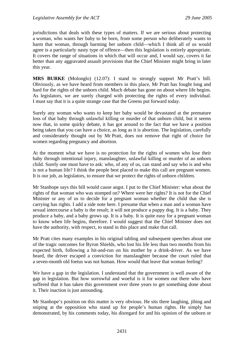jurisdictions that deals with these types of matters. If we are serious about protecting a woman, who wants her baby to be born, from some person who deliberately wants to harm that woman, through harming her unborn child—which I think all of us would agree is a particularly nasty type of offence—then this legislation is entirely appropriate. It covers the range of situations in which that will occur and, I would say, covers it far better than any aggravated assault provisions that the Chief Minister might bring in later this year.

**MRS BURKE** (Molonglo) (12.07): I stand to strongly support Mr Pratt's bill. Obviously, as we have heard from members in this place, Mr Pratt has fought long and hard for the rights of the unborn child. Much debate has gone on about where life begins. As legislators, we are surely charged with protecting the rights of every individual. I must say that it is a quite strange case that the Greens put forward today.

Surely any woman who wants to keep her baby would be devastated at the premature loss of that baby through unlawful killing or murder of that unborn child, but it seems now that, in some quirky debate, it has got around to the fact that we have a position being taken that you can have a choice, as long as it is abortion. The legislation, carefully and considerately thought out by Mr Pratt, does not remove that right of choice for women regarding pregnancy and abortion.

At the moment what we have is no protection for the rights of women who lose their baby through intentional injury, manslaughter, unlawful killing or murder of an unborn child. Surely one must have to ask: who, of any of us, can stand and say who is and who is not a human life? I think the people best placed to make this call are pregnant women. It is our job, as legislators, to ensure that we protect the rights of unborn children.

Mr Stanhope says this bill would cause angst. I put to the Chief Minister: what about the rights of that woman who was stomped on? Where were her rights? It is not for the Chief Minister or any of us to decide for a pregnant woman whether the child that she is carrying has rights. I add a side note here. I presume that when a man and a woman have sexual intercourse a baby is the result; it will not produce a puppy dog. It is a baby. They produce a baby, and a baby grows up. It is a baby. It is quite easy for a pregnant woman to know when life begins, therefore. I would suggest that the Chief Minister does not have the authority, with respect, to stand in this place and make that call.

Mr Pratt cites many examples in his original tabling and subsequent speeches about one of the tragic outcomes for Byron Shields, who lost his life less than two months from his expected birth, following a hit-and-run on his mother by a drink-driver. As we have heard, the driver escaped a conviction for manslaughter because the court ruled that a seven-month old foetus was not human. How would that leave that woman feeling?

We have a gap in the legislation. I understand that the government is well aware of the gap in legislation. But how sorrowful and woeful is it for women out there who have suffered that it has taken this government over three years to get something done about it. Their inaction is just astounding.

Mr Stanhope's position on this matter is very obvious. He sits there laughing, jibing and sniping at the opposition who stand up for people's human rights. He simply has demonstrated, by his comments today, his disregard for and his opinion of the unborn or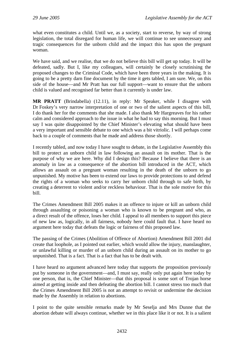what even constitutes a child. Until we, as a society, start to reverse, by way of strong legislation, the total disregard for human life, we will continue to see unnecessary and tragic consequences for the unborn child and the impact this has upon the pregnant woman.

We have said, and we realise, that we do not believe this bill will get up today. It will be defeated, sadly. But I, like my colleagues, will certainly be closely scrutinising the proposed changes to the Criminal Code, which have been three years in the making. It is going to be a pretty darn fine document by the time it gets tabled, I am sure. We, on this side of the house—and Mr Pratt has our full support—want to ensure that the unborn child is valued and recognised far better than it currently is under law.

**MR PRATT** (Brindabella) (12.11), in reply: Mr Speaker, while I disagree with Dr Foskey's very narrow interpretation of one or two of the salient aspects of this bill, I do thank her for the comments that she made. I also thank Mr Hargreaves for his rather calm and considered approach to the issue in what he had to say this morning. But I must say I was quite disappointed by the Chief Minister's elevating what should have been a very important and sensible debate to one which was a bit vitriolic. I will perhaps come back to a couple of comments that he made and address those shortly.

I recently tabled, and now today I have sought to debate, in the Legislative Assembly this bill to protect an unborn child in law following an assault on its mother. That is the purpose of why we are here. Why did I design this? Because I believe that there is an anomaly in law as a consequence of the abortion bill introduced in the ACT, which allows an assault on a pregnant woman resulting in the death of the unborn to go unpunished. My motive has been to extend our laws to provide protections to and defend the rights of a woman who seeks to carry her unborn child through to safe birth, by creating a deterrent to violent and/or reckless behaviour. That is the sole motive for this bill.

The Crimes Amendment Bill 2005 makes it an offence to injure or kill an unborn child through assaulting or poisoning a woman who is known to be pregnant and who, as a direct result of the offence, loses her child. I appeal to all members to support this piece of new law as, logically, in all fairness, nobody here could fault that. I have heard no argument here today that defeats the logic or fairness of this proposed law.

The passing of the Crimes (Abolition of Offence of Abortion) Amendment Bill 2001 did create that loophole, as I pointed out earlier, which would allow the injury, manslaughter, or unlawful killing or murder of an unborn child during an assault on its mother to go unpunished. That is a fact. That is a fact that has to be dealt with.

I have heard no argument advanced here today that supports the proposition previously put by someone in the government—and, I must say, really only put again here today by one person, that is, the Chief Minister—that this proposal is some sort of Trojan horse aimed at getting inside and then defeating the abortion bill. I cannot stress too much that the Crimes Amendment Bill 2005 is not an attempt to revisit or undermine the decision made by the Assembly in relation to abortions.

I point to the quite sensible remarks made by Mr Seselja and Mrs Dunne that the abortion debate will always continue, whether we in this place like it or not. It is a salient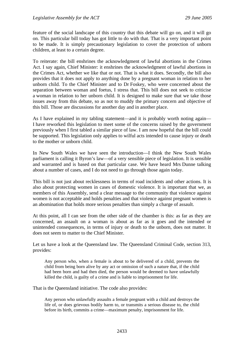feature of the social landscape of this country that this debate will go on, and it will go on. This particular bill today has got little to do with that. That is a very important point to be made. It is simply precautionary legislation to cover the protection of unborn children, at least to a certain degree.

To reiterate: the bill enshrines the acknowledgment of lawful abortions in the Crimes Act. I say again, Chief Minister: it enshrines the acknowledgment of lawful abortions in the Crimes Act, whether we like that or not. That is what it does. Secondly, the bill also provides that it does not apply to anything done by a pregnant woman in relation to her unborn child. To the Chief Minister and to Dr Foskey, who were concerned about the separation between woman and foetus, I stress that. This bill does not seek to criticise a woman in relation to her unborn child. It is designed to make sure that we take those issues away from this debate, so as not to muddy the primary concern and objective of this bill. Those are discussions for another day and in another place.

As I have explained in my tabling statement—and it is probably worth noting again— I have reworked this legislation to meet some of the concerns raised by the government previously when I first tabled a similar piece of law. I am now hopeful that the bill could be supported. This legislation only applies to wilful acts intended to cause injury or death to the mother or unborn child.

In New South Wales we have seen the introduction—I think the New South Wales parliament is calling it Byron's law—of a very sensible piece of legislation. It is sensible and warranted and is based on that particular case. We have heard Mrs Dunne talking about a number of cases, and I do not need to go through those again today.

This bill is not just about recklessness in terms of road incidents and other actions. It is also about protecting women in cases of domestic violence. It is important that we, as members of this Assembly, send a clear message to the community that violence against women is not acceptable and holds penalties and that violence against pregnant women is an abomination that holds more serious penalties than simply a charge of assault.

At this point, all I can see from the other side of the chamber is this: as far as they are concerned, an assault on a woman is about as far as it goes and the intended or unintended consequences, in terms of injury or death to the unborn, does not matter. It does not seem to matter to the Chief Minister.

Let us have a look at the Queensland law. The Queensland Criminal Code, section 313, provides:

Any person who, when a female is about to be delivered of a child, prevents the child from being born alive by any act or omission of such a nature that, if the child had been born and had then died, the person would be deemed to have unlawfully killed the child, is guilty of a crime and is liable to imprisonment for life.

That is the Queensland initiative. The code also provides:

Any person who unlawfully assaults a female pregnant with a child and destroys the life of, or does grievous bodily harm to, or transmits a serious disease to, the child before its birth, commits a crime—maximum penalty, imprisonment for life.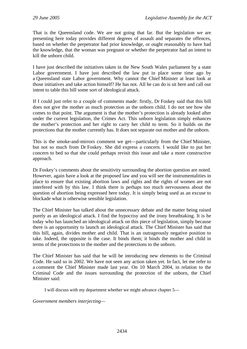That is the Queensland code. We are not going that far. But the legislation we are presenting here today provides different degrees of assault and separates the offences, based on whether the perpetrator had prior knowledge, or ought reasonably to have had the knowledge, that the woman was pregnant or whether the perpetrator had an intent to kill the unborn child.

I have just described the initiatives taken in the New South Wales parliament by a state Labor government. I have just described the law put in place some time ago by a Queensland state Labor government. Why cannot the Chief Minister at least look at those initiatives and take action himself? He has not. All he can do is sit here and call our intent to table this bill some sort of ideological attack.

If I could just refer to a couple of comments made: firstly, Dr Foskey said that this bill does not give the mother as much protection as the unborn child. I do not see how she comes to that point. The argument is that the mother's protection is already looked after under the current legislation, the Crimes Act. This unborn legislation simply enhances the mother's protection and her right to carry her child to term. So it builds on the protections that the mother currently has. It does not separate out mother and the unborn.

This is the smoke-and-mirrors comment we get—particularly from the Chief Minister, but not so much from Dr Foskey. She did express a concern. I would like to put her concern to bed so that she could perhaps revisit this issue and take a more constructive approach.

Dr Foskey's comments about the sensitivity surrounding the abortion question are noted. However, again have a look at the proposed law and you will see the instrumentalities in place to ensure that existing abortion laws and rights and the rights of women are not interfered with by this law. I think there is perhaps too much nervousness about the question of abortion being expressed here today. It is simply being used as an excuse to blockade what is otherwise sensible legislation.

The Chief Minister has talked about the unnecessary debate and the matter being raised purely as an ideological attack. I find the hypocrisy and the irony breathtaking. It is he today who has launched an ideological attack on this piece of legislation, simply because there is an opportunity to launch an ideological attack. The Chief Minister has said that this bill, again, divides mother and child. That is an outrageously negative position to take. Indeed, the opposite is the case. It binds them; it binds the mother and child in terms of the protections to the mother and the protections to the unborn.

The Chief Minister has said that he will be introducing new elements to the Criminal Code. He said so in 2002. We have not seen any action taken yet. In fact, let me refer to a comment the Chief Minister made last year. On 10 March 2004, in relation to the Criminal Code and the issues surrounding the protection of the unborn, the Chief Minister said:

I will discuss with my department whether we might advance chapter 5—

*Government members interjecting—*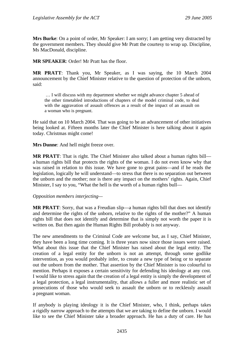**Mrs Burke**: On a point of order, Mr Speaker: I am sorry; I am getting very distracted by the government members. They should give Mr Pratt the courtesy to wrap up. Discipline, Ms MacDonald, discipline.

**MR SPEAKER**: Order! Mr Pratt has the floor.

**MR PRATT**: Thank you, Mr Speaker, as I was saying, the 10 March 2004 announcement by the Chief Minister relative to the question of protection of the unborn, said:

 … I will discuss with my department whether we might advance chapter 5 ahead of the other timetabled introductions of chapters of the model criminal code, to deal with the aggravation of assault offences as a result of the impact of an assault on a woman who is pregnant.

He said that on 10 March 2004. That was going to be an advancement of other initiatives being looked at. Fifteen months later the Chief Minister is here talking about it again today. Christmas might come!

**Mrs Dunne**: And hell might freeze over.

**MR PRATT**: That is right. The Chief Minister also talked about a human rights bill a human rights bill that protects the rights of the woman. I do not even know why that was raised in relation to this issue. We have gone to great pains—and if he reads the legislation, logically he will understand—to stress that there is no separation out between the unborn and the mother; nor is there any impact on the mothers' rights. Again, Chief Minister, I say to you, "What the hell is the worth of a human rights bull—

#### *Opposition members interjecting—*

**MR PRATT:** Sorry, that was a Freudian slip—a human rights bill that does not identify and determine the rights of the unborn, relative to the rights of the mother?" A human rights bill that does not identify and determine that is simply not worth the paper it is written on. But then again the Human Rights Bill probably is not anyway.

The new amendments to the Criminal Code are welcome but, as I say, Chief Minister, they have been a long time coming. It is three years now since those issues were raised. What about this issue that the Chief Minister has raised about the legal entity. The creation of a legal entity for the unborn is not an attempt, through some godlike intervention, as you would probably infer, to create a new type of being or to separate out the unborn from the mother. That assertion by the Chief Minister is too colourful to mention. Perhaps it exposes a certain sensitivity for defending his ideology at any cost. I would like to stress again that the creation of a legal entity is simply the development of a legal protection, a legal instrumentality, that allows a fuller and more realistic set of prosecutions of those who would seek to assault the unborn or to recklessly assault a pregnant woman.

If anybody is playing ideology it is the Chief Minister, who, I think, perhaps takes a rigidly narrow approach to the attempts that we are taking to define the unborn. I would like to see the Chief Minister take a broader approach. He has a duty of care. He has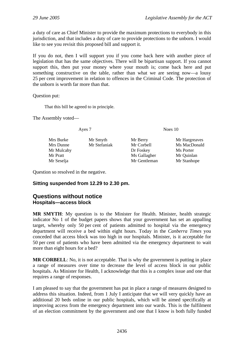<span id="page-29-0"></span>a duty of care as Chief Minister to provide the maximum protections to everybody in this jurisdiction, and that includes a duty of care to provide protections to the unborn. I would like to see you revisit this proposed bill and support it.

If you do not, then I will support you if you come back here with another piece of legislation that has the same objectives. There will be bipartisan support. If you cannot support this, then put your money where your mouth is; come back here and put something constructive on the table, rather than what we are seeing now—a lousy 25 per cent improvement in relation to offences in the Criminal Code. The protection of the unborn is worth far more than that.

Question put:

That this bill be agreed to in principle.

The Assembly voted—

Ayes 7 Noes 10

Mrs Burke Mr Smyth Mr Berry Mr Hargreaves Mrs Dunne Mr Stefaniak Mr Corbell Ms MacDonald Mr Mulcahy Dr Foskey Ms Porter Mr Pratt Mr Sallagher Mr Ouinlan Mr Seselja Mr Gentleman Mr Stanhope

- 
- 

Question so resolved in the negative.

### **Sitting suspended from 12.29 to 2.30 pm.**

### **Questions without notice Hospitals—access block**

**MR SMYTH**: My question is to the Minister for Health. Minister, health strategic indicator No 1 of the budget papers shows that your government has set an appalling target, whereby only 50 per cent of patients admitted to hospital via the emergency department will receive a bed within eight hours. Today in the *Canberra Times* you conceded that access block was too high in our hospitals. Minister, is it acceptable for 50 per cent of patients who have been admitted via the emergency department to wait more than eight hours for a bed?

**MR CORBELL:** No, it is not acceptable. That is why the government is putting in place a range of measures over time to decrease the level of access block in our public hospitals. As Minister for Health, I acknowledge that this is a complex issue and one that requires a range of responses.

I am pleased to say that the government has put in place a range of measures designed to address this situation. Indeed, from 1 July I anticipate that we will very quickly have an additional 20 beds online in our public hospitals, which will be aimed specifically at improving access from the emergency department into our wards. This is the fulfilment of an election commitment by the government and one that I know is both fully funded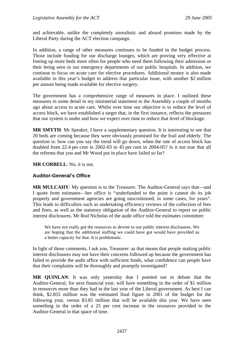<span id="page-30-0"></span>and achievable, unlike the completely unrealistic and absurd promises made by the Liberal Party during the ACT election campaign.

In addition, a range of other measures continues to be funded in the budget process. Those include funding for our discharge lounges, which are proving very effective at freeing up more beds more often for people who need them following their admission or their being seen in our emergency departments of our public hospitals. In addition, we continue to focus on acute care for elective procedures. Additional money is also made available in this year's budget to address that particular issue, with another \$2 million per annum being made available for elective surgery.

The government has a comprehensive range of measures in place. I outlined these measures in some detail in my ministerial statement to the Assembly a couple of months ago about access to acute care. Whilst over time our objective is to reduce the level of access block, we have established a target that, in the first instance, reflects the pressures that our system is under and how we expect over time to reduce that level of blockage.

**MR SMYTH**: Mr Speaker, I have a supplementary question. It is interesting to see that 20 beds are coming because they were obviously promised for the frail and elderly. The question is: how can you say the trend will go down, when the rate of access block has doubled from 22.4 per cent in 2002-03 to 45 per cent in 2004-05? Is it not true that all the reforms that you and Mr Wood put in place have failed so far?

**MR CORBELL**: No, it is not.

#### **Auditor-General's Office**

**MR MULCAHY**: My question is to the Treasurer. The Auditor-General says that—and I quote from estimates—her office is "underfunded to the point it cannot do its job properly and government agencies are going unscrutinised, in some cases, for years". This leads to difficulties such as undertaking efficiency reviews of the collection of fees and fines, as well as the statutory obligation of the Auditor-General to report on public interest disclosures. Mr Rod Nicholas of the audit office told the estimates committee:

We have not really got the resources to devote to our public interest disclosures. We are hoping that the additional staffing we could have got would have provided us a better capacity for that. It is problematic.

In light of those comments, I ask you, Treasurer: as that means that people making public interest disclosures may not have their concerns followed up because the government has failed to provide the audit office with sufficient funds, what confidence can people have that their complaints will be thoroughly and promptly investigated?

**MR QUINLAN**: It was only yesterday that I pointed out in debate that the Auditor-General, for next financial year, will have something in the order of \$1 million in resources more than they had in the last year of the Liberal government. As best I can think, \$2.855 million was the estimated final figure in 2001 of the budget for the following year, versus \$3.85 million that will be available this year. We have seen something in the order of a 25 per cent increase in the resources provided to the Auditor-General in that space of time.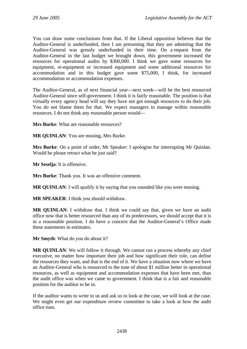You can draw some conclusions from that. If the Liberal opposition believes that the Auditor-General is underfunded, then I am presuming that they are admitting that the Auditor-General was grossly underfunded in their time. On a request from the Auditor-General in the last budget we brought down, this government increased the resources for operational audits by \$300,000. I think we gave some resources for equipment, re-equipment or increased equipment and some additional resources for accommodation and in this budget gave some \$75,000, I think, for increased accommodation or accommodation expenses.

The Auditor-General, as of next financial year—next week—will be the best resourced Auditor-General since self-government. I think it is fairly reasonable. The position is that virtually every agency head will say they have not got enough resources to do their job. You do not blame them for that. We expect managers to manage within reasonable resources. I do not think any reasonable person would—

**Mrs Burke:** What are reasonable resources?

**MR QUINLAN**: You are mooing, Mrs Burke.

**Mrs Burke**: On a point of order, Mr Speaker: I apologise for interrupting Mr Quinlan. Would he please retract what he just said?

**Mr Seselja**: It is offensive.

**Mrs Burke**: Thank you. It was an offensive comment.

**MR QUINLAN**: I will qualify it by saying that you sounded like you were mooing.

**MR SPEAKER**: I think you should withdraw.

**MR QUINLAN**: I withdraw that. I think we could say that, given we have an audit office now that is better resourced than any of its predecessors, we should accept that it is in a reasonable position. I do have a concern that the Auditor-General's Office made these statements in estimates.

**Mr Smyth**: What do you do about it?

**MR QUINLAN**: We will follow it through. We cannot run a process whereby any chief executive, no matter how important their job and how significant their role, can define the resources they want, and that is the end of it. We have a situation now where we have an Auditor-General who is resourced to the tune of about \$1 million better in operational resources, as well as equipment and accommodation expenses that have been met, than the audit office was when we came to government. I think that is a fair and reasonable position for the auditor to be in.

If the auditor wants to write to us and ask us to look at the case, we will look at the case. We might even get our expenditure review committee to take a look at how the audit office runs.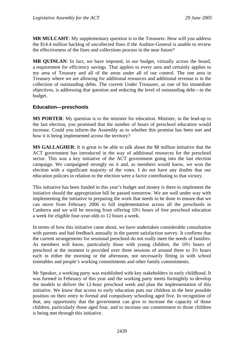<span id="page-32-0"></span>**MR MULCAHY**: My supplementary question is to the Treasurer. How will you address the \$14.4 million backlog of uncollected fines if the Auditor-General is unable to review the effectiveness of the fines and collections process in the near future?

**MR OUINLAN**: In fact, we have imposed, in our budget, virtually across the board, a requirement for efficiency savings. That applies to every area and certainly applies to my area of Treasury and all of the areas under all of our control. The one area in Treasury where we are allowing for additional resources and additional revenue is in the collection of outstanding debts. The current Under Treasurer, as one of his immediate objectives, is addressing that question and reducing the level of outstanding debt—in the budget.

### **Education—preschools**

**MS PORTER**: My question is to the minister for education. Minister, in the lead-up to the last election, you promised that the number of hours of preschool education would increase. Could you inform the Assembly as to whether this promise has been met and how it is being implemented across the territory?

**MS GALLAGHER**: It is great to be able to talk about the \$8 million initiative that the ACT government has introduced in the way of additional resources for the preschool sector. This was a key initiative of the ACT government going into the last election campaign. We campaigned strongly on it and, as members would know, we won the election with a significant majority of the votes. I do not have any doubts that our education policies in relation to the election were a factor contributing to that victory.

This initiative has been funded in this year's budget and money is there to implement the initiative should the appropriation bill be passed tomorrow. We are well under way with implementing the initiative in preparing the work that needs to be done to ensure that we can move from February 2006 to full implementation across all the preschools in Canberra and we will be moving from offering 10½ hours of free preschool education a week for eligible four-year-olds to 12 hours a week.

In terms of how this initiative came about, we have undertaken considerable consultation with parents and had feedback annually in the parent satisfaction survey. It confirms that the current arrangements for sessional preschool do not really meet the needs of families. As members will know, particularly those with young children, the 10½ hours of preschool at the moment is provided over three sessions of around three to 3½ hours each in either the morning or the afternoon, not necessarily fitting in with school timetables and people's working commitments and other family commitments.

Mr Speaker, a working party was established with key stakeholders in early childhood. It was formed in February of this year and the working party meets fortnightly to develop the models to deliver the 12-hour preschool week and plan the implementation of this initiative. We know that access to early education puts our children in the best possible position on their entry to formal and compulsory schooling aged five. In recognition of that, any opportunity that the government can give to increase the capacity of those children, particularly those aged four, and to increase our commitment to those children is being met through this initiative.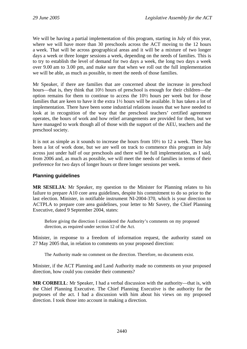<span id="page-33-0"></span>We will be having a partial implementation of this program, starting in July of this year, where we will have more than 30 preschools across the ACT moving to the 12 hours a week. That will be across geographical areas and it will be a mixture of two longer days a week or three longer sessions a week, depending on the needs of families. This is to try to establish the level of demand for two days a week, the long two days a week over 9.00 am to 3.00 pm, and make sure that when we roll out the full implementation we will be able, as much as possible, to meet the needs of those families.

Mr Speaker, if there are families that are concerned about the increase in preschool hours—that is, they think that  $10\frac{1}{2}$  hours of preschool is enough for their children—the option remains for them to continue to access the 10½ hours per week but for those families that are keen to have it the extra 1½ hours will be available. It has taken a lot of implementation. There have been some industrial relations issues that we have needed to look at in recognition of the way that the preschool teachers' certified agreement operates, the hours of work and how relief arrangements are provided for them, but we have managed to work though all of those with the support of the AEU, teachers and the preschool society.

It is not as simple as it sounds to increase the hours from 10½ to 12 a week. There has been a lot of work done, but we are well on track to commence this program in July across just under half of our preschools and there will be full implementation, as I said, from 2006 and, as much as possible, we will meet the needs of families in terms of their preference for two days of longer hours or three longer sessions per week.

### **Planning guidelines**

**MR SESELJA**: Mr Speaker, my question to the Minister for Planning relates to his failure to prepare A10 core area guidelines, despite his commitment to do so prior to the last election. Minister, in notifiable instrument NI-2004-370, which is your direction to ACTPLA to prepare core area guidelines, your letter to Mr Savery, the Chief Planning Executive, dated 9 September 2004, states:

Before giving the direction I considered the Authority's comments on my proposed direction, as required under section 12 of the Act.

Minister, in response to a freedom of information request, the authority stated on 27 May 2005 that, in relation to comments on your proposed direction:

The Authority made no comment on the direction. Therefore, no documents exist.

Minister, if the ACT Planning and Land Authority made no comments on your proposed direction, how could you consider their comments?

**MR CORBELL**: Mr Speaker, I had a verbal discussion with the authority—that is, with the Chief Planning Executive. The Chief Planning Executive is the authority for the purposes of the act. I had a discussion with him about his views on my proposed direction. I took those into account in making a direction.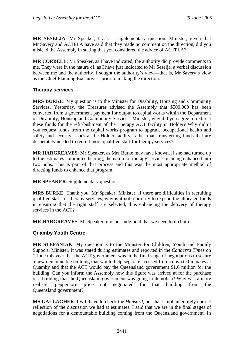<span id="page-34-0"></span>**MR SESELJA**: Mr Speaker, I ask a supplementary question. Minister, given that Mr Savery and ACTPLA have said that they made no comment on the direction, did you mislead the Assembly in stating that you considered the advice of ACTPLA?

**MR CORBELL**: Mr Speaker, as I have indicated, the authority did provide comments to me. They were in the nature of, as I have just indicated to Mr Seselja, a verbal discussion between me and the authority. I sought the authority's view—that is, Mr Savery's view as the Chief Planning Executive—prior to making the direction.

### **Therapy services**

**MRS BURKE**: My question is to the Minister for Disability, Housing and Community Services. Yesterday, the Treasurer advised the Assembly that \$500,000 has been converted from a government payment for output to capital works within the Department of Disability, Housing and Community Services. Minister, why did you agree to redirect these funds for the refurbishment of the Therapy ACT facility in Holder? Why didn't you request funds from the capital works program to upgrade occupational health and safety and security issues at the Holder facility, rather than transferring funds that are desperately needed to recruit more qualified staff for therapy services?

**MR HARGREAVES**: Mr Speaker, as Mrs Burke may have known, if she had turned up to the estimates committee hearing, the nature of therapy services is being enhanced into two hubs. This is part of that process and this was the most appropriate method of directing funds to enhance that program.

**MR SPEAKER**: Supplementary question.

**MRS BURKE**: Thank you, Mr Speaker. Minister, if there are difficulties in recruiting qualified staff for therapy services, why is it not a priority to expend the allocated funds in ensuring that the right staff are selected, thus enhancing the delivery of therapy services in the ACT?

**MR HARGREAVES**: Mr Speaker, it is our judgment that we need to do both.

#### **Quamby Youth Centre**

**MR STEFANIAK**: My question is to the Minister for Children, Youth and Family Support. Minister, it was stated during estimates and reported in the *Canberra Times* on 1 June this year that the ACT government was in the final stage of negotiations to secure a new demountable building that would help separate accused from convicted inmates at Quamby and that the ACT would pay the Queensland government \$1.6 million for the building. Can you inform the Assembly how this figure was arrived at for the purchase of a building that the Queensland government was going to demolish? Why was a more realistic peppercorn price not negotiated for that building from the Queensland government?

**MS GALLAGHER**: I will have to check the *Hansard*, but that is not an entirely correct reflection of the discussion we had at estimates. I said that we are in the final stages of negotiations for a demountable building coming from the Queensland government. In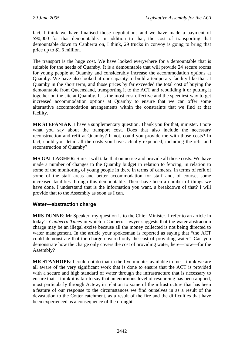<span id="page-35-0"></span>fact, I think we have finalised those negotiations and we have made a payment of \$90,000 for that demountable. In addition to that, the cost of transporting that demountable down to Canberra on, I think, 29 trucks in convoy is going to bring that price up to \$1.6 million.

The transport is the huge cost. We have looked everywhere for a demountable that is suitable for the needs of Quamby. It is a demountable that will provide 24 secure rooms for young people at Quamby and considerably increase the accommodation options at Quamby. We have also looked at our capacity to build a temporary facility like that at Quamby in the short term, and those prices by far exceeded the total cost of buying the demountable from Queensland, transporting it to the ACT and rebuilding it or putting it together on the site at Quamby. It is the most cost effective and the speediest way to get increased accommodation options at Quamby to ensure that we can offer some alternative accommodation arrangements within the constraints that we find at that facility.

**MR STEFANIAK**: I have a supplementary question. Thank you for that, minister. I note what you say about the transport cost. Does that also include the necessary reconstruction and refit at Quamby? If not, could you provide me with those costs? In fact, could you detail all the costs you have actually expended, including the refit and reconstruction of Quamby?

**MS GALLAGHER**: Sure. I will take that on notice and provide all those costs. We have made a number of changes to the Quamby budget in relation to fencing, in relation to some of the monitoring of young people in there in terms of cameras, in terms of refit of some of the staff areas and better accommodation for staff and, of course, some increased facilities through this demountable. There have been a number of things we have done. I understand that is the information you want, a breakdown of that? I will provide that to the Assembly as soon as I can.

### **Water—abstraction charge**

**MRS DUNNE**: Mr Speaker, my question is to the Chief Minister. I refer to an article in today's *Canberra Times* in which a Canberra lawyer suggests that the water abstraction charge may be an illegal excise because all the money collected is not being directed to water management. In the article your spokesman is reported as saying that "the ACT could demonstrate that the charge covered only the cost of providing water". Can you demonstrate how the charge only covers the cost of providing water, here—now—for the Assembly?

**MR STANHOPE**: I could not do that in the five minutes available to me. I think we are all aware of the very significant work that is done to ensure that the ACT is provided with a secure and high standard of water through the infrastructure that is necessary to ensure that. I think it is fair to say that an enormous level of resourcing has been applied, most particularly through Actew, in relation to some of the infrastructure that has been a feature of our response to the circumstances we find ourselves in as a result of the devastation to the Cotter catchment, as a result of the fire and the difficulties that have been experienced as a consequence of the drought.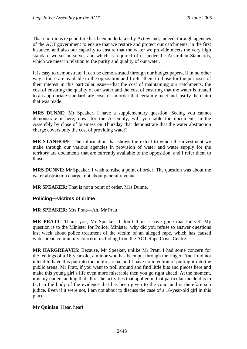That enormous expenditure has been undertaken by Actew and, indeed, through agencies of the ACT government to ensure that we restore and protect our catchments, in the first instance, and also our capacity to ensure that the water we provide meets the very high standard we set ourselves and which is required of us under the Australian Standards, which we meet in relation to the purity and quality of our water.

It is easy to demonstrate. It can be demonstrated through our budget papers, if in no other way—those are available to the opposition and I refer them to those for the purposes of their interest in this particular issue—that the cost of maintaining our catchments, the cost of ensuring the quality of our water and the cost of ensuring that the water is treated to an appropriate standard, are costs of an order that certainly meet and justify the claim that was made.

**MRS DUNNE**: Mr Speaker, I have a supplementary question. Seeing you cannot demonstrate it here, now, for the Assembly, will you table the documents in the Assembly by close of business on Thursday that demonstrate that the water abstraction charge covers only the cost of providing water?

**MR STANHOPE**: The information that shows the extent to which the investment we make through our various agencies in provision of water and water supply for the territory are documents that are currently available to the opposition, and I refer them to those.

**MRS DUNNE**: Mr Speaker, I wish to raise a point of order. The question was about the water abstraction charge, not about general revenue.

**MR SPEAKER**: That is not a point of order, Mrs Dunne.

## **Policing—victims of crime**

### **MR SPEAKER**: Mrs Pratt—Ah, Mr Pratt.

**MR PRATT**: Thank you, Mr Speaker. I don't think I have gone that far yet! My question is to the Minister for Police. Minister, why did you refuse to answer questions last week about police treatment of the victim of an alleged rape, which has caused widespread community concern, including from the ACT Rape Crisis Centre.

**MR HARGREAVES**: Because, Mr Speaker, unlike Mr Pratt, I had some concern for the feelings of a 16-year-old, a minor who has been put through the ringer. And I did not intend to have this put into the public arena, and I have no intention of putting it into the public arena. Mr Pratt, if you want to troll around and find little bits and pieces here and make this young girl's life even more miserable then you go right ahead. At the moment, it is my understanding that all of the activities that applied in that particular incident is in fact in the body of the evidence that has been given to the court and is therefore sub judice. Even if it were not, I am not about to discuss the case of a 16-year-old girl in this place.

### **Mr Quinlan**: Hear, hear!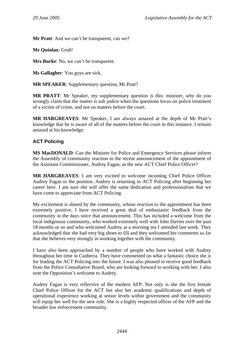**Mr Pratt**: And we can't be transparent, can we?

**Mr Quinlan**: Grub!

**Mrs Burke**: No, we can't be transparent.

**Ms Gallagher**: You guys are sick.

**MR SPEAKER**: Supplementary question, Mr Pratt?

**MR PRATT**: Mr Speaker, my supplementary question is this: minister, why do you wrongly claim that the matter is sub judice when the questions focus on police treatment of a victim of crime, and not on matters before the court.

**MR HARGREAVES**: Mr Speaker, I am always amazed at the depth of Mr Pratt's knowledge that he is aware of all of the matters before the court in this instance. I remain amazed at his knowledge.

## **ACT Policing**

**MS MacDONALD**: Can the Minister for Police and Emergency Services please inform the Assembly of community reaction to the recent announcement of the appointment of the Assistant Commissioner, Audrey Fagan, as the new ACT Chief Police Officer?

**MR HARGREAVES**: I am very excited to welcome incoming Chief Police Officer Audrey Fagan to the position. Audrey is returning to ACT Policing after beginning her career here. I am sure she will offer the same dedication and professionalism that we have come to appreciate from ACT Policing.

My excitement is shared by the community, whose reaction to the appointment has been extremely positive. I have received a great deal of enthusiastic feedback from the community in the days since that announcement. This has included a welcome from the local indigenous community, who worked extremely well with John Davies over the past 18 months or so and who welcomed Audrey at a morning tea I attended last week. They acknowledged that she had very big shoes to fill and they welcomed her comments so far that she believes very strongly in working together with the community.

I have also been approached by a number of people who have worked with Audrey throughout her time in Canberra. They have commented on what a fantastic choice she is for leading the ACT Policing into the future. I was also pleased to receive good feedback from the Police Consultative Board, who are looking forward to working with her. I also note the Opposition's welcome to Audrey.

Audrey Fagan is very reflective of the modern AFP. Not only is she the first female Chief Police Officer for the ACT but also her academic qualifications and depth of operational experience working at senior levels within government and the community will equip her well for the new role. She is a highly respected officer of the AFP and the broader law enforcement community.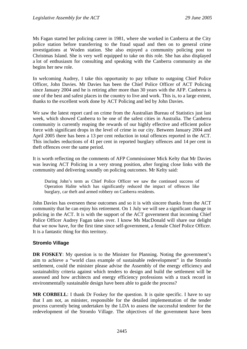Ms Fagan started her policing career in 1981, where she worked in Canberra at the City police station before transferring to the fraud squad and then on to general crime investigations at Woden station. She also enjoyed a community policing post to Christmas Island. She is very well equipped to take on this role. She has also displayed a lot of enthusiasm for consulting and speaking with the Canberra community as she begins her new role.

In welcoming Audrey, I take this opportunity to pay tribute to outgoing Chief Police Officer, John Davies. Mr Davies has been the Chief Police Officer of ACT Policing since January 2004 and he is retiring after more than 30 years with the AFP. Canberra is one of the best and safest places in the country to live and work. This is, to a large extent, thanks to the excellent work done by ACT Policing and led by John Davies.

We saw the latest report card on crime from the Australian Bureau of Statistics just last week, which showed Canberra to be one of the safest cities in Australia. The Canberra community is currently reaping the rewards of our highly effective and efficient police force with significant drops in the level of crime in our city. Between January 2004 and April 2005 there has been a 13 per cent reduction in total offences reported in the ACT. This includes reductions of 41 per cent in reported burglary offences and 14 per cent in theft offences over the same period.

It is worth reflecting on the comments of AFP Commissioner Mick Kelty that Mr Davies was leaving ACT Policing in a very strong position, after forging close links with the community and delivering soundly on policing outcomes. Mr Kelty said:

During John's term as Chief Police Officer we saw the continued success of Operation Halite which has significantly reduced the impact of offences like burglary, car theft and armed robbery on Canberra residents.

John Davies has overseen these outcomes and so it is with sincere thanks from the ACT community that he can enjoy his retirement. On 1 July we will see a significant change in policing in the ACT. It is with the support of the ACT government that incoming Chief Police Officer Audrey Fagan takes over. I know Ms MacDonald will share our delight that we now have, for the first time since self-government, a female Chief Police Officer. It is a fantastic thing for this territory.

## **Stromlo Village**

**DR FOSKEY:** My question is to the Minister for Planning. Noting the government's aim to achieve a "world class example of sustainable redevelopment" in the Stromlo settlement, could the minister please advise the Assembly of the energy efficiency and sustainability criteria against which tenders to design and build the settlement will be assessed and how architects and energy efficiency professions with a track record in environmentally sustainable design have been able to guide the process?

**MR CORBELL:** I thank Dr Foskey for the question. It is quite specific. I have to say that I am not, as minister, responsible for the detailed implementation of the tender process currently being undertaken by the LDA to assess the successful tenderer for the redevelopment of the Stromlo Village. The objectives of the government have been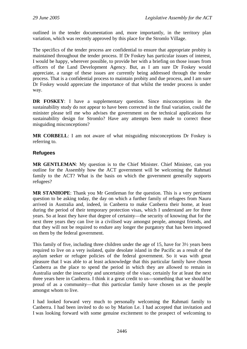outlined in the tender documentation and, more importantly, in the territory plan variation, which was recently approved by this place for the Stromlo Village.

The specifics of the tender process are confidential to ensure that appropriate probity is maintained throughout the tender process. If Dr Foskey has particular issues of interest, I would be happy, wherever possible, to provide her with a briefing on those issues from officers of the Land Development Agency. But, as I am sure Dr Foskey would appreciate, a range of these issues are currently being addressed through the tender process. That is a confidential process to maintain probity and due process, and I am sure Dr Foskey would appreciate the importance of that whilst the tender process is under way.

**DR FOSKEY**: I have a supplementary question. Since misconceptions in the sustainability study do not appear to have been corrected in the final variation, could the minister please tell me who advises the government on the technical applications for sustainability design for Stromlo? Have any attempts been made to correct these misguiding misconceptions?

**MR CORBELL**: I am not aware of what misguiding misconceptions Dr Foskey is referring to.

## **Refugees**

**MR GENTLEMAN**: My question is to the Chief Minister. Chief Minister, can you outline for the Assembly how the ACT government will be welcoming the Rahmati family to the ACT? What is the basis on which the government generally supports refugees?

**MR STANHOPE**: Thank you Mr Gentleman for the question. This is a very pertinent question to be asking today, the day on which a further family of refugees from Nauru arrived in Australia and, indeed, in Canberra to make Canberra their home, at least during the period of their temporary protection visas, which I understand are for three years. So at least they have that degree of certainty—the security of knowing that for the next three years they can live in a civilised way amongst people, amongst friends, and that they will not be required to endure any longer the purgatory that has been imposed on them by the federal government.

This family of five, including three children under the age of 15, have for 3½ years been required to live on a very isolated, quite desolate island in the Pacific as a result of the asylum seeker or refugee policies of the federal government. So it was with great pleasure that I was able to at least acknowledge that this particular family have chosen Canberra as the place to spend the period in which they are allowed to remain in Australia under the insecurity and uncertainty of the visas; certainly for at least the next three years here in Canberra. I think it a great credit to us—something that we should be proud of as a community—that this particular family have chosen us as the people amongst whom to live.

I had looked forward very much to personally welcoming the Rahmati family to Canberra. I had been invited to do so by Marion Le. I had accepted that invitation and I was looking forward with some genuine excitement to the prospect of welcoming to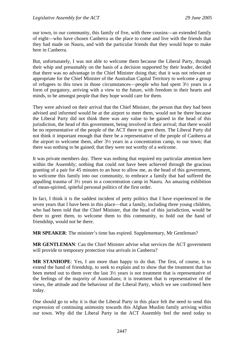our town, to our community, this family of five, with three cousins—an extended family of eight—who have chosen Canberra as the place to come and live with the friends that they had made on Nauru, and with the particular friends that they would hope to make here in Canberra.

But, unfortunately, I was not able to welcome them because the Liberal Party, through their whip and presumably on the basis of a decision supported by their leader, decided that there was no advantage in the Chief Minister doing that; that it was not relevant or appropriate for the Chief Minister of the Australian Capital Territory to welcome a group of refugees to this town in those circumstances—people who had spent 3½ years in a form of purgatory, arriving with a view to the future, with freedom in their hearts and minds, to be amongst people that they hope would care for them.

They were advised on their arrival that the Chief Minister, the person that they had been advised and informed would be at the airport to meet them, would not be there because the Liberal Party did not think there was any value to be gained in the head of this jurisdiction, the head of this government, being involved in their arrival; that there would be no representative of the people of the ACT there to greet them. The Liberal Party did not think it important enough that there be a representative of the people of Canberra at the airport to welcome them, after 3½ years in a concentration camp, to our town; that there was nothing to be gained; that they were not worthy of a welcome.

It was private members day. There was nothing that required my particular attention here within the Assembly; nothing that could not have been achieved through the gracious granting of a pair for 45 minutes to an hour to allow me, as the head of this government, to welcome this family into our community, to embrace a family that had suffered the appalling trauma of 3½ years in a concentration camp in Nauru. An amazing exhibition of mean-spirited, spiteful personal politics of the first order.

In fact, I think it is the saddest incident of petty politics that I have experienced in the seven years that I have been in this place—that a family, including three young children, who had been told that the Chief Minister, that the head of this jurisdiction, would be there to greet them, to welcome them to this community, to hold out the hand of friendship, would not be there.

**MR SPEAKER**: The minister's time has expired. Supplementary, Mr Gentleman?

**MR GENTLEMAN**: Can the Chief Minister advise what services the ACT government will provide to temporary protection visa arrivals in Canberra?

**MR STANHOPE**: Yes, I am more than happy to do that. The first, of course, is to extend the hand of friendship, to seek to explain and to show that the treatment that has been meted out to them over the last 3½ years is not treatment that is representative of the feelings of the majority of Australians; it is treatment that is representative of the views, the attitude and the behaviour of the Liberal Party, which we see confirmed here today.

One should go to why it is that the Liberal Party in this place felt the need to send this expression of continuing animosity towards this Afghan Muslim family arriving within our town. Why did the Liberal Party in the ACT Assembly feel the need today to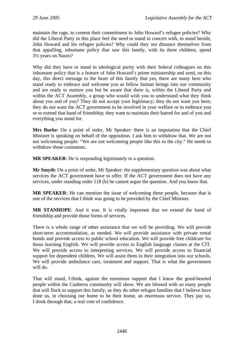maintain the rage, to cement their commitment to John Howard's refugee policies? Why did the Liberal Party in this place feel the need to stand in concert with, to stand beside, John Howard and his refugee policies? Why could they not distance themselves from that appalling, inhumane policy that saw this family, with its three children, spend 3½ years on Nauru?

Why did they have to stand in ideological purity with their federal colleagues on this inhumane policy that is a feature of John Howard's prime ministership and send, on this day, this direct message to the heart of this family that yes, there are many here who stand ready to embrace and welcome you as fellow human beings into our community and are ready to nurture you but be aware that there is, within the Liberal Party and within the ACT Assembly, a group who would wish you to understand what they think about you and of you? They do not accept your legitimacy; they do not want you here; they do not want the ACT government to be involved in your welfare or to embrace you or to extend that hand of friendship; they want to maintain their hatred for and of you and everything you stand for.

**Mrs Burke**: On a point of order, Mr Speaker: there is an imputation that the Chief Minister is speaking on behalf of the opposition. I ask him to withdraw that. We are not not welcoming people. "We are not welcoming people like this to the city." He needs to withdraw those comments.

**MR SPEAKER**: He is responding legitimately to a question.

**Mr Smyth**: On a point of order, Mr Speaker: the supplementary question was about what services the ACT government have to offer. If the ACT government does not have any services, under standing order 118 (b) he cannot argue the question. And you know that.

**MR SPEAKER**: He can mention the issue of welcoming these people, because that is one of the services that I think was going to be provided by the Chief Minister.

**MR STANHOPE**: And it was. It is vitally important that we extend the hand of friendship and provide those forms of services.

There is a whole range of other assistance that we will be providing. We will provide short-term accommodation, as needed. We will provide assistance with private rental bonds and provide access to public school education. We will provide free childcare for those learning English. We will provide access to English language classes at the CIT. We will provide access to interpreting services. We will provide access to financial support for dependent children. We will assist them in their integration into our schools. We will provide ambulance care, treatment and support. That is what the government will do.

That will stand, I think, against the enormous support that I know the good-hearted people within the Canberra community will show. We are blessed with so many people that will flock to support this family, as they do other refugee families that I believe have done us, in choosing our home to be their home, an enormous service. They pay us, I think through that, a real vote of confidence.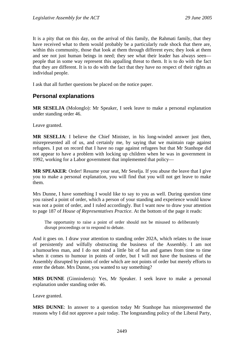It is a pity that on this day, on the arrival of this family, the Rahmati family, that they have received what to them would probably be a particularly rude shock that there are, within this community, those that look at them through different eyes; they look at them and see not just human beings in need; they see what their leader has always seen people that in some way represent this appalling threat to them. It is to do with the fact that they are different. It is to do with the fact that they have no respect of their rights as individual people.

I ask that all further questions be placed on the notice paper.

# **Personal explanations**

**MR SESELJA** (Molonglo): Mr Speaker, I seek leave to make a personal explanation under standing order 46.

Leave granted.

**MR SESELJA**: I believe the Chief Minister, in his long-winded answer just then, misrepresented all of us, and certainly me, by saying that we maintain rage against refugees. I put on record that I have no rage against refugees but that Mr Stanhope did not appear to have a problem with locking up children when he was in government in 1992, working for a Labor government that implemented that policy—

**MR SPEAKER**: Order! Resume your seat, Mr Seselja. If you abuse the leave that I give you to make a personal explanation, you will find that you will not get leave to make them.

Mrs Dunne, I have something I would like to say to you as well. During question time you raised a point of order, which a person of your standing and experience would know was not a point of order, and I ruled accordingly. But I want now to draw your attention to page 187 of *House of Representatives Practice*. At the bottom of the page it reads:

The opportunity to raise a point of order should not be misused to deliberately disrupt proceedings or to respond to debate.

And it goes on. I draw your attention to standing order 202A, which relates to the issue of persistently and wilfully obstructing the business of the Assembly. I am not a humourless man, and I do not mind a little bit of fun and games from time to time when it comes to humour in points of order, but I will not have the business of the Assembly disrupted by points of order which are not points of order but merely efforts to enter the debate. Mrs Dunne, you wanted to say something?

**MRS DUNNE** (Ginninderra): Yes, Mr Speaker. I seek leave to make a personal explanation under standing order 46.

Leave granted.

**MRS DUNNE**: In answer to a question today Mr Stanhope has misrepresented the reasons why I did not approve a pair today. The longstanding policy of the Liberal Party,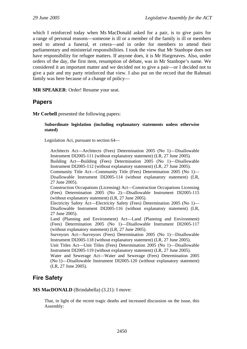which I reinforced today when Ms MacDonald asked for a pair, is to give pairs for a range of personal reasons—someone is ill or a member of the family is ill or members need to attend a funeral, et cetera—and in order for members to attend their parliamentary and ministerial responsibilities. I took the view that Mr Stanhope does not have responsibility for refugee matters. If anyone does, it is Mr Hargreaves. Also, under orders of the day, the first item, resumption of debate, was in Mr Stanhope's name. We considered it an important matter and we decided not to give a pair—or I decided not to give a pair and my party reinforced that view. I also put on the record that the Rahmati family was here because of a change of policy—

**MR SPEAKER**: Order! Resume your seat.

# **Papers**

**Mr Corbell** presented the following papers:

#### **Subordinate legislation (including explanatory statements unless otherwise stated)**

Legislation Act, pursuant to section 64—

Architects Act—Architects (Fees) Determination 2005 (No 1)—Disallowable Instrument DI2005-111 (without explanatory statement) (LR, 27 June 2005).

Building Act—Building (Fees) Determination 2005 (No 1)—Disallowable Instrument DI2005-112 (without explanatory statement) (LR, 27 June 2005).

Community Title Act—Community Title (Fees) Determination 2005 (No 1)— Disallowable Instrument DI2005-114 (without explanatory statement) (LR, 27 June 2005).

Construction Occupations (Licensing) Act—Construction Occupations Licensing (Fees) Determination 2005 (No 2)—Disallowable Instrument DI2005-115 (without explanatory statement) (LR, 27 June 2005).

Electricity Safety Act—Electricity Safety (Fees) Determination 2005 (No 1)— Disallowable Instrument DI2005-116 (without explanatory statement) (LR, 27 June 2005).

Land (Planning and Environment) Act—Land (Planning and Environment) (Fees) Determination 2005 (No 1)—Disallowable Instrument DI2005-117 (without explanatory statement) (LR, 27 June 2005).

Surveyors Act—Surveyors (Fees) Determination 2005 (No 1)—Disallowable Instrument DI2005-118 (without explanatory statement) (LR, 27 June 2005).

Unit Titles Act—Unit Titles (Fees) Determination 2005 (No 1)—Disallowable Instrument DI2005-119 (without explanatory statement) (LR, 27 June 2005).

Water and Sewerage Act—Water and Sewerage (Fees) Determination 2005 (No 1)—Disallowable Instrument DI2005-120 (without explanatory statement) (LR, 27 June 2005).

# **Fire Safety**

**MS MacDONALD** (Brindabella) (3.21): I move:

That, in light of the recent tragic deaths and increased discussion on the issue, this Assembly: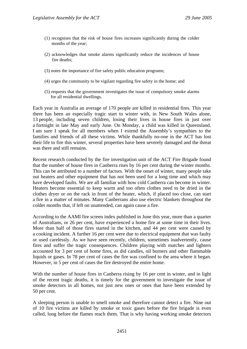- (1) recognises that the risk of house fires increases significantly during the colder months of the year;
- (2) acknowledges that smoke alarms significantly reduce the incidences of house fire deaths;
- (3) notes the importance of fire safety public education programs;
- (4) urges the community to be vigilant regarding fire safety in the home; and
- (5) requests that the government investigates the issue of compulsory smoke alarms for all residential dwellings.

Each year in Australia an average of 170 people are killed in residential fires. This year there has been an especially tragic start to winter with, in New South Wales alone, 13 people, including seven children, losing their lives in house fires in just over a fortnight in late May and early June. On Monday, a child was killed in Queensland. I am sure I speak for all members when I extend the Assembly's sympathies to the families and friends of all these victims. While thankfully no-one in the ACT has lost their life to fire this winter, several properties have been severely damaged and the threat was there and still remains.

Recent research conducted by the fire investigation unit of the ACT Fire Brigade found that the number of house fires in Canberra rises by 16 per cent during the winter months. This can be attributed to a number of factors. With the onset of winter, many people take out heaters and other equipment that has not been used for a long time and which may have developed faults. We are all familiar with how cold Canberra can become in winter. Heaters become essential to keep warm and too often clothes need to be dried in the clothes dryer or on the rack in front of the heater, which, if placed too close, can start a fire in a matter of minutes. Many Canberrans also use electric blankets throughout the colder months that, if left on unattended, can again cause a fire.

According to the AAMI fire screen index published in June this year, more than a quarter of Australians, or 26 per cent, have experienced a home fire at some time in their lives. More than half of those fires started in the kitchen, and 44 per cent were caused by a cooking incident. A further 16 per cent were due to electrical equipment that was faulty or used carelessly. As we have seen recently, children, sometimes inadvertently, cause fires and suffer the tragic consequences. Children playing with matches and lighters accounted for 3 per cent of home fires, as did candles, oil burners and other flammable liquids or gases. In 78 per cent of cases the fire was confined to the area where it began. However, in 5 per cent of cases the fire destroyed the entire home.

With the number of house fires in Canberra rising by 16 per cent in winter, and in light of the recent tragic deaths, it is timely for the government to investigate the issue of smoke detectors in all homes, not just new ones or ones that have been extended by 50 per cent.

A sleeping person is unable to smell smoke and therefore cannot detect a fire. Nine out of 10 fire victims are killed by smoke or toxic gases before the fire brigade is even called, long before the flames reach them. That is why having working smoke detectors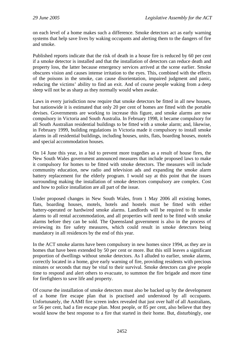on each level of a home makes such a difference. Smoke detectors act as early warning systems that help save lives by waking occupants and alerting them to the dangers of fire and smoke.

Published reports indicate that the risk of death in a house fire is reduced by 60 per cent if a smoke detector is installed and that the installation of detectors can reduce death and property loss, the latter because emergency services arrived at the scene earlier. Smoke obscures vision and causes intense irritation to the eyes. This, combined with the effects of the poisons in the smoke, can cause disorientation, impaired judgment and panic, reducing the victims' ability to find an exit. And of course people waking from a deep sleep will not be as sharp as they normally would when awake.

Laws in every jurisdiction now require that smoke detectors be fitted in all new houses, but nationwide it is estimated that only 20 per cent of homes are fitted with the portable devises. Governments are working to increase this figure, and smoke alarms are now compulsory in Victoria and South Australia. In February 1998, it became compulsory for all South Australian residential buildings to be fitted with a smoke alarm; and, likewise, in February 1999, building regulations in Victoria made it compulsory to install smoke alarms in all residential buildings, including houses, units, flats, boarding houses, motels and special accommodation houses.

On 14 June this year, in a bid to prevent more tragedies as a result of house fires, the New South Wales government announced measures that include proposed laws to make it compulsory for homes to be fitted with smoke detectors. The measures will include community education, new radio and television ads and expanding the smoke alarm battery replacement for the elderly program. I would say at this point that the issues surrounding making the installation of smoke detectors compulsory are complex. Cost and how to police installation are all part of the issue.

Under proposed changes in New South Wales, from 1 May 2006 all existing homes, flats, boarding houses, motels, hotels and hostels must be fitted with either battery-operated or hardwired smoke alarms. Landlords will be required to fit smoke alarms to all rental accommodation, and all properties will need to be fitted with smoke alarms before they can be sold. The Queensland government is also in the process of reviewing its fire safety measures, which could result in smoke detectors being mandatory in all residences by the end of this year.

In the ACT smoke alarms have been compulsory in new homes since 1994, as they are in homes that have been extended by 50 per cent or more. But this still leaves a significant proportion of dwellings without smoke detectors. As I alluded to earlier, smoke alarms, correctly located in a home, give early warning of fire, providing residents with precious minutes or seconds that may be vital to their survival. Smoke detectors can give people time to respond and alert others to evacuate, to summon the fire brigade and more time for firefighters to save life and property.

Of course the installation of smoke detectors must also be backed up by the development of a home fire escape plan that is practised and understood by all occupants. Unfortunately, the AAMI fire screen index revealed that just over half of all Australians, or 56 per cent, had a fire escape plan. Most people, or 85 per cent, also believe that they would know the best response to a fire that started in their home. But, disturbingly, one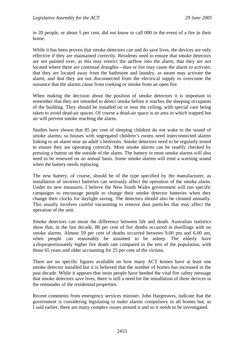in 20 people, or about 5 per cent, did not know to call 000 in the event of a fire in their home.

While it has been proven that smoke detectors can and do save lives, the devices are only effective if they are maintained correctly. Residents need to ensure that smoke detectors are not painted over, as this may restrict the airflow into the alarm; that they are not located where there are continual draughts—dust or lint may cause the alarm to activate; that they are located away from the bathroom and laundry, as steam may activate the alarm; and that they are not disconnected from the electrical supply to overcome the nuisance that the alarms cause from cooking or smoke from an open fire.

When making the decision about the position of smoke detectors it is important to remember that they are intended to detect smoke before it reaches the sleeping occupants of the building. They should be installed on or near the ceiling, with special care being taken to avoid dead-air spaces. Of course a dead-air space is an area in which trapped hot air will prevent smoke reaching the alarm.

Studies have shown that 85 per cent of sleeping children do not wake to the sound of smoke alarms; so houses with segregated children's rooms need interconnected alarms linking to an alarm near an adult's bedroom. Smoke detectors need to be regularly tested to ensure they are operating correctly. Most smoke alarms can be readily checked by pressing a button on the outside of the alarm. The battery in most smoke alarms will also need to be renewed on an annual basis. Some smoke alarms will emit a warning sound when the battery needs replacing.

The new battery, of course, should be of the type specified by the manufacturer, as installation of incorrect batteries can seriously affect the operation of the smoke alarm. Under its new measures, I believe the New South Wales government will run specific campaigns to encourage people to change their smoke detector batteries when they change their clocks for daylight saving. The detectors should also be cleaned annually. This usually involves careful vacuuming to remove dust particles that may affect the operation of the unit.

Smoke detectors can mean the difference between life and death. Australian statistics show that, in the last decade, 88 per cent of fire deaths occurred in dwellings with no smoke alarms. Almost 59 per cent of deaths occurred between 9.00 pm and 6.00 am, when people can reasonably be assumed to be asleep. The elderly have a disproportionately higher fire death rate compared to the rest of the population, with those 65 years and older accounting for 25 per cent of the victims.

There are no specific figures available on how many ACT homes have at least one smoke detector installed but it is believed that the number of homes has increased in the past decade. While it appears that most people have heeded the vital fire safety message that smoke detectors save lives, there is still a need for the installation of these devices in the remainder of the residential properties.

Recent comments from emergency services minister, John Hargreaves, indicate that the government is considering legislating to make alarms compulsory in all homes but, as I said earlier, there are many complex issues around it and so it needs to be investigated.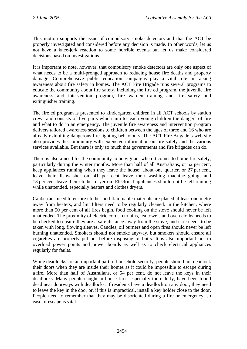This motion supports the issue of compulsory smoke detectors and that the ACT be properly investigated and considered before any decision is made. In other words, let us not have a knee-jerk reaction to some horrible events but let us make considered decisions based on investigations.

It is important to note, however, that compulsory smoke detectors are only one aspect of what needs to be a multi-pronged approach to reducing house fire deaths and property damage. Comprehensive public education campaigns play a vital role in raising awareness about fire safety in homes. The ACT Fire Brigade runs several programs to educate the community about fire safety, including the fire ed program, the juvenile fire awareness and intervention program, fire warden training and fire safety and extinguisher training.

The fire ed program is presented to kindergarten children in all ACT schools by station crews and consists of five parts which aim to teach young children the dangers of fire and what to do in an emergency. The juvenile fire awareness and intervention program delivers tailored awareness sessions to children between the ages of three and 16 who are already exhibiting dangerous fire-lighting behaviours. The ACT Fire Brigade's web site also provides the community with extensive information on fire safety and the various services available. But there is only so much that governments and fire brigades can do.

There is also a need for the community to be vigilant when it comes to home fire safety, particularly during the winter months. More than half of all Australians, or 52 per cent, keep appliances running when they leave the house; about one quarter, or 27 per cent, leave their dishwasher on; 41 per cent leave their washing machine going; and 13 per cent leave their clothes dryer on. Electrical appliances should not be left running while unattended, especially heaters and clothes dryers.

Canberrans need to ensure clothes and flammable materials are placed at least one metre away from heaters, and lint filters need to be regularly cleaned. In the kitchen, where more than 50 per cent of all fires begin, food cooking on the stove should never be left unattended. The proximity of electric cords, curtains, tea towels and oven cloths needs to be checked to ensure they are a safe distance away from the stove, and care needs to be taken with long, flowing sleeves. Candles, oil burners and open fires should never be left burning unattended. Smokers should not smoke anyway, but smokers should ensure all cigarettes are properly put out before disposing of butts. It is also important not to overload power points and power boards as well as to check electrical appliances regularly for faults.

While deadlocks are an important part of household security, people should not deadlock their doors when they are inside their homes as it could be impossible to escape during a fire. More than half of Australians, or 54 per cent, do not leave the keys in their deadlocks. Many people caught in house fires, especially the elderly, have been found dead near doorways with deadlocks. If residents have a deadlock on any door, they need to leave the key in the door or, if this is impractical, install a key holder close to the door. People need to remember that they may be disoriented during a fire or emergency; so ease of escape is vital.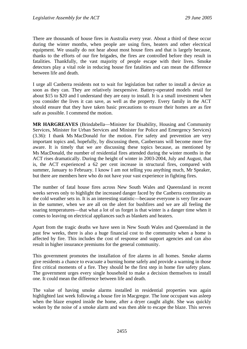There are thousands of house fires in Australia every year. About a third of these occur during the winter months, when people are using fires, heaters and other electrical equipment. We usually do not hear about most house fires and that is largely because, thanks to the efforts of our fire brigades, the fires are controlled before they result in fatalities. Thankfully, the vast majority of people escape with their lives. Smoke detectors play a vital role in reducing house fire fatalities and can mean the difference between life and death.

I urge all Canberra residents not to wait for legislation but rather to install a device as soon as they can. They are relatively inexpensive. Battery-operated models retail for about \$15 to \$20 and I understand they are easy to install. It is a small investment when you consider the lives it can save, as well as the property. Every family in the ACT should ensure that they have taken basic precautions to ensure their homes are as fire safe as possible. I commend the motion.

**MR HARGREAVES** (Brindabella—Minister for Disability, Housing and Community Services, Minister for Urban Services and Minister for Police and Emergency Services) (3.36): I thank Ms MacDonald for the motion. Fire safety and prevention are very important topics and, hopefully, by discussing them, Canberrans will become more fire aware. It is timely that we are discussing these topics because, as mentioned by Ms MacDonald, the number of residential fires attended during the winter months in the ACT rises dramatically. During the height of winter in 2003-2004, July and August, that is, the ACT experienced a 62 per cent increase in structural fires, compared with summer, January to February. I know I am not telling you anything much, Mr Speaker, but there are members here who do not have your vast experience in fighting fires.

The number of fatal house fires across New South Wales and Queensland in recent weeks serves only to highlight the increased danger faced by the Canberra community as the cold weather sets in. It is an interesting statistic—because everyone is very fire aware in the summer, when we are all on the alert for bushfires and we are all feeling the soaring temperatures—that what a lot of us forget is that winter is a danger time when it comes to leaving on electrical appliances such as blankets and heaters.

Apart from the tragic deaths we have seen in New South Wales and Queensland in the past few weeks, there is also a huge financial cost to the community when a home is affected by fire. This includes the cost of response and support agencies and can also result in higher insurance premiums for the general community.

This government promotes the installation of fire alarms in all homes. Smoke alarms give residents a chance to evacuate a burning home safely and provide a warning in those first critical moments of a fire. They should be the first step in home fire safety plans. The government urges every single household to make a decision themselves to install one. It could mean the difference between life and death.

The value of having smoke alarms installed in residential properties was again highlighted last week following a house fire in Macgregor. The lone occupant was asleep when the blaze erupted inside the home, after a dryer caught alight. She was quickly woken by the noise of a smoke alarm and was then able to escape the blaze. This serves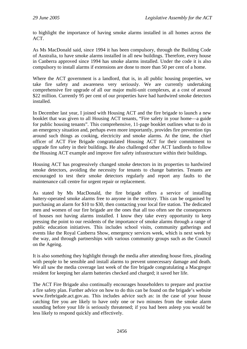to highlight the importance of having smoke alarms installed in all homes across the ACT.

As Ms MacDonald said, since 1994 it has been compulsory, through the Building Code of Australia, to have smoke alarms installed in all new buildings. Therefore, every house in Canberra approved since 1994 has smoke alarms installed. Under the code it is also compulsory to install alarms if extensions are done to more than 50 per cent of a home.

Where the ACT government is a landlord, that is, in all public housing properties, we take fire safety and awareness very seriously. We are currently undertaking comprehensive fire upgrade of all our major multi-unit complexes, at a cost of around \$22 million. Currently 95 per cent of our properties have had hardwired smoke detectors installed.

In December last year, I joined with Housing ACT and the fire brigade to launch a new booklet that was given to all Housing ACT tenants, "Fire safety in your home—a guide for public housing tenants". This comprehensive, 11-page booklet outlines what to do in an emergency situation and, perhaps even more importantly, provides fire prevention tips around such things as cooking, electricity and smoke alarms. At the time, the chief officer of ACT Fire Brigade congratulated Housing ACT for their commitment to upgrade fire safety in their buildings. He also challenged other ACT landlords to follow the Housing ACT example and improve fire safety infrastructure within their buildings.

Housing ACT has progressively changed smoke detectors in its properties to hardwired smoke detectors, avoiding the necessity for tenants to change batteries. Tenants are encouraged to test their smoke detectors regularly and report any faults to the maintenance call centre for urgent repair or replacement.

As stated by Ms MacDonald, the fire brigade offers a service of installing battery-operated smoke alarms free to anyone in the territory. This can be organised by purchasing an alarm for \$10 to \$30, then contacting your local fire station. The dedicated men and women of our fire brigade are the ones that all too often see the consequences of houses not having alarms installed. I know they take every opportunity to keep pressing the point to our residents of the importance of smoke alarms through a range of public education initiatives. This includes school visits, community gatherings and events like the Royal Canberra Show, emergency services week, which is next week by the way, and through partnerships with various community groups such as the Council on the Ageing.

It is also something they highlight through the media after attending house fires, pleading with people to be sensible and install alarms to prevent unnecessary damage and death. We all saw the media coverage last week of the fire brigade congratulating a Macgregor resident for keeping her alarm batteries checked and charged; it saved her life.

The ACT Fire Brigade also continually encourages householders to prepare and practise a fire safety plan. Further advice on how to do this can be found on the brigade's website www.firebrigade.act.gov.au. This includes advice such as: in the case of your house catching fire you are likely to have only one or two minutes from the smoke alarm sounding before your life is seriously threatened; if you had been asleep you would be less likely to respond quickly and effectively.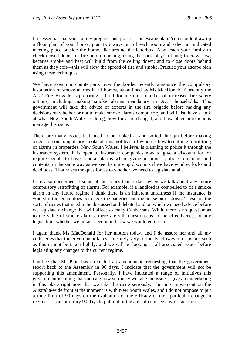It is essential that your family prepares and practises an escape plan. You should draw up a floor plan of your house, plan two ways out of each room and select an indicated meeting place outside the home, like around the letterbox. Also teach your family to check closed doors for fire before opening, using the back of your hand; to crawl low, because smoke and heat will build from the ceiling down; and to close doors behind them as they exit—this will slow the spread of fire and smoke. Practise your escape plan using these techniques.

We have seen our counterparts over the border recently announce the compulsory installation of smoke alarms in all homes, as outlined by Ms MacDonald. Currently the ACT Fire Brigade is preparing a brief for me on a number of increased fire safety options, including making smoke alarms mandatory in ACT households. This government will take the advice of experts in the fire brigade before making any decisions on whether or not to make smoke alarms compulsory and will also have a look at what New South Wales is doing, how they are doing it, and how other jurisdictions manage this issue.

There are many issues that need to be looked at and sorted through before making a decision on compulsory smoke alarms, not least of which is how to enforce retrofitting of alarms in properties. New South Wales, I believe, is planning to police it through the insurance system. It is open to insurance companies now to give a discount for, or require people to have, smoke alarms when giving insurance policies on home and contents, in the same way as we see them giving discounts if we have window locks and deadlocks. That raises the question as to whether we need to legislate at all.

I am also concerned at some of the issues that surface when we talk about any future compulsory retrofitting of alarms. For example, if a landlord is compelled to fit a smoke alarm in any future regime I think there is an inherent unfairness if the insurance is voided if the tenant does not check the batteries and the house burns down. These are the sorts of issues that need to be discussed and debated and on which we need advice before we legislate a change that will affect so many Canberrans. While there is no question as to the value of smoke alarms, there are still questions as to the effectiveness of any legislation, whether we in fact need it and how we would enforce it.

I again thank Ms MacDonald for her motion today, and I do assure her and all my colleagues that the government takes fire safety very seriously. However, decisions such as this cannot be taken lightly, and we will be looking at all associated issues before legislating any changes to the current regime.

I notice that Mr Pratt has circulated an amendment, requesting that the government report back to the Assembly in 90 days. I indicate that the government will not be supporting this amendment. Personally, I have indicated a range of initiatives this government is taking that indicate how seriously we take the issue. I give an undertaking in this place right now that we take the issue seriously. The only movement on the Australia-wide front at the moment is with New South Wales, and I do not propose to put a time limit of 90 days on the evaluation of the efficacy of their particular change in regime. It is an arbitrary 90 days to pull out of the air. I do not see any reason for it.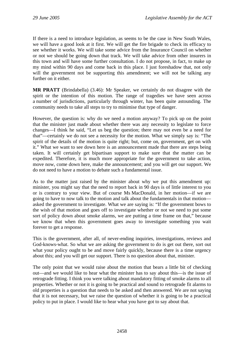If there is a need to introduce legislation, as seems to be the case in New South Wales, we will have a good look at it first. We will get the fire brigade to check its efficacy to see whether it works. We will take some advice from the Insurance Council on whether or not we should be going down that track. We will take advice from other insurers in this town and will have some further consultation. I do not propose, in fact, to make up my mind within 90 days and come back in this place. I just foreshadow that, not only will the government not be supporting this amendment; we will not be talking any further on it either.

**MR PRATT** (Brindabella) (3.46): Mr Speaker, we certainly do not disagree with the spirit or the intention of this motion. The range of tragedies we have seen across a number of jurisdictions, particularly through winter, has been quite astounding. The community needs to take all steps to try to minimise that type of danger.

However, the question is: why do we need a motion anyway? To pick up on the point that the minister just made about whether there was any necessity to legislate to force changes—I think he said, "Let us beg the question; there may not even be a need for that"—certainly we do not see a necessity for the motion. What we simply say is: "The spirit of the details of the motion is quite right; but, come on, government, get on with it." What we want to see down here is an announcement made that there are steps being taken. It will certainly get bipartisan support to make sure that the matter can be expedited. Therefore, it is much more appropriate for the government to take action, move now, come down here, make the announcement; and you will get our support. We do not need to have a motion to debate such a fundamental issue.

As to the matter just raised by the minister about why we put this amendment up: minister, you might say that the need to report back in 90 days is of little interest to you or is contrary to your view. But of course Ms MacDonald, in her motion—if we are going to have to now talk to the motion and talk about the fundamentals in that motion asked the government to investigate. What we are saying is: "If the government bows to the wish of that motion and goes off to investigate whether or not we need to put some sort of policy down about smoke alarms, we are putting a time frame on that," because we know that when this government goes away to investigate something you wait forever to get a response.

This is the government, after all, of never-ending inquiries, investigations, reviews and God-knows-what. So what we are asking the government to do is get out there, sort out what your policy ought to be and move fairly quickly, because there is a time urgency about this; and you will get our support. There is no question about that, minister.

The only point that we would raise about the motion that bears a little bit of checking out—and we would like to hear what the minister has to say about this—is the issue of retrograde fitting. I think you were talking about mandatory fitting of smoke alarms to all properties. Whether or not it is going to be practical and sound to retrograde fit alarms to old properties is a question that needs to be asked and then answered. We are not saying that it is not necessary, but we raise the question of whether it is going to be a practical policy to put in place. I would like to hear what you have got to say about that.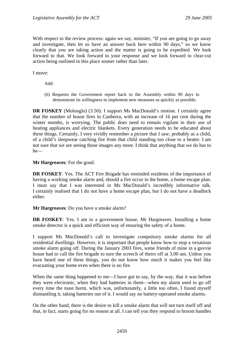With respect to the review process: again we say, minister, "If you are going to go away and investigate, then let us have an answer back here within 90 days," so we know clearly that you are taking action and the matter is going to be expedited. We look forward to that. We look forward to your response and we look forward to clear-cut action being outlined in this place sooner rather than later.

I move:

Add:

(6) Requests the Government report back to the Assembly within 90 days to demonstrate its willingness to implement new measures as quickly as possible.

**DR FOSKEY** (Molonglo) (3.50): I support Ms MacDonald's motion. I certainly agree that the number of house fires in Canberra, with an increase of 16 per cent during the winter months, is worrying. The public does need to remain vigilant in their use of heating appliances and electric blankets. Every generation needs to be educated about these things. Certainly, I very vividly remember a picture that I saw, probably as a child, of a child's sleepwear catching fire from that child standing too close to a heater. I am not sure that we are seeing those images any more. I think that anything that we do has to be—

**Mr Hargreaves**: For the good.

**DR FOSKEY:** Yes. The ACT Fire Brigade has reminded residents of the importance of having a working smoke alarm and, should a fire occur in the home, a home escape plan. I must say that I was interested in Ms MacDonald's incredibly informative talk. I certainly realised that I do not have a home escape plan, but I do not have a deadlock either.

**Mr Hargreaves**: Do you have a smoke alarm?

**DR FOSKEY**: Yes. I am in a government house, Mr Hargreaves. Installing a home smoke detector is a quick and efficient way of ensuring the safety of a home.

I support Ms MacDonald's call to investigate compulsory smoke alarms for all residential dwellings. However, it is important that people know how to stop a vexatious smoke alarm going off. During the January 2003 fires, some friends of mine in a guvvie house had to call the fire brigade to turn the screech of theirs off at 3.00 am. Unless you have heard one of these things, you do not know how much it makes you feel like evacuating your home even when there is no fire.

When the same thing happened to me—I have got to say, by the way, that it was before they were electronic, when they had batteries in them—when my alarm used to go off every time the toast burnt, which was, unfortunately, a little too often, I found myself dismantling it, taking batteries out of it. I would say no battery-operated smoke alarms.

On the other hand, there is the desire to kill a smoke alarm that will not turn itself off and that, in fact, starts going for no reason at all. I can tell you they respond to broom handles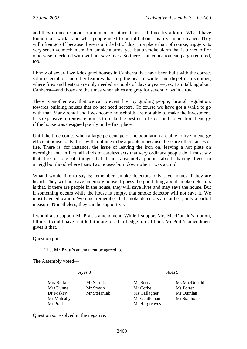and they do not respond to a number of other items. I did not try a knife. What I have found does work—and what people need to be told about—is a vacuum cleaner. They will often go off because there is a little bit of dust in a place that, of course, triggers its very sensitive mechanism. So, smoke alarms, yes; but a smoke alarm that is turned off or otherwise interfered with will not save lives. So there is an education campaign required, too.

I know of several well-designed houses in Canberra that have been built with the correct solar orientation and other features that trap the heat in winter and dispel it in summer, where fires and heaters are only needed a couple of days a year—yes, I am talking about Canberra—and those are the times when skies are grey for several days in a row.

There is another way that we can prevent fire, by guiding people, through regulation, towards building houses that do not need heaters. Of course we have got a while to go with that. Many rental and low-income households are not able to make the investment. It is expensive to renovate homes to make the best use of solar and convectional energy if the house was designed poorly in the first place.

Until the time comes when a large percentage of the population are able to live in energy efficient households, fires will continue to be a problem because there are other causes of fire. There is, for instance, the issue of leaving the iron on, leaving a hot plate on overnight and, in fact, all kinds of careless acts that very ordinary people do. I must say that fire is one of things that I am absolutely phobic about, having lived in a neighbourhood where I saw two houses burn down when I was a child.

What I would like to say is: remember, smoke detectors only save homes if they are heard. They will not save an empty house. I guess the good thing about smoke detectors is that, if there are people in the house, they will save lives and may save the house. But if something occurs while the house is empty, that smoke detector will not save it. We must have education. We must remember that smoke detectors are, at best, only a partial measure. Nonetheless, they can be supportive.

I would also support Mr Pratt's amendment. While I support Mrs MacDonald's motion, I think it could have a little bit more of a hard edge to it. I think Mr Pratt's amendment gives it that.

Question put:

That **Mr Pratt's** amendment be agreed to.

The Assembly voted—

Ayes 8 Noes 9

Mrs Burke Mr Seselja Mr Berry Ms MacDonald Mrs Dunne Mr Smyth Mr Corbell Ms Porter Dr Foskey Mr Stefaniak Ms Gallagher Mr Quinlan Mr Mulcahy Mr Gentleman Mr Stanhope Mr Pratt Mr Hargreaves

Question so resolved in the negative.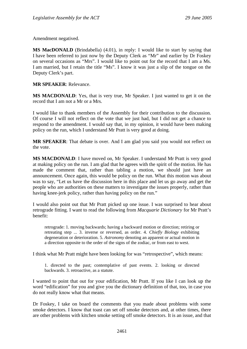Amendment negatived.

**MS MacDONALD** (Brindabella) (4.01), in reply: I would like to start by saying that I have been referred to just now by the Deputy Clerk as "Mr" and earlier by Dr Foskey on several occasions as "Mrs". I would like to point out for the record that I am a Ms. I am married, but I retain the title "Ms". I know it was just a slip of the tongue on the Deputy Clerk's part.

**MR SPEAKER**: Relevance.

**MS MACDONALD**: Yes, that is very true, Mr Speaker. I just wanted to get it on the record that I am not a Mr or a Mrs.

I would like to thank members of the Assembly for their contribution to the discussion. Of course I will not reflect on the vote that we just had, but I did not get a chance to respond to the amendment. I would say that, in my opinion, it would have been making policy on the run, which I understand Mr Pratt is very good at doing.

**MR SPEAKER**: That debate is over. And I am glad you said you would not reflect on the vote.

**MS MACDONALD**: I have moved on, Mr Speaker. I understand Mr Pratt is very good at making policy on the run. I am glad that he agrees with the spirit of the motion. He has made the comment that, rather than tabling a motion, we should just have an announcement. Once again, this would be policy on the run. What this motion was about was to say, "Let us have the discussion here in this place and let us go away and get the people who are authorities on these matters to investigate the issues properly, rather than having knee-jerk policy, rather than having policy on the run."

I would also point out that Mr Pratt picked up one issue. I was surprised to hear about retrograde fitting. I want to read the following from *Macquarie Dictionary* for Mr Pratt's benefit:

retrograde: 1. moving backwards; having a backward motion or direction; retiring or retreating step ... 3. inverse or reversed, as order. 4. *Chiefly Biology* exhibiting degeneration or deterioration. 5. *Astronomy* denoting an apparent or actual motion in a direction opposite to the order of the signs of the zodiac, or from east to west.

I think what Mr Pratt might have been looking for was "retrospective", which means:

1. directed to the past; contemplative of past events. 2. looking or directed backwards. 3. retroactive, as a statute.

I wanted to point that out for your edification, Mr Pratt. If you like I can look up the word "edification" for you and give you the dictionary definition of that, too, in case you do not really know what that means.

Dr Foskey, I take on board the comments that you made about problems with some smoke detectors. I know that toast can set off smoke detectors and, at other times, there are other problems with kitchen smoke setting off smoke detectors. It is an issue, and that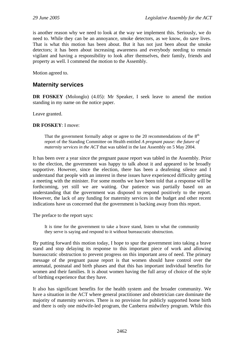is another reason why we need to look at the way we implement this. Seriously, we do need to. While they can be an annoyance, smoke detectors, as we know, do save lives. That is what this motion has been about. But it has not just been about the smoke detectors; it has been about increasing awareness and everybody needing to remain vigilant and having a responsibility to look after themselves, their family, friends and property as well. I commend the motion to the Assembly.

Motion agreed to.

# **Maternity services**

**DR FOSKEY** (Molonglo) (4.05): Mr Speaker, I seek leave to amend the motion standing in my name on the notice paper.

Leave granted.

### **DR FOSKEY**: I move:

That the government formally adopt or agree to the 20 recommendations of the  $8<sup>th</sup>$ report of the Standing Committee on Health entitled *A pregnant pause: the future of maternity services in the ACT* that was tabled in the last Assembly on 5 May 2004.

It has been over a year since the pregnant pause report was tabled in the Assembly. Prior to the election, the government was happy to talk about it and appeared to be broadly supportive. However, since the election, there has been a deafening silence and I understand that people with an interest in these issues have experienced difficulty getting a meeting with the minister. For some months we have been told that a response will be forthcoming, yet still we are waiting. Our patience was partially based on an understanding that the government was disposed to respond positively to the report. However, the lack of any funding for maternity services in the budget and other recent indications have us concerned that the government is backing away from this report.

The preface to the report says:

It is time for the government to take a brave stand, listen to what the community they serve is saying and respond to it without bureaucratic obstruction.

By putting forward this motion today, I hope to spur the government into taking a brave stand and stop delaying its response to this important piece of work and allowing bureaucratic obstruction to prevent progress on this important area of need. The primary message of the pregnant pause report is that women should have control over the antenatal, postnatal and birth phases and that this has important individual benefits for women and their families. It is about women having the full array of choice of the style of birthing experience that they have.

It also has significant benefits for the health system and the broader community. We have a situation in the ACT where general practitioner and obstetrician care dominate the majority of maternity services. There is no provision for publicly supported home birth and there is only one midwife-led program, the Canberra midwifery program. While this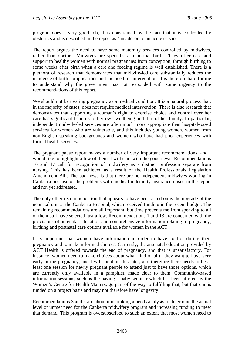program does a very good job, it is constrained by the fact that it is controlled by obstetrics and is described in the report as "an add-on to an acute service".

The report argues the need to have some maternity services controlled by midwives, rather than doctors. Midwives are specialists in normal births. They offer care and support to healthy women with normal pregnancies from conception, through birthing to some weeks after birth when a care and feeding regime is well established. There is a plethora of research that demonstrates that midwife-led care substantially reduces the incidence of birth complications and the need for intervention. It is therefore hard for me to understand why the government has not responded with some urgency to the recommendations of this report.

We should not be treating pregnancy as a medical condition. It is a natural process that, in the majority of cases, does not require medical intervention. There is also research that demonstrates that supporting a woman's right to exercise choice and control over her care has significant benefits to her own wellbeing and that of her family. In particular, independent midwife-led services are often much more appropriate than hospital-based services for women who are vulnerable, and this includes young women, women from non-English speaking backgrounds and women who have had poor experiences with formal health services.

The pregnant pause report makes a number of very important recommendations, and I would like to highlight a few of them. I will start with the good news. Recommendations 16 and 17 call for recognition of midwifery as a distinct profession separate from nursing. This has been achieved as a result of the Health Professionals Legislation Amendment Bill. The bad news is that there are no independent midwives working in Canberra because of the problems with medical indemnity insurance raised in the report and not yet addressed.

The only other recommendation that appears to have been acted on is the upgrade of the neonatal unit at the Canberra Hospital, which received funding in the recent budget. The remaining recommendations are all important, but time prevents me from speaking to all of them so I have selected just a few. Recommendations 1 and 13 are concerned with the provisions of antenatal education and comprehensive information relating to pregnancy, birthing and postnatal care options available for women in the ACT.

It is important that women have information in order to have control during their pregnancy and to make informed choices. Currently, the antenatal education provided by ACT Health is offered towards the end of pregnancy, and that is unsatisfactory. For instance, women need to make choices about what kind of birth they want to have very early in the pregnancy, and I will mention this later, and therefore there needs to be at least one session for newly pregnant people to attend just to have those options, which are currently only available in a pamphlet, made clear to them. Community-based information sessions, such as the having a baby seminar which has been offered by the Women's Centre for Health Matters, go part of the way to fulfilling that, but that one is funded on a project basis and may not therefore have longevity.

Recommendations 3 and 4 are about undertaking a needs analysis to determine the actual level of unmet need for the Canberra midwifery program and increasing funding to meet that demand. This program is oversubscribed to such an extent that most women need to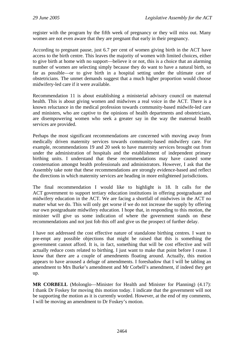register with the program by the fifth week of pregnancy or they will miss out. Many women are not even aware that they are pregnant that early in their pregnancy.

According to pregnant pause, just 6.7 per cent of women giving birth in the ACT have access to the birth centre. This leaves the majority of women with limited choices, either to give birth at home with no support—believe it or not, this is a choice that an alarming number of women are selecting simply because they do want to have a natural birth, so far as possible—or to give birth in a hospital setting under the ultimate care of obstetricians. The unmet demands suggest that a much higher proportion would choose midwifery-led care if it were available.

Recommendation 11 is about establishing a ministerial advisory council on maternal health. This is about giving women and midwives a real voice in the ACT. There is a known reluctance in the medical profession towards community-based midwife-led care and ministers, who are captive to the opinions of health departments and obstetricians, are disempowering women who seek a greater say in the way the maternal health services are provided.

Perhaps the most significant recommendations are concerned with moving away from medically driven maternity services towards community-based midwifery care. For example, recommendations 19 and 20 seek to have maternity services brought out from under the administration of hospitals and the establishment of independent primary birthing units. I understand that these recommendations may have caused some consternation amongst health professionals and administrators. However, I ask that the Assembly take note that these recommendations are strongly evidence-based and reflect the directions in which maternity services are heading in more enlightened jurisdictions.

The final recommendation I would like to highlight is 18. It calls for the ACT government to support tertiary education institutions in offering postgraduate and midwifery education in the ACT. We are facing a shortfall of midwives in the ACT no matter what we do. This will only get worse if we do not increase the supply by offering our own postgraduate midwifery education. I hope that, in responding to this motion, the minister will give us some indication of where the government stands on these recommendations and not just fob this off and give us the prospect of further delay.

I have not addressed the cost effective nature of standalone birthing centres. I want to pre-empt any possible objections that might be raised that this is something the government cannot afford. It is, in fact, something that will be cost effective and will actually reduce costs related to birthing. I just want to make that point before I cease. I know that there are a couple of amendments floating around. Actually, this motion appears to have aroused a deluge of amendments. I foreshadow that I will be tabling an amendment to Mrs Burke's amendment and Mr Corbell's amendment, if indeed they get up.

**MR CORBELL** (Molonglo—Minister for Health and Minister for Planning) (4.17): I thank Dr Foskey for moving this motion today. I indicate that the government will not be supporting the motion as it is currently worded. However, at the end of my comments, I will be moving an amendment to Dr Foskey's motion.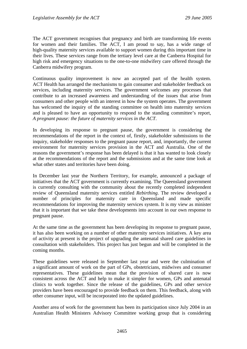The ACT government recognises that pregnancy and birth are transforming life events for women and their families. The ACT, I am proud to say, has a wide range of high-quality maternity services available to support women during this important time in their lives. These services range from the tertiary level care at the Canberra Hospital for high risk and emergency situations to the one-to-one midwifery care offered through the Canberra midwifery program.

Continuous quality improvement is now an accepted part of the health system. ACT Health has arranged the mechanisms to gain consumer and stakeholder feedback on services, including maternity services. The government welcomes any processes that contribute to an increased awareness and understanding of the issues that arise from consumers and other people with an interest in how the system operates. The government has welcomed the inquiry of the standing committee on health into maternity services and is pleased to have an opportunity to respond to the standing committee's report, *A pregnant pause: the future of maternity services in the ACT*.

In developing its response to pregnant pause, the government is considering the recommendations of the report in the context of, firstly, stakeholder submissions to the inquiry, stakeholder responses to the pregnant pause report, and, importantly, the current environment for maternity services provision in the ACT and Australia. One of the reasons the government's response has been delayed is that it has wanted to look closely at the recommendations of the report and the submissions and at the same time look at what other states and territories have been doing.

In December last year the Northern Territory, for example, announced a package of initiatives that the ACT government is currently examining. The Queensland government is currently consulting with the community about the recently completed independent review of Queensland maternity services entitled *Rebirthing*. The review developed a number of principles for maternity care in Queensland and made specific recommendations for improving the maternity services system. It is my view as minister that it is important that we take these developments into account in our own response to pregnant pause.

At the same time as the government has been developing its response to pregnant pause, it has also been working on a number of other maternity services initiatives. A key area of activity at present is the project of upgrading the antenatal shared care guidelines in consultation with stakeholders. This project has just begun and will be completed in the coming months.

These guidelines were released in September last year and were the culmination of a significant amount of work on the part of GPs, obstetricians, midwives and consumer representatives. These guidelines mean that the provision of shared care is now consistent across the ACT and help to make it simpler for women, GPs and antenatal clinics to work together. Since the release of the guidelines, GPs and other service providers have been encouraged to provide feedback on them. This feedback, along with other consumer input, will be incorporated into the updated guidelines.

Another area of work for the government has been its participation since July 2004 in an Australian Health Ministers Advisory Committee working group that is considering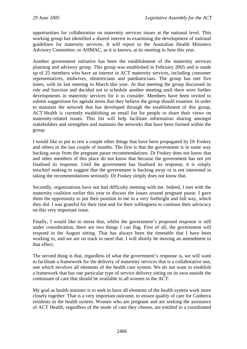opportunities for collaboration on maternity services issues at the national level. This working group has identified a shared interest in examining the development of national guidelines for maternity services. It will report to the Australian Health Ministers Advisory Committee, or AHMAC, as it is known, at its meeting in June this year.

Another government initiative has been the establishment of the maternity services planning and advisory group. This group was established in February 2005 and is made up of 25 members who have an interest in ACT maternity services, including consumer representatives, midwives, obstetricians and paediatricians. The group has met five times, with its last meeting in March this year. At that meeting the group discussed its role and function and decided not to schedule another meeting until there were further developments in maternity services for it to consider. Members have been invited to submit suggestions for agenda items that they believe the group should examine. In order to maintain the network that has developed through the establishment of this group, ACT Health is currently establishing an email list for people to share their views on maternity-related issues. This list will help facilitate information sharing amongst stakeholders and strengthen and maintain the networks that have been formed within the group.

I would like to put to rest a couple other things that have been propagated by Dr Foskey and others in the last couple of months. The first is that the government is in some way backing away from the pregnant pause recommendations. Dr Foskey does not know that and other members of this place do not know that because the government has not yet finalised its response. Until the government has finalised its response, it is simply mischief making to suggest that the government is backing away or is not interested in taking the recommendations seriously. Dr Foskey simply does not know that.

Secondly, organisations have not had difficulty meeting with me. Indeed, I met with the maternity coalition earlier this year to discuss the issues around pregnant pause. I gave them the opportunity to put their position to me in a very forthright and full way, which they did. I was grateful for their time and for their willingness to continue their advocacy on this very important issue.

Finally, I would like to stress that, whilst the government's proposed response is still under consideration, there are two things I can flag. First of all, the government will respond in the August sitting. That has always been the timetable that I have been working to, and we are on track to meet that. I will shortly be moving an amendment to that effect.

The second thing is that, regardless of what the government's response is, we will want to facilitate a framework for the delivery of maternity services that is a collaborative one, one which involves all elements of the health care system. We do not want to establish a framework that has one particular type of service delivery sitting on its own outside the continuum of care that should be available to all women in the ACT.

My goal as health minister is to seek to have all elements of the health system work more closely together. That is a very important outcome, to ensure quality of care for Canberra residents in the health system. Women who are pregnant and are seeking the assistance of ACT Health, regardless of the mode of care they choose, are entitled to a coordinated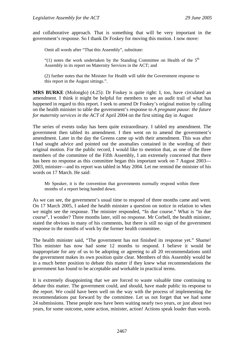and collaborative approach. That is something that will be very important in the government's response. So I thank Dr Foskey for moving this motion. I now move:

Omit all words after "That this Assembly", substitute:

"(1) notes the work undertaken by the Standing Committee on Health of the  $5<sup>th</sup>$ Assembly in its report on Maternity Services in the ACT; and

(2) further notes that the Minister for Health will table the Government response to this report in the August sittings.".

**MRS BURKE** (Molonglo) (4.25): Dr Foskey is quite right: I, too, have circulated an amendment. I think it might be helpful for members to see an audit trail of what has happened in regard to this report. I seek to amend Dr Foskey's original motion by calling on the health minister to table the government's response to *A pregnant pause: the future for maternity services in the ACT* of April 2004 on the first sitting day in August

The series of events today has been quite extraordinary. I tabled my amendment. The government then tabled its amendment. I then went on to amend the government's amendment. Later in the day the Greens came up with their amendment. This was after I had sought advice and pointed out the anomalies contained in the wording of their original motion. For the public record, I would like to mention that, as one of the three members of the committee of the Fifth Assembly, I am extremely concerned that there has been no response as this committee began this important work on 7 August 2003— 2003, minister—and its report was tabled in May 2004. Let me remind the minister of his words on 17 March. He said:

Mr Speaker, it is the convention that governments normally respond within three months of a report being handed down.

As we can see, the government's usual time to respond of three months came and went. On 17 March 2005, I asked the health minister a question on notice in relation to when we might see the response. The minister responded, "In due course." What is "in due course", I wonder? Three months later, still no response. Mr Corbell, the health minister, stated the obvious in many of his comments, but there is still no sign of the government response to the months of work by the former health committee.

The health minister said, "The government has not finished its response yet." Shame! This minister has now had some 12 months to respond. I believe it would be inappropriate for any of us to be adopting or agreeing to all 20 recommendations until the government makes its own position quite clear. Members of this Assembly would be in a much better position to debate this matter if they knew what recommendations the government has found to be acceptable and workable in practical terms.

It is extremely disappointing that we are forced to waste valuable time continuing to debate this matter. The government could, and should, have made public its response to the report. We could have been well on the way with the process of implementing the recommendations put forward by the committee. Let us not forget that we had some 24 submissions. These people now have been waiting nearly two years, or just about two years, for some outcome, some action, minister, action! Actions speak louder than words.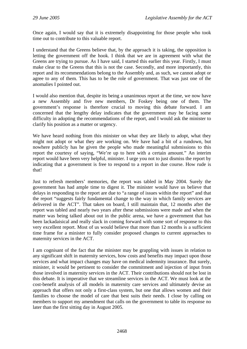Once again, I would say that it is extremely disappointing for those people who took time out to contribute to this valuable report.

I understand that the Greens believe that, by the approach it is taking, the opposition is letting the government off the hook. I think that we are in agreement with what the Greens are trying to pursue. As I have said, I started this earlier this year. Firstly, I must make clear to the Greens that this is not the case. Secondly, and more importantly, this report and its recommendations belong to the Assembly and, as such, we cannot adopt or agree to any of them. This has to be the role of government. That was just one of the anomalies I pointed out.

I would also mention that, despite its being a unanimous report at the time, we now have a new Assembly and five new members, Dr Foskey being one of them. The government's response is therefore crucial to moving this debate forward. I am concerned that the lengthy delay indicates that the government may be facing some difficulty in adopting the recommendations of the report, and I would ask the minister to clarify his position as a matter or urgency.

We have heard nothing from this minister on what they are likely to adopt, what they might not adopt or what they are working on. We have had a bit of a rundown, but nowhere publicly has he given the people who made meaningful submissions to this report the courtesy of saying, "We're up to here with a certain amount." An interim report would have been very helpful, minister. I urge you not to just dismiss the report by indicating that a government is free to respond to a report in due course. How rude is that!

Just to refresh members' memories, the report was tabled in May 2004. Surely the government has had ample time to digest it. The minister would have us believe that delays in responding to the report are due to "a range of issues within the report" and that the report "suggests fairly fundamental change to the way in which family services are delivered in the ACT". That taken on board, I still maintain that, 12 months after the report was tabled and nearly two years after these submissions were made and when the matter was being talked about out in the public arena, we have a government that has been lackadaisical and really slack in coming forward with some sort of response to this very excellent report. Most of us would believe that more than 12 months is a sufficient time frame for a minister to fully consider proposed changes to current approaches to maternity services in the ACT.

I am cognisant of the fact that the minister may be grappling with issues in relation to any significant shift in maternity services, how costs and benefits may impact upon those services and what impact changes may have on medical indemnity insurance. But surely, minister, it would be pertinent to consider the commitment and injection of input from those involved in maternity services in the ACT. Their contributions should not be lost in this debate. It is imperative that we streamline services in the ACT. We must look at the cost-benefit analysis of all models in maternity care services and ultimately devise an approach that offers not only a first-class system, but one that allows women and their families to choose the model of care that best suits their needs. I close by calling on members to support my amendment that calls on the government to table its response no later than the first sitting day in August 2005.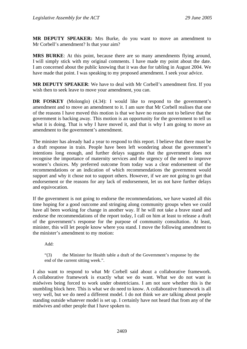**MR DEPUTY SPEAKER:** Mrs Burke, do you want to move an amendment to Mr Corbell's amendment? Is that your aim?

**MRS BURKE**: At this point, because there are so many amendments flying around, I will simply stick with my original comments. I have made my point about the date. I am concerned about the public knowing that it was due for tabling in August 2004. We have made that point. I was speaking to my proposed amendment. I seek your advice.

**MR DEPUTY SPEAKER**: We have to deal with Mr Corbell's amendment first. If you wish then to seek leave to move your amendment, you can.

**DR FOSKEY** (Molonglo) (4.34): I would like to respond to the government's amendment and to move an amendment to it. I am sure that Mr Corbell realises that one of the reasons I have moved this motion is that we have no reason not to believe that the government is backing away. This motion is an opportunity for the government to tell us what it is doing. That is why I have moved it, and that is why I am going to move an amendment to the government's amendment.

The minister has already had a year to respond to this report. I believe that there must be a draft response in train. People have been left wondering about the government's intentions long enough, and further delays suggests that the government does not recognise the importance of maternity services and the urgency of the need to improve women's choices. My preferred outcome from today was a clear endorsement of the recommendations or an indication of which recommendations the government would support and why it chose not to support others. However, if we are not going to get that endorsement or the reasons for any lack of endorsement, let us not have further delays and equivocation.

If the government is not going to endorse the recommendations, we have wasted all this time hoping for a good outcome and stringing along community groups when we could have all been working for change in another way. If he will not take a brave stand and endorse the recommendations of the report today, I call on him at least to release a draft of the government's response for the purpose of community consultation. At least, minister, this will let people know where you stand. I move the following amendment to the minister's amendment to my motion:

Add:

"(3) the Minister for Health table a draft of the Government's response by the end of the current sitting week.".

I also want to respond to what Mr Corbell said about a collaborative framework. A collaborative framework is exactly what we do want. What we do not want is midwives being forced to work under obstetricians. I am not sure whether this is the stumbling block here. This is what we do need to know. A collaborative framework is all very well, but we do need a different model. I do not think we are talking about people standing outside whatever model is set up. I certainly have not heard that from any of the midwives and other people that I have spoken to.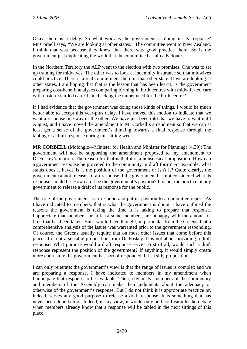Okay, there is a delay. So what work is the government is doing in its response? Mr Corbell says, "We are looking at other states." The committee went to New Zealand. I think that was because they knew that there was good practice there. So is the government just duplicating the work that the committee has already done?

In the Northern Territory the ALP went to the election with two promises. One was to set up training for midwives. The other was to look at indemnity insurance so that midwives could practice. There is a real commitment there in that other state. If we are looking at other states, I am hoping that that is the lesson that has been learnt. Is the government preparing cost-benefit analyses comparing birthing in birth centres with midwife-led care with obstetrician-led care? Is it checking the unmet need for the birth centre?

If I had evidence that the government was doing those kinds of things, I would be much better able to accept this year-plus delay. I have moved this motion to indicate that we want a response one way or the other. We have just been told that we have to wait until August, and I have moved the amendment to Mr Corbell's amendment so that we can at least get a sense of the government's thinking towards a final response through the tabling of a draft response during this sitting week.

**MR CORBELL** (Molonglo—Minister for Health and Minister for Planning) (4.39): The government will not be supporting the amendment proposed to my amendment to Dr Foskey's motion. The reason for that is that it is a nonsensical proposition. How can a government response be provided to the community in draft form? For example, what status does it have? Is it the position of the government or isn't it? Quite clearly, the government cannot release a draft response if the government has not considered what its response should be. How can it be the government's position? It is not the practice of any government to release a draft of its response for the public.

The role of the government is to respond and put its position to a committee report. As I have indicated to members, that is what the government is doing. I have outlined the reasons the government is taking the time it is taking to prepare that response. I appreciate that members, or at least some members, are unhappy with the amount of time that has been taken. But I would have thought, in particular from the Greens, that a comprehensive analysis of the issues was warranted prior to the government responding. Of course, the Greens usually require that on most other issues that come before this place. It is not a sensible proposition from Dr Foskey. It is not about providing a draft response. What purpose would a draft response serve? First of all, would such a draft response represent the position of the government? If anything, it would simply create more confusion: the government has sort of responded. It is a silly proposition.

I can only reiterate: the government's view is that the range of issues is complex and we are preparing a response. I have indicated to members in my amendment when I anticipate that response to be available. Then, obviously, members of the community and members of the Assembly can make their judgments about the adequacy or otherwise of the government's response. But I do not think it is appropriate practice or, indeed, serves any good purpose to release a draft response. It is something that has never been done before. Indeed, in my view, it would only add confusion to the debate when members already know that a response will be tabled in the next sittings of this place.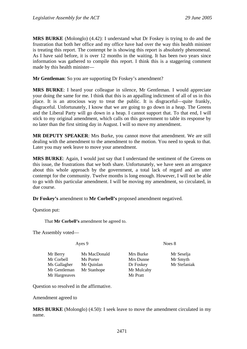**MRS BURKE** (Molonglo) (4.42): I understand what Dr Foskey is trying to do and the frustration that both her office and my office have had over the way this health minister is treating this report. The contempt he is showing this report is absolutely phenomenal. As I have said before, it is over 12 months in the waiting. It has been two years since information was gathered to compile this report. I think this is a staggering comment made by this health minister—

**Mr Gentleman**: So you are supporting Dr Foskey's amendment?

**MRS BURKE**: I heard your colleague in silence, Mr Gentleman. I would appreciate your doing the same for me. I think that this is an appalling indictment of all of us in this place. It is an atrocious way to treat the public. It is disgraceful—quite frankly, disgraceful. Unfortunately, I know that we are going to go down in a heap. The Greens and the Liberal Party will go down in a heap. I cannot support that. To that end, I will stick to my original amendment, which calls on this government to table its response by no later than the first sitting day in August. I will so move my amendment.

**MR DEPUTY SPEAKER**: Mrs Burke, you cannot move that amendment. We are still dealing with the amendment to the amendment to the motion. You need to speak to that. Later you may seek leave to move your amendment.

**MRS BURKE**: Again, I would just say that I understand the sentiment of the Greens on this issue, the frustrations that we both share. Unfortunately, we have seen an arrogance about this whole approach by the government, a total lack of regard and an utter contempt for the community. Twelve months is long enough. However, I will not be able to go with this particular amendment. I will be moving my amendment, so circulated, in due course.

**Dr Foskey's** amendment to **Mr Corbell's** proposed amendment negatived.

Question put:

That **Mr Corbell's** amendment be agreed to.

The Assembly voted—

Mr Berry Ms MacDonald Mrs Burke Mr Seselja Mr Corbell Ms Porter Mrs Dunne Mr Smyth Ms Gallagher Mr Quinlan Dr Foskey Mr Stefaniak Mr Gentleman Mr Stanhope Mr Mulcahy Mr Hargreaves Mr Pratt

Ayes 9 Noes 8

Question so resolved in the affirmative.

Amendment agreed to

**MRS BURKE** (Molonglo) (4.50): I seek leave to move the amendment circulated in my name.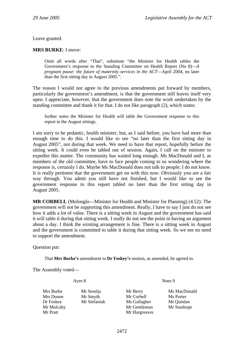Leave granted.

### **MRS BURKE**: I move:

Omit all words after "That", substitute "the Minister for Health tables the Government's response to the Standing Committee on Health Report (No 8)—*A pregnant pause: the future of maternity services in the ACT*—April 2004, no later than the first sitting day in August 2005.".

The reason I would not agree to the previous amendments put forward by members, particularly the government's amendment, is that the government still leaves itself very open. I appreciate, however, that the government does note the work undertaken by the standing committee and thank it for that. I do not like paragraph (2), which states:

further notes the Minister for Health will table the Government response to this report in the August sittings.

I am sorry to be pedantic, health minister, but, as I said before, you have had more than enough time to do this. I would like to see "no later than the first sitting day in August 2005", not during that week. We need to have that report, hopefully before the sitting week. It could even be tabled out of session. Again, I call on the minister to expedite this matter. The community has waited long enough. Ms MacDonald and I, as members of the old committee, have to face people coming to us wondering where the response is, certainly I do. Maybe Ms MacDonald does not talk to people; I do not know. It is really pertinent that the government get on with this now. Obviously you are a fair way through. You admit you still have not finished, but I would like to see the government response to this report tabled no later than the first sitting day in August 2005.

**MR CORBELL** (Molonglo—Minister for Health and Minister for Planning) (4.52): The government will not be supporting this amendment. Really, I have to say I just do not see how it adds a lot of value. There is a sitting week in August and the government has said it will table it during that sitting week. I really do not see the point in having an argument about a day. I think the existing arrangement is fine. There is a sitting week in August and the government is committed to table it during that sitting week. So we see no need to support the amendment.

Question put:

That **Mrs Burke's** amendment to **Dr Foskey's** motion, as amended, be agreed to.

The Assembly voted—

Ayes 8 Noes 9

Mrs Burke Mr Seselja Mr Berry Ms MacDonald Mrs Dunne Mr Smyth Mr Corbell Ms Porter Dr Foskey Mr Stefaniak Ms Gallagher Mr Quinlan Mr Mulcahy **Mr Gentleman** Mr Stanhope Mr Pratt Mr Hargreaves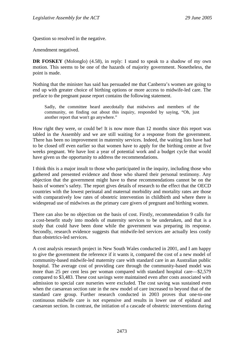Question so resolved in the negative.

Amendment negatived.

**DR FOSKEY** (Molonglo) (4.58), in reply: I stand to speak to a shadow of my own motion. This seems to be one of the hazards of majority government. Nonetheless, the point is made.

Nothing that the minister has said has persuaded me that Canberra's women are going to end up with greater choice of birthing options or more access to midwife-led care. The preface to the pregnant pause report contains the following statement.

Sadly, the committee heard anecdotally that midwives and members of the community, on finding out about this inquiry, responded by saying, "Oh, just another report that won't go anywhere."

How right they were, or could be! It is now more than 12 months since this report was tabled in the Assembly and we are still waiting for a response from the government. There has been no improvement in maternity services. Indeed, the waiting lists have had to be closed off even earlier so that women have to apply for the birthing centre at five weeks pregnant. We have lost a year of potential work and a budget cycle that would have given us the opportunity to address the recommendations.

I think this is a major insult to those who participated in the inquiry, including those who gathered and presented evidence and those who shared their personal testimony. Any objection that the government might have to these recommendations cannot be on the basis of women's safety. The report gives details of research to the effect that the OECD countries with the lowest perinatal and maternal morbidity and mortality rates are those with comparatively low rates of obstetric intervention in childbirth and where there is widespread use of midwives as the primary care givers of pregnant and birthing women.

There can also be no objection on the basis of cost. Firstly, recommendation 9 calls for a cost-benefit study into models of maternity services to be undertaken, and that is a study that could have been done while the government was preparing its response. Secondly, research evidence suggests that midwife-led services are actually less costly than obstetrics-led services.

A cost analysis research project in New South Wales conducted in 2001, and I am happy to give the government the reference if it wants it, compared the cost of a new model of community-based midwife-led maternity care with standard care in an Australian public hospital. The average cost of providing care through the community-based model was more than 25 per cent less per woman compared with standard hospital care—\$2,579 compared to \$3,483. These cost savings were maintained even after costs associated with admission to special care nurseries were excluded. The cost saving was sustained even when the caesarean section rate in the new model of care increased to beyond that of the standard care group. Further research conducted in 2003 proves that one-to-one continuous midwife care is not expensive and results in lower use of epidural and caesarean section. In contrast, the initiation of a cascade of obstetric interventions during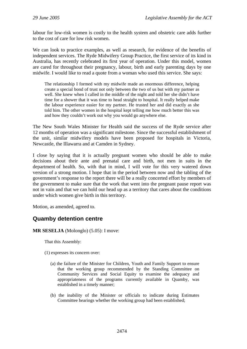labour for low-risk women is costly to the health system and obstetric care adds further to the cost of care for low risk women.

We can look to practice examples, as well as research, for evidence of the benefits of independent services. The Ryde Midwifery Group Practice, the first service of its kind in Australia, has recently celebrated its first year of operation. Under this model, women are cared for throughout their pregnancy, labour, birth and early parenting days by one midwife. I would like to read a quote from a woman who used this service. She says:

The relationship I formed with my midwife made an enormous difference, helping create a special bond of trust not only between the two of us but with my partner as well. She knew when I called in the middle of the night and told her she didn't have time for a shower that it was time to head straight to hospital. It really helped make the labour experience easier for my partner. He trusted her and did exactly as she told him. The other women in the hospital kept telling me how much better this was and how they couldn't work out why you would go anywhere else.

The New South Wales Minister for Health said the success of the Ryde service after 12 months of operation was a significant milestone. Since the successful establishment of the unit, similar midwifery models have been proposed for hospitals in Victoria, Newcastle, the Illawarra and at Camden in Sydney.

I close by saying that it is actually pregnant women who should be able to make decisions about their ante and prenatal care and birth, not men in suits in the department of health. So, with that in mind, I will vote for this very watered down version of a strong motion. I hope that in the period between now and the tabling of the government's response to the report there will be a really concerted effort by members of the government to make sure that the work that went into the pregnant pause report was not in vain and that we can hold our head up as a territory that cares about the conditions under which women give birth in this territory.

Motion, as amended, agreed to.

# **Quamby detention centre**

**MR SESELJA** (Molonglo) (5.05): I move:

That this Assembly:

(1) expresses its concern over:

- (a) the failure of the Minister for Children, Youth and Family Support to ensure that the working group recommended by the Standing Committee on Community Services and Social Equity to examine the adequacy and appropriateness of the programs currently available in Quamby, was established in a timely manner;
- (b) the inability of the Minister or officials to indicate during Estimates Committee hearings whether the working group had been established;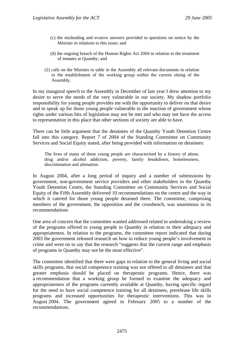- (c) the misleading and evasive answers provided to questions on notice by the Minister in relations to this issue; and
- (d) the ongoing breach of the Human Rights Act 2004 in relation to the treatment of inmates at Quamby; and
- (2) calls on the Minister to table in the Assembly all relevant documents in relation to the establishment of the working group within the current sitting of the Assembly.

In my inaugural speech to the Assembly in December of last year I drew attention to my desire to serve the needs of the very vulnerable in our society. My shadow portfolio responsibility for young people provides me with the opportunity to deliver on that desire and to speak up for those young people vulnerable to the inaction of government whose rights under various bits of legislation may not be met and who may not have the access to representation in this place that other sections of society are able to have.

There can be little argument that the detainees of the Quamby Youth Detention Centre fall into this category. Report 7 of 2004 of the Standing Committee on Community Services and Social Equity stated, after being provided with information on detainees:

The lives of many of these young people are characterised by a history of abuse, drug and/or alcohol addiction, poverty, family breakdown, homelessness, discrimination and alienation.

In August 2004, after a long period of inquiry and a number of submissions by government, non-government service providers and other stakeholders in the Quamby Youth Detention Centre, the Standing Committee on Community Services and Social Equity of the Fifth Assembly delivered 10 recommendations on the centre and the way in which it catered for those young people detained there. The committee, comprising members of the government, the opposition and the crossbench, was unanimous in its recommendations

One area of concern that the committee wanted addressed related to undertaking a review of the programs offered to young people in Quamby in relation to their adequacy and appropriateness. In relation to the programs, the committee report indicated that during 2003 the government released research on how to reduce young people's involvement in crime and went on to say that the research "suggests that the current range and emphasis of programs in Quamby may not be the most effective".

The committee identified that there were gaps in relation to the general living and social skills programs, that social competence training was not offered to all detainees and that greater emphasis should be placed on therapeutic programs. Hence, there was a recommendation that a working group be formed to examine the adequacy and appropriateness of the programs currently available at Quamby, having specific regard for the need to have social competence training for all detainees, prerelease life skills programs and increased opportunities for therapeutic interventions. This was in August 2004. The government agreed in February 2005 to a number of the recommendations.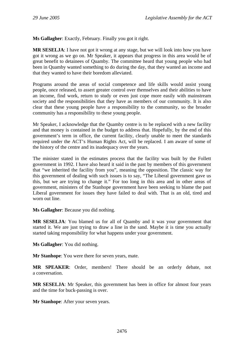**Ms Gallagher**: Exactly, February. Finally you got it right.

**MR SESELJA**: I have not got it wrong at any stage, but we will look into how you have got it wrong as we go on. Mr Speaker, it appears that progress in this area would be of great benefit to detainees of Quamby. The committee heard that young people who had been in Quamby wanted something to do during the day, that they wanted an income and that they wanted to have their boredom alleviated.

Programs around the areas of social competence and life skills would assist young people, once released, to assert greater control over themselves and their abilities to have an income, find work, return to study or even just cope more easily with mainstream society and the responsibilities that they have as members of our community. It is also clear that these young people have a responsibility to the community, so the broader community has a responsibility to these young people.

Mr Speaker, I acknowledge that the Quamby centre is to be replaced with a new facility and that money is contained in the budget to address that. Hopefully, by the end of this government's term in office, the current facility, clearly unable to meet the standards required under the ACT's Human Rights Act, will be replaced. I am aware of some of the history of the centre and its inadequacy over the years.

The minister stated in the estimates process that the facility was built by the Follett government in 1992. I have also heard it said in the past by members of this government that "we inherited the facility from you", meaning the opposition. The classic way for this government of dealing with such issues is to say, "The Liberal government gave us this, but we are trying to change it." For too long in this area and in other areas of government, ministers of the Stanhope government have been seeking to blame the past Liberal government for issues they have failed to deal with. That is an old, tired and worn out line.

**Ms Gallagher**: Because you did nothing.

**MR SESELJA**: You blamed us for all of Quamby and it was your government that started it. We are just trying to draw a line in the sand. Maybe it is time you actually started taking responsibility for what happens under your government.

**Ms Gallagher**: You did nothing.

**Mr Stanhope**: You were there for seven years, mate.

**MR SPEAKER**: Order, members! There should be an orderly debate, not a conversation.

**MR SESELJA**: Mr Speaker, this government has been in office for almost four years and the time for buck-passing is over.

**Mr Stanhope**: After your seven years.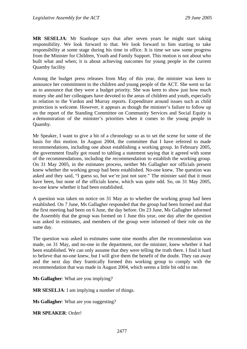**MR SESELJA**: Mr Stanhope says that after seven years he might start taking responsibility. We look forward to that. We look forward to him starting to take responsibility at some stage during his time in office. It is time we saw some progress from the Minister for Children, Youth and Family Support. This motion is not about who built what and when; it is about achieving outcomes for young people in the current Quamby facility

Among the budget press releases from May of this year, the minister was keen to announce her commitment to the children and young people of the ACT. She went so far as to announce that they were a budget priority. She was keen to show just how much money she and her colleagues have devoted to the areas of children and youth, especially in relation to the Vardon and Murray reports. Expenditure around issues such as child protection is welcome. However, it appears as though the minister's failure to follow up on the report of the Standing Committee on Community Services and Social Equity is a demonstration of the minister's priorities when it comes to the young people in Quamby.

Mr Speaker, I want to give a bit of a chronology so as to set the scene for some of the basis for this motion. In August 2004, the committee that I have referred to made recommendations, including one about establishing a working group. In February 2005, the government finally got round to tabling a statement saying that it agreed with some of the recommendations, including the recommendation to establish the working group. On 31 May 2005, in the estimates process, neither Ms Gallagher nor officials present knew whether the working group had been established. No-one knew. The question was asked and they said, "I guess so, but we're just not sure." The minister said that it must have been, but none of the officials knew, which was quite odd. So, on 31 May 2005, no-one knew whether it had been established.

A question was taken on notice on 31 May as to whether the working group had been established. On 7 June, Ms Gallagher responded that the group had been formed and that the first meeting had been on 6 June, the day before. On 23 June, Ms Gallagher informed the Assembly that the group was formed on 1 June this year, one day after the question was asked in estimates, and members of the group were informed of their role on the same day.

The question was asked in estimates some nine months after the recommendation was made, on 31 May, and no-one in the department, nor the minister, knew whether it had been established. We can only assume that they were telling the truth there. I find it hard to believe that no-one knew, but I will give them the benefit of the doubt. They ran away and the next day they frantically formed this working group to comply with the recommendation that was made in August 2004, which seems a little bit odd to me.

**Ms Gallagher**: What are you implying?

**MR SESELJA**: I am implying a number of things.

**Ms Gallagher**: What are you suggesting?

**MR SPEAKER**: Order!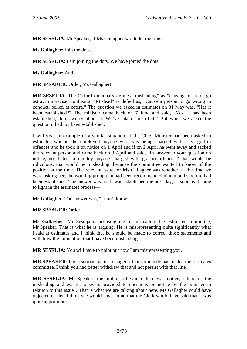**MR SESELJA**: Mr Speaker, if Ms Gallagher would let me finish.

**Ms Gallagher**: Join the dots.

**MR SESELJA**: I am joining the dots. We have joined the dots.

**Ms Gallagher**: And!

**MR SPEAKER**: Order, Ms Gallagher!

**MR SESELJA:** The Oxford dictionary defines "misleading" as "causing to err or go astray, imprecise, confusing. "Mislead" is defied as, "Cause a person to go wrong in conduct, belief, et cetera." The question we asked in estimates on 31 May was, "Has it been established?" The minister came back on 7 June and said, "Yes, it has been established, don't worry about it. We've taken care of it." But when we asked the question it had not been established.

I will give an example of a similar situation. If the Chief Minister had been asked in estimates whether he employed anyone who was being charged with, say, graffiti offences and he took it on notice on 1 April and if on 2 April he went away and sacked the relevant person and came back on 3 April and said, "In answer to your question on notice, no, I do not employ anyone charged with graffiti offences," that would be ridiculous, that would be misleading, because the committee wanted to know of the position at the time. The relevant issue for Ms Gallagher was whether, at the time we were asking her, the working group that had been recommended nine months before had been established. The answer was no. It was established the next day, as soon as it came to light in the estimates process—

**Ms Gallagher**: The answer was, "I don't know."

### **MR SPEAKER**: Order!

**Ms Gallagher**: Mr Seselja is accusing me of misleading the estimates committee, Mr Speaker. That is what he is arguing. He is misrepresenting quite significantly what I said at estimates and I think that he should be made to correct those statements and withdraw the imputation that I have been misleading.

**MR SESELJA**: You will have to point out how I am misrepresenting you.

**MR SPEAKER**: It is a serious matter to suggest that somebody has misled the estimates committee. I think you had better withdraw that and not persist with that line.

**MR SESELJA**: Mr Speaker, the motion, of which there was notice, refers to "the misleading and evasive answers provided to questions on notice by the minister in relation to this issue". That is what we are talking about here. Ms Gallagher could have objected earlier. I think she would have found that the Clerk would have said that it was quite appropriate.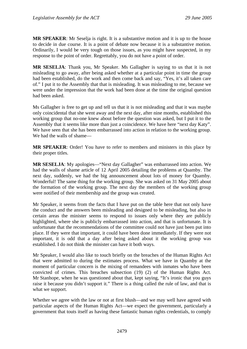**MR SPEAKER**: Mr Seselja is right. It is a substantive motion and it is up to the house to decide in due course. It is a point of debate now because it is a substantive motion. Ordinarily, I would be very tough on those issues, as you might have suspected, in my response to the point of order. Regrettably, you do not have a point of order.

**MR SESELJA**: Thank you, Mr Speaker. Ms Gallagher is saying to us that it is not misleading to go away, after being asked whether at a particular point in time the group had been established, do the work and then come back and say, "Yes, it's all taken care of." I put it to the Assembly that that is misleading. It was misleading to me, because we were under the impression that the work had been done at the time the original question had been asked.

Ms Gallagher is free to get up and tell us that it is not misleading and that it was maybe only coincidental that she went away and the next day, after nine months, established this working group that no-one knew about before the question was asked, but I put it to the Assembly that it seems like more than just a coincidence. We have here "next day Katy". We have seen that she has been embarrassed into action in relation to the working group. We had the walls of shame—

**MR SPEAKER**: Order! You have to refer to members and ministers in this place by their proper titles.

**MR SESELJA**: My apologies—"Next day Gallagher" was embarrassed into action. We had the walls of shame article of 12 April 2005 detailing the problems at Quamby. The next day, suddenly, we had the big announcement about lots of money for Quamby. Wonderful! The same thing for the working group. She was asked on 31 May 2005 about the formation of the working group. The next day the members of the working group were notified of their membership and the group was created.

Mr Speaker, it seems from the facts that I have put on the table here that not only have the conduct and the answers been misleading and designed to be misleading, but also in certain areas the minister seems to respond to issues only where they are publicly highlighted, where she is publicly embarrassed into action, and that is unfortunate. It is unfortunate that the recommendations of the committee could not have just been put into place. If they were that important, it could have been done immediately. If they were not important, it is odd that a day after being asked about it the working group was established. I do not think the minister can have it both ways.

Mr Speaker, I would also like to touch briefly on the breaches of the Human Rights Act that were admitted to during the estimates process. What we have in Quamby at the moment of particular concern is the mixing of remandees with inmates who have been convicted of crimes. This breaches subsection (19) (2) of the Human Rights Act. Mr Stanhope, when he was questioned about that, kept saying, "It's ironic that you guys raise it because you didn't support it." There is a thing called the rule of law, and that is what we support.

Whether we agree with the law or not at first blush—and we may well have agreed with particular aspects of the Human Rights Act—we expect the government, particularly a government that touts itself as having these fantastic human rights credentials, to comply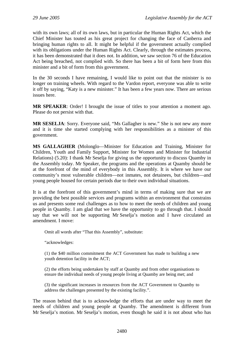with its own laws; all of its own laws, but in particular the Human Rights Act, which the Chief Minister has touted as his great project for changing the face of Canberra and bringing human rights to all. It might be helpful if the government actually complied with its obligations under the Human Rights Act. Clearly, through the estimates process, it has been demonstrated that it does not. In addition, we saw section 76 of the Education Act being breached, not complied with. So there has been a bit of form here from this minister and a bit of form from this government.

In the 30 seconds I have remaining, I would like to point out that the minister is no longer on training wheels. With regard to the Vardon report, everyone was able to write it off by saying, "Katy is a new minister." It has been a few years now. There are serious issues here.

**MR SPEAKER**: Order! I brought the issue of titles to your attention a moment ago. Please do not persist with that.

**MR SESELJA**: Sorry. Everyone said, "Ms Gallagher is new." She is not new any more and it is time she started complying with her responsibilities as a minister of this government.

**MS GALLAGHER** (Molonglo—Minister for Education and Training, Minister for Children, Youth and Family Support, Minister for Women and Minister for Industrial Relations) (5.20): I thank Mr Seselja for giving us the opportunity to discuss Quamby in the Assembly today. Mr Speaker, the programs and the operations at Quamby should be at the forefront of the mind of everybody in this Assembly. It is where we have our community's most vulnerable children—not inmates, not detainees, but children—and young people housed for certain periods due to their own individual situations.

It is at the forefront of this government's mind in terms of making sure that we are providing the best possible services and programs within an environment that constrains us and presents some real challenges as to how to meet the needs of children and young people in Quamby. I am glad that we have the opportunity to go through that. I should say that we will not be supporting Mr Seselja's motion and I have circulated an amendment. I move:

Omit all words after "That this Assembly", substitute:

"acknowledges:

(1) the \$40 million commitment the ACT Government has made to building a new youth detention facility in the ACT;

(2) the efforts being undertaken by staff at Quamby and from other organisations to ensure the individual needs of young people living at Quamby are being met; and

(3) the significant increases in resources from the ACT Government to Quamby to address the challenges presented by the existing facility.".

The reason behind that is to acknowledge the efforts that are under way to meet the needs of children and young people at Quamby. The amendment is different from Mr Seselja's motion. Mr Seselja's motion, even though he said it is not about who has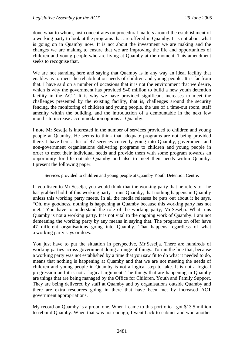done what to whom, just concentrates on procedural matters around the establishment of a working party to look at the programs that are offered in Quamby. It is not about what is going on in Quamby now. It is not about the investment we are making and the changes we are making to ensure that we are improving the life and opportunities of children and young people who are living at Quamby at the moment. This amendment seeks to recognise that.

We are not standing here and saying that Quamby is in any way an ideal facility that enables us to meet the rehabilitation needs of children and young people. It is far from that. I have said on a number of occasions that it is not the environment that we desire, which is why the government has provided \$40 million to build a new youth detention facility in the ACT. It is why we have provided significant increases to meet the challenges presented by the existing facility, that is, challenges around the security fencing, the monitoring of children and young people, the use of a time-out room, staff amenity within the building, and the introduction of a demountable in the next few months to increase accommodation options at Quamby.

I note Mr Seselja is interested in the number of services provided to children and young people at Quamby. He seems to think that adequate programs are not being provided there. I have here a list of 47 services currently going into Quamby, government and non-government organisations delivering programs to children and young people in order to meet their individual needs and provide them with some program towards an opportunity for life outside Quamby and also to meet their needs within Quamby. I present the following paper:

Services provided to children and young people at Quamby Youth Detention Centre.

If you listen to Mr Seselja, you would think that the working party that he refers to—he has grabbed hold of this working party—runs Quamby, that nothing happens in Quamby unless this working party meets. In all the media releases he puts out about it he says, "Oh, my goodness, nothing is happening at Quamby because this working party has not met." You have to understand the role of the working party, Mr Seselja. What runs Quamby is not a working party. It is not vital to the ongoing work of Quamby. I am not demeaning the working party by any means in saying that. The programs on offer have 47 different organisations going into Quamby. That happens regardless of what a working party says or does.

You just have to put the situation in perspective, Mr Seselja. There are hundreds of working parties across government doing a range of things. To run the line that, because a working party was not established by a time that you saw fit to do what it needed to do, means that nothing is happening at Quamby and that we are not meeting the needs of children and young people in Quamby is not a logical step to take. It is not a logical progression and it is not a logical argument. The things that are happening in Quamby are things that are being managed by the Office for Children, Youth and Family Support. They are being delivered by staff at Quamby and by organisations outside Quamby and there are extra resources going in there that have been met by increased ACT government appropriations.

My record on Quamby is a proud one. When I came to this portfolio I got \$13.5 million to rebuild Quamby. When that was not enough, I went back to cabinet and won another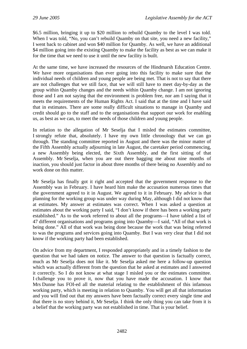\$6.5 million, bringing it up to \$20 million to rebuild Quamby to the level I was told. When I was told, "No, you can't rebuild Quamby on that site, you need a new facility," I went back to cabinet and won \$40 million for Quamby. As well, we have an additional \$4 million going into the existing Quamby to make the facility as best as we can make it for the time that we need to use it until the new facility is built.

At the same time, we have increased the resources of the Hindmarsh Education Centre. We have more organisations than ever going into this facility to make sure that the individual needs of children and young people are being met. That is not to say that there are not challenges that we still face, that we will still have to meet day-by-day as the group within Quamby changes and the needs within Quamby change. I am not ignoring those and I am not saying that the environment is problem free, nor am I saying that it meets the requirements of the Human Rights Act. I said that at the time and I have said that in estimates. There are some really difficult situations to manage in Quamby and credit should go to the staff and to the organisations that support our work for enabling us, as best as we can, to meet the needs of those children and young people.

In relation to the allegation of Mr Seselja that I misled the estimates committee, I strongly refute that, absolutely. I have my own little chronology that we can go through. The standing committee reported in August and there was the minor matter of the Fifth Assembly actually adjourning in late August, the caretaker period commencing, a new Assembly being elected, the Sixth Assembly, and the first sitting of that Assembly. Mr Seselja, when you are out there bagging me about nine months of inaction, you should just factor in about three months of there being no Assembly and no work done on this matter.

Mr Seselja has finally got it right and accepted that the government response to the Assembly was in February. I have heard him make the accusation numerous times that the government agreed to it in August. We agreed to it in February. My advice is that planning for the working group was under way during May, although I did not know that at estimates. My answer at estimates was correct. When I was asked a question at estimates about the working party I said, "I don't know if there has been a working party established." As to the work referred to about all the programs—I have tabled a list of 47 different organisations and programs going into Quamby—I said, "All of that work is being done." All of that work was being done because the work that was being referred to was the programs and services going into Quamby. But I was very clear that I did not know if the working party had been established.

On advice from my department, I responded appropriately and in a timely fashion to the question that we had taken on notice. The answer to that question is factually correct, much as Mr Seselja does not like it. Mr Seselja asked me here a follow-up question which was actually different from the question that he asked at estimates and I answered it correctly. So I do not know at what stage I misled you or the estimates committee. I challenge you to prove it, now that you have made the accusation. I know that Mrs Dunne has FOI-ed all the material relating to the establishment of this infamous working party, which is meeting in relation to Quamby. You will get all that information and you will find out that my answers have been factually correct every single time and that there is no story behind it, Mr Seselja. I think the only thing you can take from it is a belief that the working party was not established in time. That is your belief.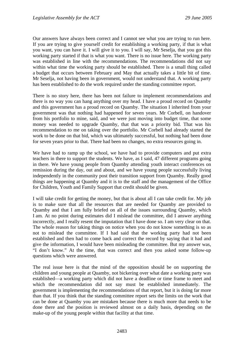Our answers have always been correct and I cannot see what you are trying to run here. If you are trying to give yourself credit for establishing a working party, if that is what you want, you can have it. I will give it to you. I will say, Mr Seselja, that you got this working party started if that is what you want. There is no issue here. The working party was established in line with the recommendations. The recommendations did not say within what time the working party should be established. There is a small thing called a budget that occurs between February and May that actually takes a little bit of time. Mr Seselja, not having been in government, would not understand that. A working party has been established to do the work required under the standing committee report.

There is no story here, there has been not failure to implement recommendations and there is no way you can hang anything over my head. I have a proud record on Quamby and this government has a proud record on Quamby. The situation I inherited from your government was that nothing had happened for seven years. Mr Corbell, on handover from his portfolio to mine, said, and we were just moving into budget time, that some money was needed to upgrade Quamby, that that was a priority bid. That was his recommendation to me on taking over the portfolio. Mr Corbell had already started the work to be done on that bid, which was ultimately successful, but nothing had been done for seven years prior to that. There had been no changes, no extra resources going in.

We have had to ramp up the school, we have had to provide computers and put extra teachers in there to support the students. We have, as I said, 47 different programs going in there. We have young people from Quamby attending youth interact conferences on remission during the day, out and about, and we have young people successfully living independently in the community post their transition support from Quamby. Really good things are happening at Quamby and it is to the staff and the management of the Office for Children, Youth and Family Support that credit should be given.

I will take credit for getting the money, but that is about all I can take credit for. My job is to make sure that all the resources that are needed for Quamby are provided to Quamby and that I am fully briefed on all of the issues surrounding Quamby, which I am. At no point during estimates did I mislead the committee, did I answer anything incorrectly, and I really resent the imputation that I have done so. I am very clear on that. The whole reason for taking things on notice when you do not know something is so as not to mislead the committee. If I had said that the working party had not been established and then had to come back and correct the record by saying that it had and give the information, I would have been misleading the committee. But my answer was, "I don't know." At the time, that was correct and then you asked some follow-up questions which were answered.

The real issue here is that the mind of the opposition should be on supporting the children and young people at Quamby, not bickering over what date a working party was established—a working party which did not have a deadline or time frame to meet and which the recommendation did not say must be established immediately. The government is implementing the recommendations of that report, but it is doing far more than that. If you think that the standing committee report sets the limits on the work that can be done at Quamby you are mistaken because there is much more that needs to be done there and the position is reviewed almost on a daily basis, depending on the make-up of the young people within that facility at that time.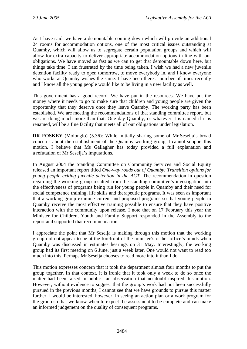As I have said, we have a demountable coming down which will provide an additional 24 rooms for accommodation options, one of the most critical issues outstanding at Quamby, which will allow us to segregate certain population groups and which will allow for extra capacity to deliver appropriate accommodation options in line with our obligations. We have moved as fast as we can to get that demountable down here, but things take time. I am frustrated by the time being taken. I wish we had a new juvenile detention facility ready to open tomorrow, to move everybody in, and I know everyone who works at Quamby wishes the same. I have been there a number of times recently and I know all the young people would like to be living in a new facility as well.

This government has a good record. We have put in the resources. We have put the money where it needs to go to make sure that children and young people are given the opportunity that they deserve once they leave Quamby. The working party has been established. We are meeting the recommendations of that standing committee report, but we are doing much more than that. One day Quamby, or whatever it is named if it is renamed, will be a fine facility that meets all of our obligations under legislation.

**DR FOSKEY** (Molonglo) (5.36): While initially sharing some of Mr Seselja's broad concerns about the establishment of the Quamby working group, I cannot support this motion. I believe that Ms Gallagher has today provided a full explanation and a refutation of Mr Seselja's imputations.

In August 2004 the Standing Committee on Community Services and Social Equity released an important report titled *One-way roads out of Quamby: Transition options for young people exiting juvenile detention in the ACT.* The recommendation in question regarding the working group resulted from the standing committee's investigation into the effectiveness of programs being run for young people in Quamby and their need for social competence training, life skills and therapeutic programs. It was seen as important that a working group examine current and proposed programs so that young people in Quamby receive the most effective training possible to ensure that they have positive interaction with the community upon release. I note that on 17 February this year the Minister for Children, Youth and Family Support responded in the Assembly to the report and supported that recommendation.

I appreciate the point that Mr Seselja is making through this motion that the working group did not appear to be at the forefront of the minister's or her office's minds when Quamby was discussed in estimates hearings on 31 May. Interestingly, the working group had its first meeting on 6 June, just a week later. One would not want to read too much into this. Perhaps Mr Seselja chooses to read more into it than I do.

This motion expresses concern that it took the department almost four months to put the group together. In that context, it is ironic that it took only a week to do so once the matter had been raised in public—an observation that no doubt inspired this motion. However, without evidence to suggest that the group's work had not been successfully pursued in the previous months, I cannot see that we have grounds to pursue this matter further. I would be interested, however, in seeing an action plan or a work program for the group so that we know when to expect the assessment to be complete and can make an informed judgement on the quality of consequent programs.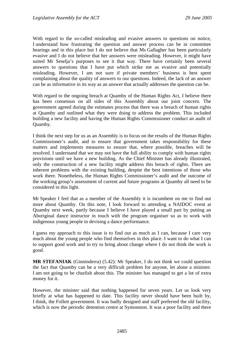With regard to the so-called misleading and evasive answers to questions on notice, I understand how frustrating the question and answer process can be in committee hearings and in this place but I do not believe that Ms Gallagher has been particularly evasive and I do not believe that her answers were misleading. However, it might have suited Mr Seselja's purposes to see it that way. There have certainly been several answers to questions that I have put which strike me as evasive and potentially misleading. However, I am not sure if private members' business is best spent complaining about the quality of answers to our questions. Indeed, the lack of an answer can be as informative in its way as an answer that actually addresses the question can be.

With regard to the ongoing breach at Quamby of the Human Rights Act, I believe there has been consensus on all sides of this Assembly about our joint concern. The government agreed during the estimates process that there was a breach of human rights at Quamby and outlined what they were doing to address the problem. This included building a new facility and having the Human Rights Commissioner conduct an audit of Quamby.

I think the next step for us as an Assembly is to focus on the results of the Human Rights Commissioner's audit, and to ensure that government takes responsibility for these matters and implements measures to ensure that, where possible, breaches will be resolved. I understand that we may not have the full ability to comply with human rights provisions until we have a new building. As the Chief Minister has already illustrated, only the construction of a new facility might address this breach of rights. There are inherent problems with the existing building, despite the best intentions of those who work there. Nonetheless, the Human Rights Commissioner's audit and the outcome of the working group's assessment of current and future programs at Quamby all need to be considered in this light.

Mr Speaker I feel that as a member of the Assembly it is incumbent on me to find out more about Quamby. On this note, I look forward to attending a NAIDOC event at Quamby next week, partly because I believe I have played a small part by putting an Aboriginal dance instructor in touch with the program organiser so as to work with indigenous young people in devising a dance performance.

I guess my approach to this issue is to find out as much as I can, because I care very much about the young people who find themselves in this place. I want to do what I can to support good work and to try to bring about change where I do not think the work is good.

**MR STEFANIAK** (Ginninderra) (5.42): Mr Speaker, I do not think we could question the fact that Quamby can be a very difficult problem for anyone, let alone a minister. I am not going to be churlish about this. The minister has managed to get a lot of extra money for it.

However, the minister said that nothing happened for seven years. Let us look very briefly at what has happened to date. This facility never should have been built by, I think, the Follett government. It was badly designed and staff preferred the old facility, which is now the periodic detention centre at Symonston. It was a poor facility and there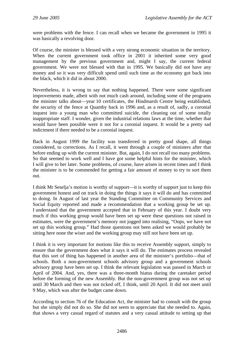were problems with the fence. I can recall when we became the government in 1995 it was basically a revolving door.

Of course, the minister is blessed with a very strong economic situation in the territory. When the current government took office in 2001 it inherited some very good management by the previous government and, might I say, the current federal government. We were not blessed with that in 1995. We basically did not have any money and so it was very difficult spend until such time as the economy got back into the black, which it did in about 2000.

Nevertheless, it is wrong to say that nothing happened. There were some significant improvements made, albeit with not much cash around, including some of the programs the minister talks about—year 10 certificates, the Hindmarsh Centre being established, the security of the fence at Quamby back in 1996 and, as a result of, sadly, a coronial inquest into a young man who committed suicide, the cleaning out of some totally inappropriate staff. I wonder, given the industrial relations laws at the time, whether that would have been possible were it not for a coronial inquest. It would be a pretty sad indictment if there needed to be a coronial inquest.

Back in August 1999 the facility was transferred in pretty good shape, all things considered, to corrections. As I recall, it went through a couple of ministers after that before ending up with the current minister. But, again, I do not recall too many problems. So that seemed to work well and I have got some helpful hints for the minister, which I will give to her later. Some problems, of course, have arisen in recent times and I think the minister is to be commended for getting a fair amount of money to try to sort them out.

I think Mr Seselja's motion is worthy of support—it is worthy of support just to keep this government honest and on track in doing the things it says it will do and has committed to doing. In August of last year the Standing Committee on Community Services and Social Equity reported and made a recommendation that a working group be set up. I understand that the government accepted that in February of this year. I doubt very much if this working group would have been set up were these questions not raised in estimates, were the government's memory not jogged into realising, "Oops, we have not set up this working group." Had those questions not been asked we would probably be sitting here none the wiser and the working group may still not have been set up.

I think it is very important for motions like this to receive Assembly support, simply to ensure that the government does what it says it will do. The estimates process revealed that this sort of thing has happened in another area of the minister's portfolio—that of schools. Both a non-government schools advisory group and a government schools advisory group have been set up. I think the relevant legislation was passed in March or April of 2004. And, yes, there was a three-month hiatus during the caretaker period before the forming of the new Assembly. But the non-government group was not set up until 30 March and then was not ticked off, I think, until 20 April. It did not meet until 9 May, which was after the budget came down.

According to section 76 of the Education Act, the minister had to consult with the group but she simply did not do so. She did not seem to appreciate that she needed to. Again, that shows a very casual regard of statutes and a very casual attitude to setting up that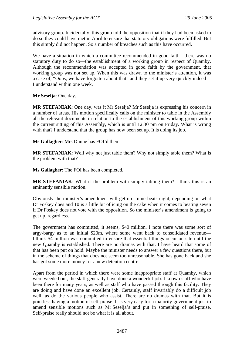advisory group. Incidentally, this group told the opposition that if they had been asked to do so they could have met in April to ensure that statutory obligations were fulfilled. But this simply did not happen. So a number of breaches such as this have occurred.

We have a situation in which a committee recommended in good faith—there was no statutory duty to do so—the establishment of a working group in respect of Quamby. Although the recommendation was accepted in good faith by the government, that working group was not set up. When this was drawn to the minister's attention, it was a case of, "Oops, we have forgotten about that" and they set it up very quickly indeed— I understand within one week.

**Mr Seselja**: One day.

**MR STEFANIAK**: One day, was it Mr Seselja? Mr Seselja is expressing his concern in a number of areas. His motion specifically calls on the minister to table in the Assembly all the relevant documents in relation to the establishment of this working group within the current sitting of this Assembly, which is until 12.30 pm on Friday. What is wrong with that? I understand that the group has now been set up. It is doing its job.

**Ms Gallagher**: Mrs Dunne has FOI'd them.

**MR STEFANIAK**: Well why not just table them? Why not simply table them? What is the problem with that?

**Ms Gallagher**: The FOI has been completed.

**MR STEFANIAK**: What is the problem with simply tabling them? I think this is an eminently sensible motion.

Obviously the minister's amendment will get up—nine beats eight, depending on what Dr Foskey does and 10 is a little bit of icing on the cake when it comes to beating seven if Dr Foskey does not vote with the opposition. So the minister's amendment is going to get up, regardless.

The government has committed, it seems, \$40 million. I note there was some sort of argy-bargy as to an initial \$20m, where some went back to consolidated revenue— I think \$4 million was committed to ensure that essential things occur on site until the new Quamby is established. There are no dramas with that. I have heard that some of that has been put on hold. Maybe the minister needs to answer a few questions there, but in the scheme of things that does not seem too unreasonable. She has gone back and she has got some more money for a new detention centre.

Apart from the period in which there were some inappropriate staff at Quamby, which were weeded out, the staff generally have done a wonderful job. I known staff who have been there for many years, as well as staff who have passed through this facility. They are doing and have done an excellent job. Certainly, staff invariably do a difficult job well, as do the various people who assist. There are no dramas with that. But it is pointless having a motion of self-praise. It is very easy for a majority government just to amend sensible motions such as Mr Seselja's and put in something of self-praise. Self-praise really should not be what it is all about.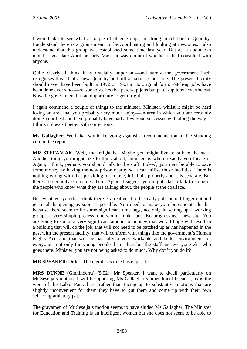I would like to see what a couple of other groups are doing in relation to Quamby. I understand there is a group meant to be coordinating and looking at new sites. I also understand that this group was established some time last year. But as at about two months ago—late April or early May—it was doubtful whether it had consulted with anyone.

Quite clearly, I think it is crucially important—and surely the government itself recognises this—that a new Quamby be built as soon as possible. The present facility should never have been built in 1992 or 1993 in its original form. Patch-up jobs have been done ever since—reasonably effective patch-up jobs but patch-up jobs nevertheless. Now the government has an opportunity to get it right.

I again commend a couple of things to the minister. Minister, whilst it might be hard losing an area that you probably very much enjoy—an area in which you are certainly doing your best and have probably have had a few good successes with along the way— I think it does sit better with corrections.

**Ms Gallagher**: Well that would be going against a recommendation of the standing committee report.

**MR STEFANIAK**: Well, that might be. Maybe you might like to talk to the staff. Another thing you might like to think about, minister, is where exactly you locate it. Again, I think, perhaps you should talk to the staff. Indeed, you may be able to save some money by having the new prison nearby so it can utilise those facilities. There is nothing wrong with that providing, of course, it is built properly and it is separate. But there are certainly economies there. Again, I suggest you might like to talk to some of the people who know what they are talking about, the people at the coalface.

But, whatever you do, I think there is a real need to basically pull the old finger out and get it all happening as soon as possible. You need to make your bureaucrats do that because there seem to be some significant time lags, not only in setting up a working group—a very simple process, one would think—but also progressing a new site. You are going to spend a very significant amount of money that we all hope will result in a building that will do the job, that will not need to be patched up as has happened in the past with the present facility, that will conform with things like the government's Human Rights Act, and that will be basically a very workable and better environment for everyone—not only the young people themselves but the staff and everyone else who goes there. Minister, you are not being asked to do much. Why don't you do it?

**MR SPEAKER**: Order! The member's time has expired.

**MRS DUNNE** (Ginninderra) (5.52): Mr Speaker, I want to dwell particularly on Mr Seselja's motion. I will be opposing Ms Gallagher's amendment because, as is the wont of the Labor Party here, rather than facing up to substantive motions that are slightly inconvenient for them they have to gut them and come up with their own self-congratulatory pat.

The gravamen of Mr Seselja's motion seems to have eluded Ms Gallagher. The Minister for Education and Training is an intelligent woman but she does not seem to be able to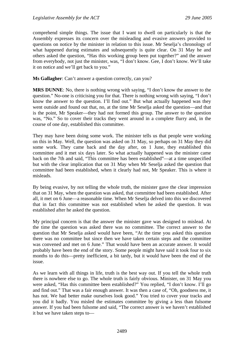comprehend simple things. The issue that I want to dwell on particularly is that the Assembly expresses its concern over the misleading and evasive answers provided to questions on notice by the minister in relation to this issue. Mr Seselja's chronology of what happened during estimates and subsequently is quite clear. On 31 May he and others asked the question, "Has this working group been put together?" and the answer from everybody, not just the minister, was, "I don't know. Gee, I don't know. We'll take it on notice and we'll get back to you."

**Ms Gallagher**: Can't answer a question correctly, can you?

**MRS DUNNE**: No, there is nothing wrong with saying, "I don't know the answer to the question." No-one is criticising you for that. There is nothing wrong with saying, "I don't know the answer to the question. I'll find out." But what actually happened was they went outside and found out that, no, at the time Mr Seselja asked the question—and that is the point, Mr Speaker—they had not formed this group. The answer to the question was, "No." So to cover their tracks they went around in a complete flurry and, in the course of one day, established this committee.

They may have been doing some work. The minister tells us that people were working on this in May. Well, the question was asked on 31 May, so perhaps on 31 May they did some work. They came back and the day after, on 1 June, they established this committee and it met six days later. So what actually happened was the minister came back on the 7th and said, "This committee has been established"—at a time unspecified but with the clear implication that on 31 May when Mr Seselja asked the question that committee had been established, when it clearly had not, Mr Speaker. This is where it misleads.

By being evasive, by not telling the whole truth, the minister gave the clear impression that on 31 May, when the question was asked, that committee had been established. After all, it met on 6 June—a reasonable time. When Mr Seselja delved into this we discovered that in fact this committee was not established when he asked the question. It was established after he asked the question.

My principal concern is that the answer the minister gave was designed to mislead. At the time the question was asked there was no committee. The correct answer to the question that Mr Seselja asked would have been, "At the time you asked this question there was no committee but since then we have taken certain steps and the committee was convened and met on 6 June." That would have been an accurate answer. It would probably have been the end of the story. Some people might have said it took four to six months to do this—pretty inefficient, a bit tardy, but it would have been the end of the issue.

As we learn with all things in life, truth is the best way out. If you tell the whole truth there is nowhere else to go. The whole truth is fairly obvious. Minister, on 31 May you were asked, "Has this committee been established?" You replied, "I don't know. I'll go and find out." That was a fair enough answer. It was then a case of, "Oh, goodness me, it has not. We had better make ourselves look good." You tried to cover your tracks and you did it badly. You misled the estimates committee by giving a less than fulsome answer. If you had been fulsome and said, "The correct answer is we haven't established it but we have taken steps to—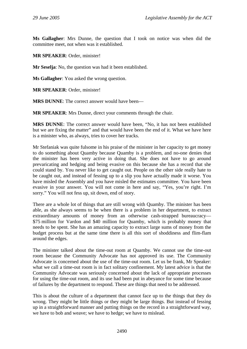**Ms Gallagher**: Mrs Dunne, the question that I took on notice was when did the committee meet, not when was it established.

**MR SPEAKER**: Order, minister!

**Mr Seselja**: No, the question was had it been established.

**Ms Gallagher**: You asked the wrong question.

**MR SPEAKER**: Order, minister!

**MRS DUNNE**: The correct answer would have been—

**MR SPEAKER**: Mrs Dunne, direct your comments through the chair.

**MRS DUNNE**: The correct answer would have been, "No, it has not been established but we are fixing the matter" and that would have been the end of it. What we have here is a minister who, as always, tries to cover her tracks.

Mr Stefaniak was quite fulsome in his praise of the minister in her capacity to get money to do something about Quamby because Quamby is a problem, and no-one denies that the minister has been very active in doing that. She does not have to go around prevaricating and hedging and being evasive on this because she has a record that she could stand by. You never like to get caught out. People on the other side really hate to be caught out, and instead of fessing up to a slip you have actually made it worse. You have misled the Assembly and you have misled the estimates committee. You have been evasive in your answer. You will not come in here and say, "Yes, you're right. I'm sorry." You will not fess up, sit down, end of story.

There are a whole lot of things that are still wrong with Quamby. The minister has been able, as she always seems to be when there is a problem in her department, to extract extraordinary amounts of money from an otherwise cash-strapped bureaucracy— \$75 million for Vardon and \$40 million for Quamby, which is probably money that needs to be spent. She has an amazing capacity to extract large sums of money from the budget process but at the same time there is all this sort of shoddiness and flim-flam around the edges.

The minister talked about the time-out room at Quamby. We cannot use the time-out room because the Community Advocate has not approved its use. The Community Advocate is concerned about the use of the time-out room. Let us be frank, Mr Speaker: what we call a time-out room is in fact solitary confinement. My latest advice is that the Community Advocate was seriously concerned about the lack of appropriate processes for using the time-out room, and its use had been put in abeyance for some time because of failures by the department to respond. These are things that need to be addressed.

This is about the culture of a department that cannot face up to the things that they do wrong. They might be little things or they might be large things. But instead of fessing up in a straightforward manner and putting things on the record in a straightforward way, we have to bob and weave; we have to hedge; we have to mislead.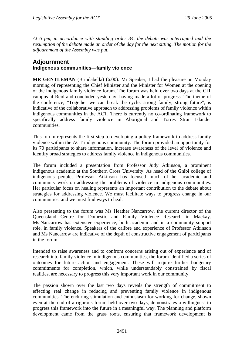*At 6 pm, in accordance with standing order 34, the debate was interrupted and the resumption of the debate made an order of the day for the next sitting. The motion for the adjournment of the Assembly was put.*

# **Adjournment Indigenous communities—family violence**

**MR GENTLEMAN** (Brindabella) (6.00): Mr Speaker, I had the pleasure on Monday morning of representing the Chief Minister and the Minister for Women at the opening of the indigenous family violence forum. The forum was held over two days at the CIT campus at Reid and concluded yesterday, having made a lot of progress. The theme of the conference, "Together we can break the cycle: strong family, strong future", is indicative of the collaborative approach to addressing problems of family violence within indigenous communities in the ACT. There is currently no co-ordinating framework to specifically address family violence in Aboriginal and Torres Strait Islander communities.

This forum represents the first step to developing a policy framework to address family violence within the ACT indigenous community. The forum provided an opportunity for its 70 participants to share information, increase awareness of the level of violence and identify broad strategies to address family violence in indigenous communities.

The forum included a presentation from Professor Judy Atkinson, a prominent indigenous academic at the Southern Cross University. As head of the Gnibi college of indigenous people, Professor Atkinson has focused much of her academic and community work on addressing the problems of violence in indigenous communities. Her particular focus on healing represents an important contribution to the debate about strategies for addressing violence. We must facilitate ways to progress change in our communities, and we must find ways to heal.

Also presenting to the forum was Ms Heather Nancarrow, the current director of the Queensland Centre for Domestic and Family Violence Research in Mackay. Ms Nancarrow has extensive experience, both academic and in a community support role, in family violence. Speakers of the calibre and experience of Professor Atkinson and Ms Nancarrow are indicative of the depth of constructive engagement of participants in the forum.

Intended to raise awareness and to confront concerns arising out of experience and of research into family violence in indigenous communities, the forum identified a series of outcomes for future action and engagement. These will require further budgetary commitments for completion, which, while understandably constrained by fiscal realities, are necessary to progress this very important work in our community.

The passion shown over the last two days reveals the strength of commitment to effecting real change in reducing and preventing family violence in indigenous communities. The enduring stimulation and enthusiasm for working for change, shown even at the end of a rigorous forum held over two days, demonstrates a willingness to progress this framework into the future in a meaningful way. The planning and platform development came from the grass roots, ensuring that framework development is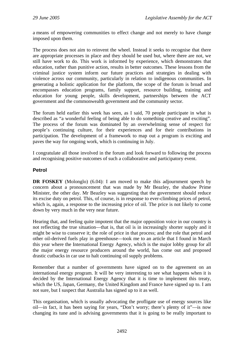a means of empowering communities to effect change and not merely to have change imposed upon them.

The process does not aim to reinvent the wheel. Instead it seeks to recognise that there are appropriate processes in place and they should be used but, where there are not, we still have work to do. This work is informed by experience, which demonstrates that education, rather than punitive action, results in better outcomes. These lessons from the criminal justice system inform our future practices and strategies in dealing with violence across our community, particularly in relation to indigenous communities. In generating a holistic application for the platform, the scope of the forum is broad and encompasses education programs, family support, resource building, training and education for young people, skills development, partnerships between the ACT government and the commonwealth government and the community sector.

The forum held earlier this week has seen, as I said, 70 people participate in what is described as "a wonderful feeling of being able to do something creative and exciting". The process of the forum was dominated by an overwhelming sense of respect for people's continuing culture, for their experiences and for their contributions in participation. The development of a framework to map out a program is exciting and paves the way for ongoing work, which is continuing in July.

I congratulate all those involved in the forum and look forward to following the process and recognising positive outcomes of such a collaborative and participatory event.

# **Petrol**

**DR FOSKEY** (Molonglo) (6.04): I am moved to make this adjournment speech by concern about a pronouncement that was made by Mr Beazley, the shadow Prime Minister, the other day. Mr Beazley was suggesting that the government should reduce its excise duty on petrol. This, of course, is in response to ever-climbing prices of petrol, which is, again, a response to the increasing price of oil. The price is not likely to come down by very much in the very near future.

Hearing that, and feeling quite impotent that the major opposition voice in our country is not reflecting the true situation—that is, that oil is in increasingly shorter supply and it might be wise to conserve it; the role of price in that process; and the role that petrol and other oil-derived fuels play in greenhouse—took me to an article that I found in March this year where the International Energy Agency, which is the major lobby group for all the major energy resource producers around the world, has come out and proposed drastic cutbacks in car use to halt continuing oil supply problems.

Remember that a number of governments have signed on to the agreement on an international energy program. It will be very interesting to see what happens when it is decided by the International Energy Agency that it is time to implement this treaty, which the US, Japan, Germany, the United Kingdom and France have signed up to. I am not sure, but I suspect that Australia has signed up to it as well.

This organisation, which is usually advocating the profligate use of energy sources like oil—in fact, it has been saying for years, "Don't worry; there's plenty of it"—is now changing its tune and is advising governments that it is going to be really important to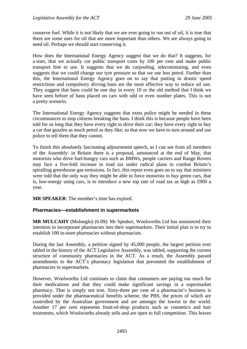conserve fuel. While it is not likely that we are ever going to run out of oil, it is true that there are some uses for oil that are more important than others. We are always going to need oil. Perhaps we should start conserving it.

How does the International Energy Agency suggest that we do that? It suggests, for a start, that we actually cut public transport costs by 100 per cent and make public transport free to use. It suggests that we do carpooling, telecommuting, and even suggests that we could change our tyre pressure so that we use less petrol. Further than this, the International Energy Agency goes on to say that putting in drastic speed restrictions and compulsory driving bans are the most effective way to reduce oil use. They suggest that bans could be one day in every 10 or the old method that I think we have seen before of bans placed on cars with odd or even number plates. This is not a pretty scenario.

The International Energy Agency suggests that extra police might be needed in these circumstances to stop citizens breaking the bans. I think this is because people have been told for so long that they have every right to drive their car; they have every right to buy a car that guzzles as much petrol as they like; so that now we have to turn around and use police to tell them that they cannot.

To finish this absolutely fascinating adjournment speech, as I can see from all members of the Assembly: in Britain there is a proposal, announced at the end of May, that motorists who drive fuel-hungry cars such as BMWs, people carriers and Range Rovers may face a five-fold increase in road tax under radical plans to combat Britain's spiralling greenhouse gas emissions. In fact, this report even goes on to say that ministers were told that the only way they might be able to force motorists to buy green cars, that is, low-energy using cars, is to introduce a new top rate of road tax as high as £900 a year.

**MR SPEAKER**: The member's time has expired.

#### **Pharmacies—establishment in supermarkets**

**MR MULCAHY** (Molonglo) (6.09): Mr Speaker, Woolworths Ltd has announced their intention to incorporate pharmacies into their supermarkets. Their initial plan is to try to establish 100 in-store pharmacies without pharmacists.

During the last Assembly, a petition signed by 45,000 people, the largest petition ever tabled in the history of the ACT Legislative Assembly, was tabled, supporting the current structure of community pharmacies in the ACT. As a result, the Assembly passed amendments to the ACT's pharmacy legislation that prevented the establishment of pharmacies in supermarkets.

However, Woolworths Ltd continues to claim that consumers are paying too much for their medications and that they could make significant savings in a supermarket pharmacy. That is simply not true. Sixty-three per cent of a pharmacist's business is provided under the pharmaceutical benefits scheme, the PBS, the prices of which are controlled by the Australian government and are amongst the lowest in the world. Another 17 per cent represents front-of-shop products such as cosmetics and hair treatments, which Woolworths already sells and are open to full competition. This leaves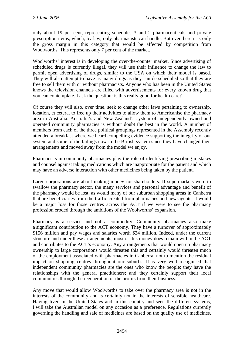only about 19 per cent, representing schedules 3 and 2 pharmaceuticals and private prescription items, which, by law, only pharmacists can handle. But even here it is only the gross margin in this category that would be affected by competition from Woolworths. This represents only 7 per cent of the market.

Woolworths' interest is in developing the over-the-counter market. Since advertising of scheduled drugs is currently illegal, they will use their influence to change the law to permit open advertising of drugs, similar to the USA on which their model is based. They will also attempt to have as many drugs as they can de-scheduled so that they are free to sell them with or without pharmacists. Anyone who has been in the United States knows the television channels are filled with advertisements for every known drug that you can contemplate. I ask the question: is this really good for health care?

Of course they will also, over time, seek to change other laws pertaining to ownership, location, et cetera, to free up their activities to allow them to Americanise the pharmacy area in Australia. Australia's and New Zealand's system of independently owned and operated community pharmacies is without doubt the best in the world. A number of members from each of the three political groupings represented in the Assembly recently attended a breakfast where we heard compelling evidence supporting the integrity of our system and some of the failings now in the British system since they have changed their arrangements and moved away from the model we enjoy.

Pharmacists in community pharmacies play the role of identifying prescribing mistakes and counsel against taking medications which are inappropriate for the patient and which may have an adverse interaction with other medicines being taken by the patient.

Large corporations are about making money for shareholders. If supermarkets were to swallow the pharmacy sector, the many services and personal advantage and benefit of the pharmacy would be lost, as would many of our suburban shopping areas in Canberra that are beneficiaries from the traffic created from pharmacies and newsagents. It would be a major loss for those centres across the ACT if we were to see the pharmacy profession eroded through the ambitions of the Woolworths' expansion.

Pharmacy is a service and not a commodity. Community pharmacies also make a significant contribution to the ACT economy. They have a turnover of approximately \$156 million and pay wages and salaries worth \$24 million. Indeed, under the current structure and under these arrangements, most of this money does remain within the ACT and contributes to the ACT's economy. Any arrangements that would open up pharmacy ownership to large corporations would threaten this and certainly would threaten much of the employment associated with pharmacies in Canberra, not to mention the residual impact on shopping centres throughout our suburbs. It is very well recognised that independent community pharmacies are the ones who know the people; they have the relationships with the general practitioners; and they certainly support their local communities through the regeneration of the profits from their business.

Any move that would allow Woolworths to take over the pharmacy area is not in the interests of the community and is certainly not in the interests of sensible healthcare. Having lived in the United States and in this country and seen the different systems, I will take the Australian model on any occasion as a preference. Regulations currently governing the handling and sale of medicines are based on the quality use of medicines,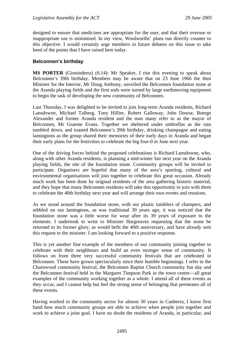designed to ensure that medicines are appropriate for the user, and that their overuse or inappropriate use is minimised. In my view, Woolworths' plans run directly counter to this objective. I would certainly urge members in future debates on this issue to take heed of the points that I have raised here today.

# **Belconnen's birthday**

**MS PORTER** (Ginninderra) (6.14): Mr Speaker, I rise this evening to speak about Belconnen's 39th birthday. Members may be aware that on 23 June 1966 the then Minister for the Interior, Mr Doug Anthony, unveiled the Belconnen foundation stone at the Aranda playing fields and the first sods were turned by large earthmoving equipment to begin the task of developing the new community of Belconnen.

Last Thursday, I was delighted to be invited to join long-term Aranda residents, Richard Lansdowne, Michael Talberg, Tony Hillier, Robert Galloway, John Dowse, Boerge Alexander and former Aranda resident and the man many refer to as the mayor of Belconnen, Mr Graeme Evans. Together we sheltered under umbrellas as the rain tumbled down, and toasted Belconnen's 39th birthday, drinking champagne and eating lamingtons as the group shared their memories of their early days in Aranda and began their early plans for the festivities to celebrate the big four-0 in June next year.

One of the driving forces behind the proposed celebrations is Richard Lansdowne, who, along with other Aranda residents, is planning a mid-winter fair next year on the Aranda playing fields, the site of the foundation stone. Community groups will be invited to participate. Organisers are hopeful that many of the area's sporting, cultural and environmental organisations will join together to celebrate this great occasion. Already much work has been done by original residents of the area gathering historic material, and they hope that many Belconnen residents will take this opportunity to join with them to celebrate the 40th birthday next year and will arrange their own events and reunions.

As we stood around the foundation stone, with our plastic tumblers of champers, and nibbled on our lamingtons, as was traditional 39 years ago, it was noticed that the foundation stone was a little worse for wear after its 39 years of exposure to the elements. I undertook to write to Minister Hargreaves requesting that the stone be returned to its former glory, as would befit the 40th anniversary, and have already sent this request to the minister. I am looking forward to a positive response.

This is yet another fine example of the members of our community joining together to celebrate with their neighbours and build an even stronger sense of community. It follows on from three very successful community festivals that are celebrated in Belconnen. These have grown spectacularly since their humble beginnings. I refer to the Charnwood community festival, the Belconnen Baptist Church community fun day and the Belconnen festival held in the Margaret Timpson Park in the town centre—all great examples of the community working together as a whole. I attend all of these events as they occur, and I cannot help but feel the strong sense of belonging that permeates all of these events.

Having worked in the community sector for almost 30 years in Canberra, I know first hand how much community groups are able to achieve when people join together and work to achieve a joint goal. I have no doubt the residents of Aranda, in particular, and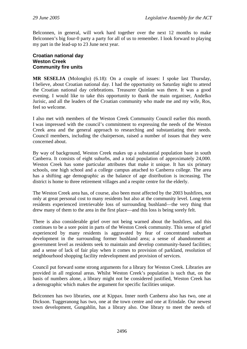Belconnen, in general, will work hard together over the next 12 months to make Belconnen's big four-0 party a party for all of us to remember. I look forward to playing my part in the lead-up to 23 June next year.

#### **Croatian national day Weston Creek Community fire units**

**MR SESELJA** (Molonglo) (6.18): On a couple of issues: I spoke last Thursday, I believe, about Croatian national day. I had the opportunity on Saturday night to attend the Croatian national day celebrations. Treasurer Quinlan was there. It was a good evening. I would like to take this opportunity to thank the main organiser, Andelko Jurisic, and all the leaders of the Croatian community who made me and my wife, Ros, feel so welcome.

I also met with members of the Weston Creek Community Council earlier this month. I was impressed with the council's commitment to expressing the needs of the Weston Creek area and the general approach to researching and substantiating their needs. Council members, including the chairperson, raised a number of issues that they were concerned about.

By way of background, Weston Creek makes up a substantial population base in south Canberra. It consists of eight suburbs, and a total population of approximately 24,000. Weston Creek has some particular attributes that make it unique. It has six primary schools, one high school and a college campus attached to Canberra college. The area has a shifting age demographic as the balance of age distribution is increasing. The district is home to three retirement villages and a respite centre for the elderly.

The Weston Creek area has, of course, also been most affected by the 2003 bushfires, not only at great personal cost to many residents but also at the community level. Long-term residents experienced irretrievable loss of surrounding bushland—the very thing that drew many of them to the area in the first place—and this loss is being sorely felt.

There is also considerable grief over not being warned about the bushfires, and this continues to be a sore point in parts of the Weston Creek community. This sense of grief experienced by many residents is aggravated by fear of concentrated suburban development in the surrounding former bushland area; a sense of abandonment at government level as residents seek to maintain and develop community-based facilities; and a sense of lack of fair play when it comes to provision of parkland, resolution of neighbourhood shopping facility redevelopment and provision of services.

Council put forward some strong arguments for a library for Weston Creek. Libraries are provided in all regional areas. Whilst Weston Creek's population is such that, on the basis of numbers alone, a library might not be considered justified, Weston Creek has a demographic which makes the argument for specific facilities unique.

Belconnen has two libraries, one at Kippax. Inner north Canberra also has two, one at Dickson. Tuggeranong has two, one at the town centre and one at Erindale. Our newest town development, Gungahlin, has a library also. One library to meet the needs of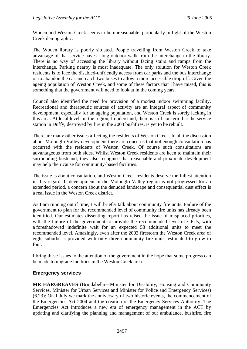Woden and Weston Creek seems to be unreasonable, particularly in light of the Weston Creek demographic.

The Woden library is poorly situated. People travelling from Weston Creek to take advantage of that service have a long outdoor walk from the interchange to the library. There is no way of accessing the library without facing stairs and ramps from the interchange. Parking nearby is most inadequate. The only solution for Weston Creek residents is to face the disabled-unfriendly access from car parks and the bus interchange or to abandon the car and catch two buses to allow a more accessible drop-off. Given the ageing population of Weston Creek, and some of these factors that I have raised, this is something that the government will need to look at in the coming years.

Council also identified the need for provision of a modest indoor swimming facility. Recreational and therapeutic sources of activity are an integral aspect of community development, especially for an ageing population, and Weston Creek is sorely lacking in this area. At local levels in the region, I understand, there is still concern that the service station in Duffy, destroyed by fire in the 2003 bushfires, is yet to be rebuilt.

There are many other issues affecting the residents of Weston Creek. In all the discussion about Molonglo Valley development there are concerns that not enough consultation has occurred with the residents of Weston Creek. Of course such consultations are advantageous from both sides. Whilst Weston Creek residents are keen to maintain their surrounding bushland, they also recognise that reasonable and proximate development may help their cause for community-based facilities.

The issue is about consultation, and Weston Creek residents deserve the fullest attention in this regard. If development in the Molonglo Valley region is not progressed for an extended period, a concern about the denuded landscape and consequential dust effect is a real issue in the Weston Creek district.

As I am running out if time, I will briefly talk about community fire units. Failure of the government to plan for the recommended level of community fire units has already been identified. Our estimates dissenting report has raised the issue of misplaced priorities, with the failure of the government to provide the recommended level of CFUs, with a foreshadowed indefinite wait for an expected 58 additional units to meet the recommended level. Amazingly, even after the 2003 firestorm the Weston Creek area of eight suburbs is provided with only three community fire units, estimated to grow to four.

I bring these issues to the attention of the government in the hope that some progress can be made to upgrade facilities in the Weston Creek area.

#### **Emergency services**

**MR HARGREAVES** (Brindabella—Minister for Disability, Housing and Community Services, Minister for Urban Services and Minister for Police and Emergency Services) (6.23): On 1 July we mark the anniversary of two historic events, the commencement of the Emergencies Act 2004 and the creation of the Emergency Services Authority. The Emergencies Act introduces a new era of emergency management in the ACT by updating and clarifying the planning and management of our ambulance, bushfire, fire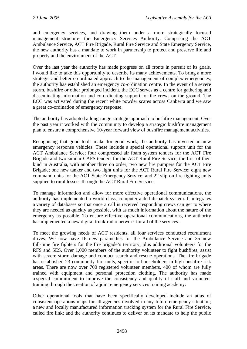and emergency services, and drawing them under a more strategically focused management structure—the Emergency Services Authority. Comprising the ACT Ambulance Service, ACT Fire Brigade, Rural Fire Service and State Emergency Service, the new authority has a mandate to work in partnership to protect and preserve life and property and the environment of the ACT.

Over the last year the authority has made progress on all fronts in pursuit of its goals. I would like to take this opportunity to describe its many achievements. To bring a more strategic and better co-ordinated approach to the management of complex emergencies, the authority has established an emergency co-ordination centre. In the event of a severe storm, bushfire or other prolonged incident, the ECC serves as a centre for gathering and disseminating information and co-ordinating support for the crews on the ground. The ECC was activated during the recent white powder scares across Canberra and we saw a great co-ordination of emergency response.

The authority has adopted a long-range strategic approach to bushfire management. Over the past year it worked with the community to develop a strategic bushfire management plan to ensure a comprehensive 10-year forward view of bushfire management activities.

Recognising that good tools make for good work, the authority has invested in new emergency response vehicles. These include a special operational support unit for the ACT Ambulance Service; four compressed air foam system tenders for the ACT Fire Brigade and two similar CAFS tenders for the ACT Rural Fire Service, the first of their kind in Australia, with another three on order; two new fire pumpers for the ACT Fire Brigade; one new tanker and two light units for the ACT Rural Fire Service; eight new command units for the ACT State Emergency Service; and 22 slip-on fire fighting units supplied to rural lessees through the ACT Rural Fire Service.

To manage information and allow for more effective operational communications, the authority has implemented a world-class, computer-aided dispatch system. It integrates a variety of databases so that once a call is received responding crews can get to where they are needed as quickly as possible, with as much information about the nature of the emergency as possible. To ensure effective operational communications, the authority has implemented a new digital trunk-radio network for all of the services.

To meet the growing needs of ACT residents, all four services conducted recruitment drives. We now have 16 new paramedics for the Ambulance Service and 35 new full-time fire fighters for the fire brigade's territory, plus additional volunteers for the RFS and SES**.** Over 1,000 members of the authority volunteer to fight bushfires, assist with severe storm damage and conduct search and rescue operations. The fire brigade has established 23 community fire units, specific to householders in high-bushfire risk areas. There are now over 700 registered volunteer members, 400 of whom are fully trained with equipment and personal protection clothing. The authority has made a special commitment to improve the consistency and quality of staff and volunteer training through the creation of a joint emergency services training academy.

Other operational tools that have been specifically developed include an atlas of consistent operations maps for all agencies involved in any future emergency situation; a new and locally manufactured information tracking system for the Rural Fire Service, called fire link; and the authority continues to deliver on its mandate to help the public